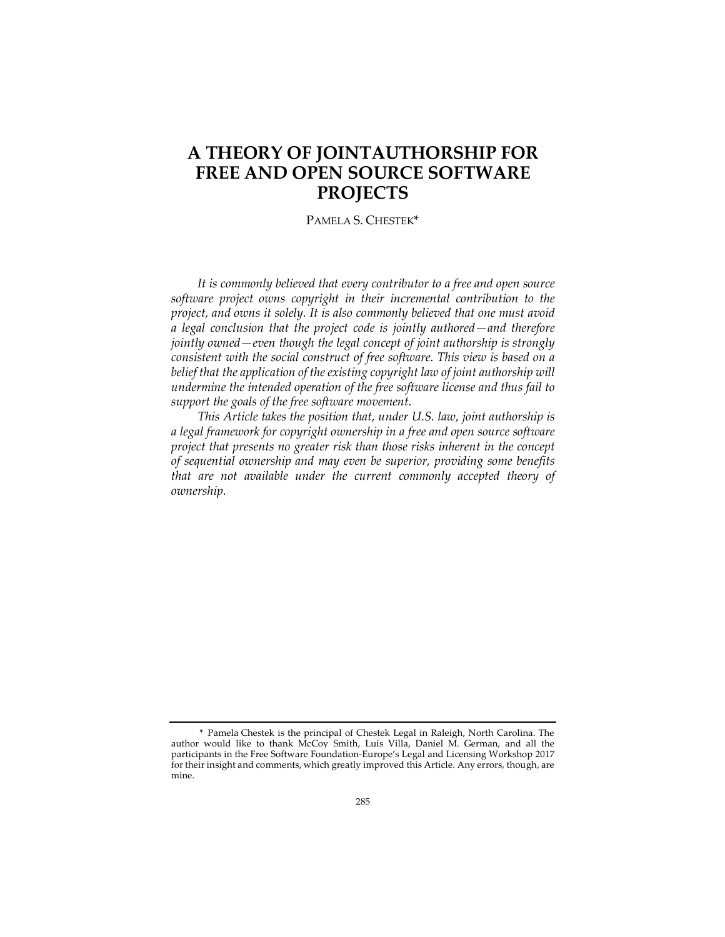# **A THEORY OF JOINTAUTHORSHIP FOR FREE AND OPEN SOURCE SOFTWARE PROJECTS**

PAMELA S. CHESTEK\*

*It is commonly believed that every contributor to a free and open source software project owns copyright in their incremental contribution to the project, and owns it solely. It is also commonly believed that one must avoid a legal conclusion that the project code is jointly authored—and therefore jointly owned—even though the legal concept of joint authorship is strongly consistent with the social construct of free software. This view is based on a*  belief that the application of the existing copyright law of joint authorship will *undermine the intended operation of the free software license and thus fail to support the goals of the free software movement.*

*This Article takes the position that, under U.S. law, joint authorship is a legal framework for copyright ownership in a free and open source software project that presents no greater risk than those risks inherent in the concept of sequential ownership and may even be superior, providing some benefits that are not available under the current commonly accepted theory of ownership.*

<sup>\*</sup> Pamela Chestek is the principal of Chestek Legal in Raleigh, North Carolina. The author would like to thank McCoy Smith, Luis Villa, Daniel M. German, and all the participants in the Free Software Foundation-Europe's Legal and Licensing Workshop 2017 for their insight and comments, which greatly improved this Article. Any errors, though, are mine.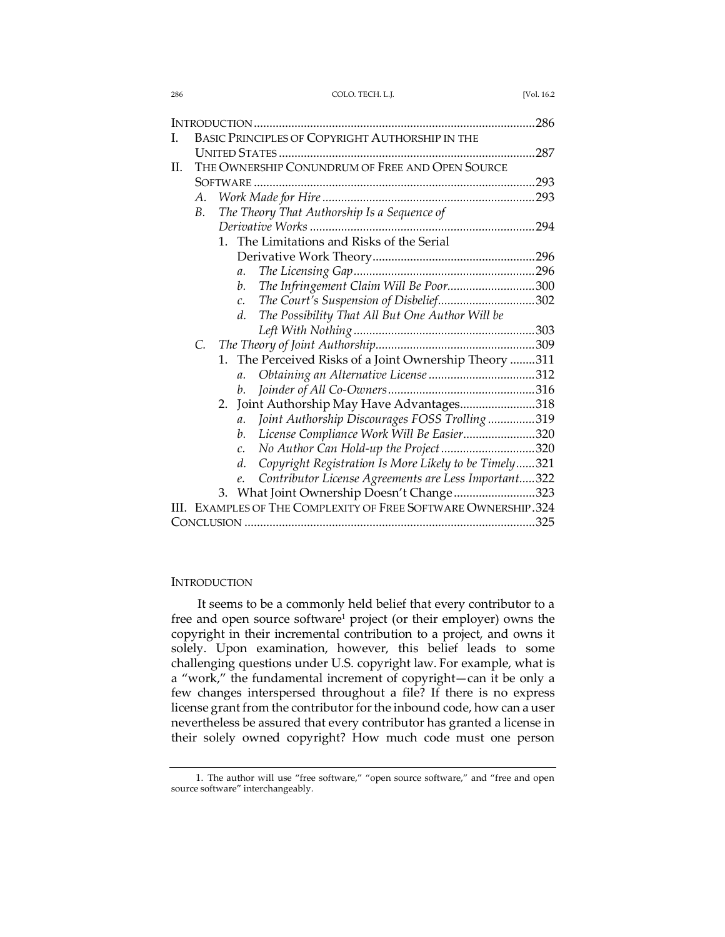| I. | BASIC PRINCIPLES OF COPYRIGHT AUTHORSHIP IN THE                |                                             |                                                                  |  |
|----|----------------------------------------------------------------|---------------------------------------------|------------------------------------------------------------------|--|
|    |                                                                |                                             |                                                                  |  |
| H. | THE OWNERSHIP CONUNDRUM OF FREE AND OPEN SOURCE                |                                             |                                                                  |  |
|    |                                                                |                                             |                                                                  |  |
|    | А.                                                             |                                             |                                                                  |  |
|    | В.                                                             | The Theory That Authorship Is a Sequence of |                                                                  |  |
|    |                                                                |                                             |                                                                  |  |
|    | The Limitations and Risks of the Serial<br>$1_{-}$             |                                             |                                                                  |  |
|    |                                                                |                                             |                                                                  |  |
|    |                                                                |                                             | $\mathfrak{a}.$                                                  |  |
|    |                                                                |                                             | The Infringement Claim Will Be Poor300<br>$b$ .                  |  |
|    |                                                                |                                             | The Court's Suspension of Disbelief302<br>$\mathcal{C}$ .        |  |
|    |                                                                |                                             | The Possibility That All But One Author Will be<br>d.            |  |
|    |                                                                |                                             |                                                                  |  |
|    | C.                                                             |                                             |                                                                  |  |
|    |                                                                | $1_{-}$                                     | The Perceived Risks of a Joint Ownership Theory 311              |  |
|    |                                                                |                                             | a.                                                               |  |
|    |                                                                |                                             | b.                                                               |  |
|    |                                                                |                                             | 2. Joint Authorship May Have Advantages318                       |  |
|    |                                                                |                                             | Joint Authorship Discourages FOSS Trolling319<br>$\mathfrak{a}.$ |  |
|    |                                                                |                                             | License Compliance Work Will Be Easier320<br>b.                  |  |
|    |                                                                |                                             | No Author Can Hold-up the Project320<br>C.                       |  |
|    |                                                                |                                             | Copyright Registration Is More Likely to be Timely321<br>d.      |  |
|    |                                                                |                                             | Contributor License Agreements are Less Important322<br>e.       |  |
|    |                                                                |                                             | 3. What Joint Ownership Doesn't Change323                        |  |
|    | III. EXAMPLES OF THE COMPLEXITY OF FREE SOFTWARE OWNERSHIP.324 |                                             |                                                                  |  |
|    |                                                                |                                             |                                                                  |  |

# **INTRODUCTION**

It seems to be a commonly held belief that every contributor to a free and open source software<sup>1</sup> project (or their employer) owns the copyright in their incremental contribution to a project, and owns it solely. Upon examination, however, this belief leads to some challenging questions under U.S. copyright law. For example, what is a "work," the fundamental increment of copyright—can it be only a few changes interspersed throughout a file? If there is no express license grant from the contributor for the inbound code, how can a user nevertheless be assured that every contributor has granted a license in their solely owned copyright? How much code must one person

<sup>1.</sup> The author will use "free software," "open source software," and "free and open source software" interchangeably.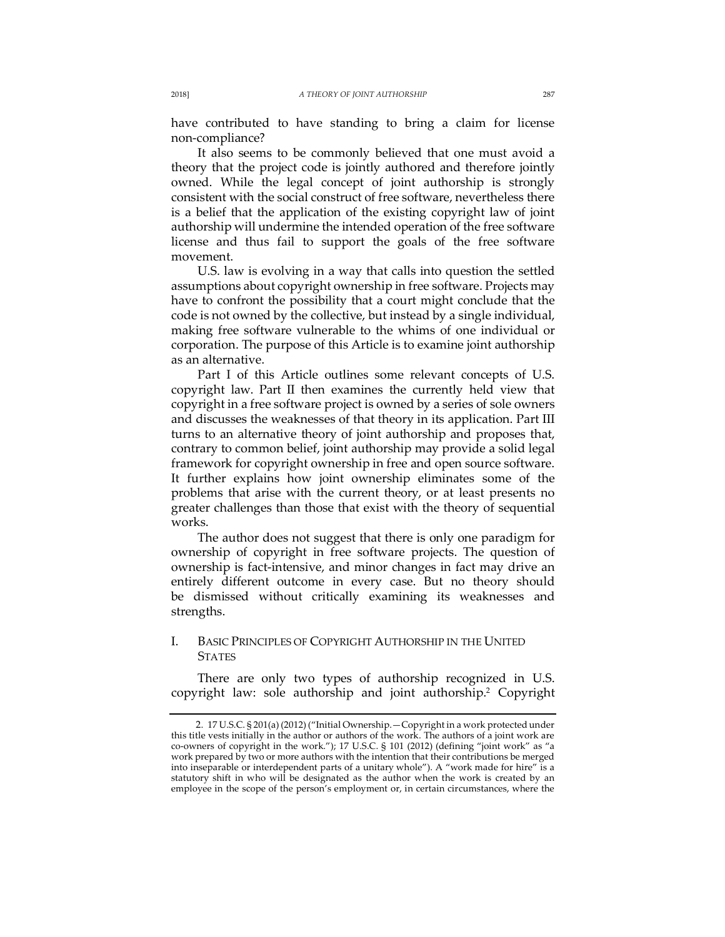have contributed to have standing to bring a claim for license non-compliance?

It also seems to be commonly believed that one must avoid a theory that the project code is jointly authored and therefore jointly owned. While the legal concept of joint authorship is strongly consistent with the social construct of free software, nevertheless there is a belief that the application of the existing copyright law of joint authorship will undermine the intended operation of the free software license and thus fail to support the goals of the free software movement.

U.S. law is evolving in a way that calls into question the settled assumptions about copyright ownership in free software. Projects may have to confront the possibility that a court might conclude that the code is not owned by the collective, but instead by a single individual, making free software vulnerable to the whims of one individual or corporation. The purpose of this Article is to examine joint authorship as an alternative.

Part I of this Article outlines some relevant concepts of U.S. copyright law. Part II then examines the currently held view that copyright in a free software project is owned by a series of sole owners and discusses the weaknesses of that theory in its application. Part III turns to an alternative theory of joint authorship and proposes that, contrary to common belief, joint authorship may provide a solid legal framework for copyright ownership in free and open source software. It further explains how joint ownership eliminates some of the problems that arise with the current theory, or at least presents no greater challenges than those that exist with the theory of sequential works.

The author does not suggest that there is only one paradigm for ownership of copyright in free software projects. The question of ownership is fact-intensive, and minor changes in fact may drive an entirely different outcome in every case. But no theory should be dismissed without critically examining its weaknesses and strengths.

# I. BASIC PRINCIPLES OF COPYRIGHT AUTHORSHIP IN THE UNITED **STATES**

There are only two types of authorship recognized in U.S. copyright law: sole authorship and joint authorship.2 Copyright

<sup>2.</sup> 17 U.S.C. § 201(a) (2012) ("Initial Ownership.—Copyright in a work protected under this title vests initially in the author or authors of the work. The authors of a joint work are co-owners of copyright in the work."); 17 U.S.C. § 101 (2012) (defining "joint work" as "a work prepared by two or more authors with the intention that their contributions be merged into inseparable or interdependent parts of a unitary whole"). A "work made for hire" is a statutory shift in who will be designated as the author when the work is created by an employee in the scope of the person's employment or, in certain circumstances, where the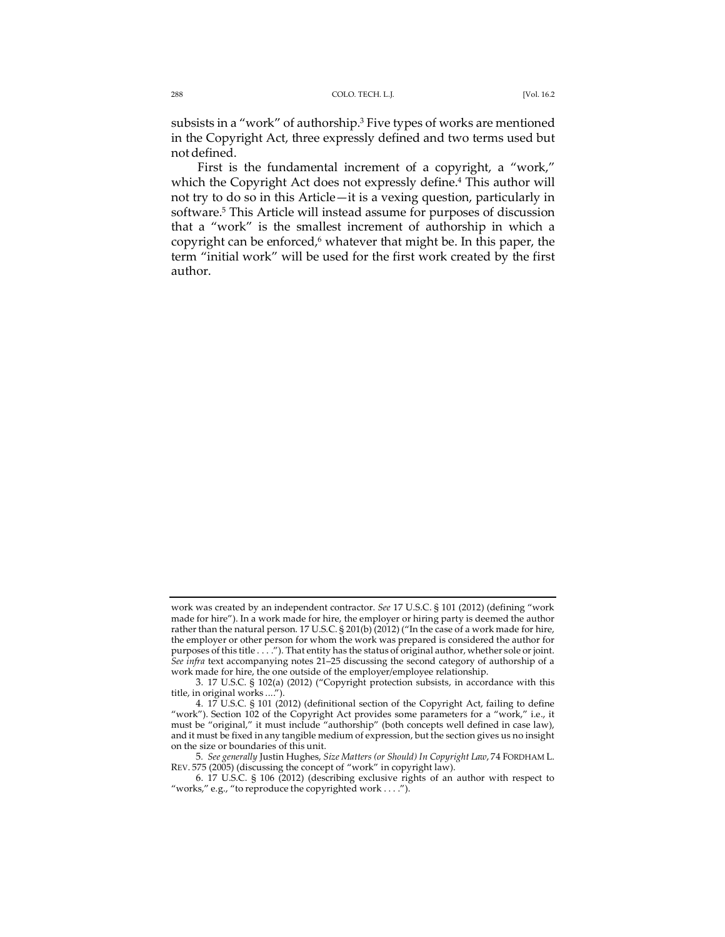subsists in a "work" of authorship.3 Five types of works are mentioned in the Copyright Act, three expressly defined and two terms used but notdefined.

First is the fundamental increment of a copyright, a "work," which the Copyright Act does not expressly define.<sup>4</sup> This author will not try to do so in this Article—it is a vexing question, particularly in software.5 This Article will instead assume for purposes of discussion that a "work" is the smallest increment of authorship in which a copyright can be enforced, $6$  whatever that might be. In this paper, the term "initial work" will be used for the first work created by the first author.

work was created by an independent contractor. *See* 17 U.S.C. § 101 (2012) (defining "work made for hire"). In a work made for hire, the employer or hiring party is deemed the author rather than the natural person. 17 U.S.C. § 201(b) (2012) ("In the case of a work made for hire, the employer or other person for whom the work was prepared is considered the author for purposes of this title . . . . "). That entity has the status of original author, whether sole or joint. *See infra* text accompanying notes 21–25 discussing the second category of authorship of a work made for hire, the one outside of the employer/employee relationship.

<sup>3.</sup> 17 U.S.C. § 102(a) (2012) ("Copyright protection subsists, in accordance with this title, in original works ....").

<sup>4.</sup> 17 U.S.C. § 101 (2012) (definitional section of the Copyright Act, failing to define "work"). Section 102 of the Copyright Act provides some parameters for a "work," i.e., it must be "original," it must include "authorship" (both concepts well defined in case law), and it must be fixed in any tangible medium of expression, but the section gives us no insight on the size or boundaries of this unit.

<sup>5</sup>*. See generally* Justin Hughes, *Size Matters (or Should) In Copyright Law*, 74 FORDHAM L. REV. 575 (2005) (discussing the concept of "work" in copyright law).

<sup>6.</sup> 17 U.S.C. § 106 (2012) (describing exclusive rights of an author with respect to "works," e.g., "to reproduce the copyrighted work . . . .").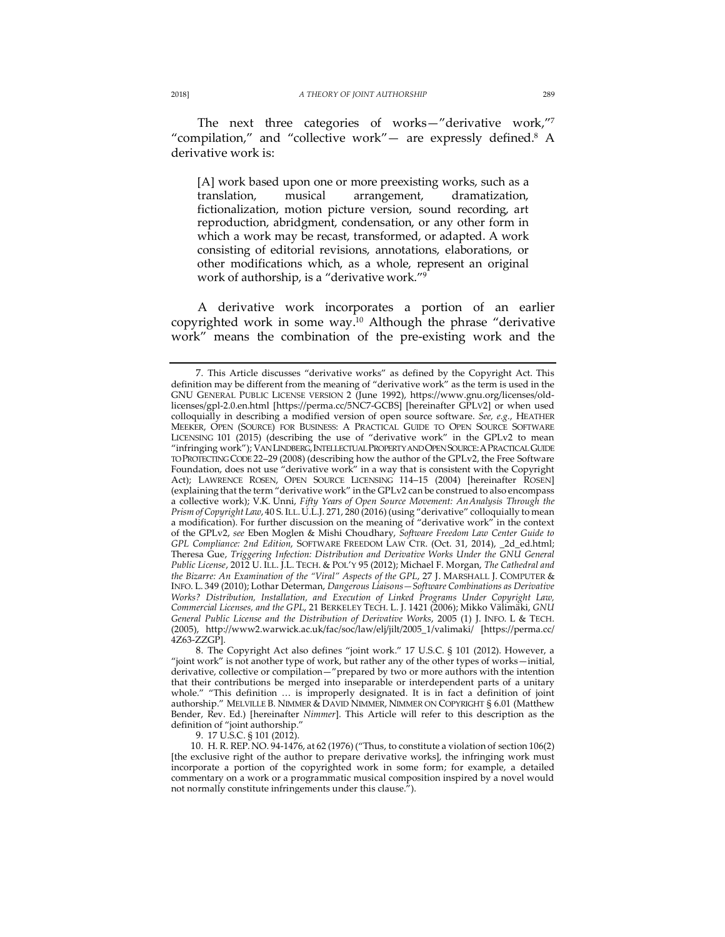The next three categories of works—"derivative work,"7 "compilation," and "collective work"— are expressly defined.<sup>8</sup> A derivative work is:

[A] work based upon one or more preexisting works, such as a translation, musical arrangement, dramatization, fictionalization, motion picture version, sound recording, art reproduction, abridgment, condensation, or any other form in which a work may be recast, transformed, or adapted. A work consisting of editorial revisions, annotations, elaborations, or other modifications which, as a whole, represent an original work of authorship, is a "derivative work."9

A derivative work incorporates a portion of an earlier copyrighted work in some way.10 Although the phrase "derivative work" means the combination of the pre-existing work and the

9. 17 U.S.C. § 101 (2012).

<sup>7.</sup> This Article discusses "derivative works" as defined by the Copyright Act. This definition may be different from the meaning of "derivative work" as the term is used in the GNU GENERAL PUBLIC LICENSE VERSION 2 (June 1992), https://www.gnu.org/licenses/oldlicenses/gpl-2.0.en.html [https://perma.cc/5NC7-GCBS] [hereinafter GPLV2] or when used colloquially in describing a modified version of open source software. *See, e.g.*, HEATHER MEEKER, OPEN (SOURCE) FOR BUSINESS: A PRACTICAL GUIDE TO OPEN SOURCE SOFTWARE LICENSING 101 (2015) (describing the use of "derivative work" in the GPLv2 to mean "infringing work"); VAN LINDBERG,INTELLECTUAL PROPERTY AND OPEN SOURCE:APRACTICAL GUIDE TO PROTECTING CODE 22–29 (2008) (describing how the author of the GPLv2, the Free Software Foundation, does not use "derivative work" in a way that is consistent with the Copyright Act); LAWRENCE ROSEN, OPEN SOURCE LICENSING 114–15 (2004) [hereinafter ROSEN] (explaining that the term "derivative work" in the GPLv2 can be construed to also encompass a collective work); V.K. Unni, *Fifty Years of Open Source Movement: AnAnalysis Through the Prism of Copyright Law*, 40 S. ILL.U.L.J. 271, 280 (2016) (using "derivative" colloquially to mean a modification). For further discussion on the meaning of "derivative work" in the context of the GPLv2, *see* Eben Moglen & Mishi Choudhary, *Software Freedom Law Center Guide to GPL Compliance: 2nd Edition*, SOFTWARE FREEDOM LAW CTR. (Oct. 31, 2014), \_2d\_ed.html; Theresa Gue, *Triggering Infection: Distribution and Derivative Works Under the GNU General Public License*, 2012 U. ILL. J.L. TECH. & POL'Y 95 (2012); Michael F. Morgan, *The Cathedral and the Bizarre: An Examination of the "Viral" Aspects of the GPL*, 27 J. MARSHALL J. COMPUTER & INFO. L. 349 (2010); Lothar Determan, *Dangerous Liaisons—Software Combinations as Derivative Works? Distribution, Installation, and Execution of Linked Programs Under Copyright Law, Commercial Licenses, and the GPL*, 21 BERKELEY TECH. L. J. 1421 (2006); Mikko Välimäki, *GNU General Public License and the Distribution of Derivative Works*, 2005 (1) J. INFO. L & TECH. (2005), http://www2.warwick.ac.uk/fac/soc/law/elj/jilt/2005\_1/valimaki/ [https://perma.cc/ 4Z63-ZZGP].

<sup>8.</sup> The Copyright Act also defines "joint work." 17 U.S.C. § 101 (2012). However, a "joint work" is not another type of work, but rather any of the other types of works—initial, derivative, collective or compilation—"prepared by two or more authors with the intention that their contributions be merged into inseparable or interdependent parts of a unitary whole." "This definition … is improperly designated. It is in fact a definition of joint authorship." MELVILLE B. NIMMER & DAVID NIMMER, NIMMER ON COPYRIGHT § 6.01 (Matthew Bender, Rev. Ed.) [hereinafter *Nimmer*]. This Article will refer to this description as the definition of "joint authorship."

<sup>10.</sup> H. R. REP. NO. 94-1476, at 62 (1976) ("Thus, to constitute a violation of section 106(2) [the exclusive right of the author to prepare derivative works], the infringing work must incorporate a portion of the copyrighted work in some form; for example, a detailed commentary on a work or a programmatic musical composition inspired by a novel would not normally constitute infringements under this clause.").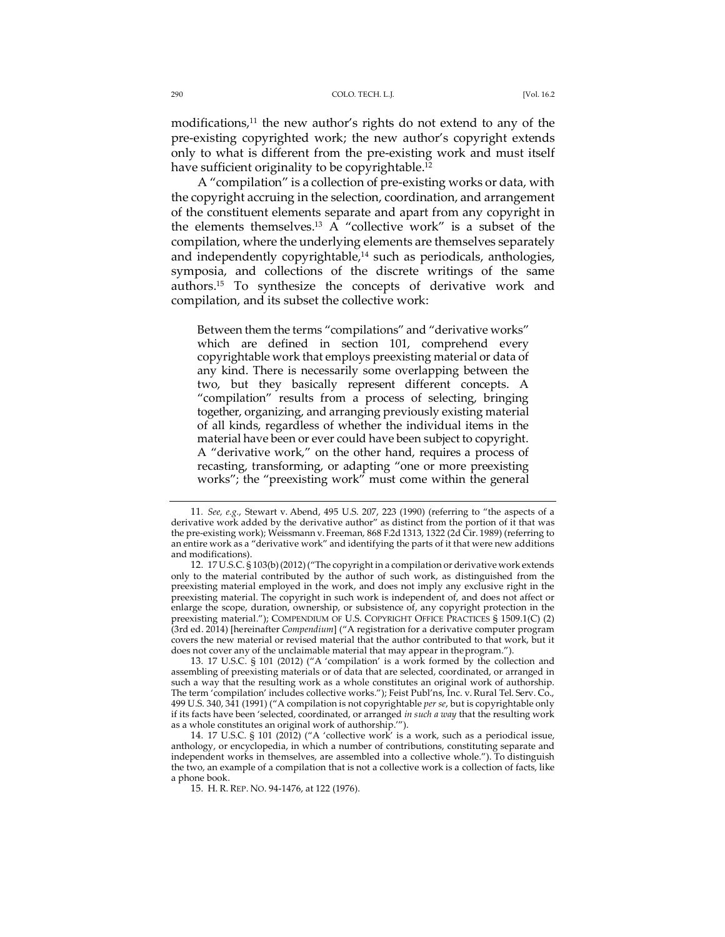modifications,<sup>11</sup> the new author's rights do not extend to any of the pre-existing copyrighted work; the new author's copyright extends only to what is different from the pre-existing work and must itself have sufficient originality to be copyrightable.<sup>12</sup>

A "compilation" is a collection of pre-existing works or data, with the copyright accruing in the selection, coordination, and arrangement of the constituent elements separate and apart from any copyright in the elements themselves.13 A "collective work" is a subset of the compilation, where the underlying elements are themselves separately and independently copyrightable,<sup>14</sup> such as periodicals, anthologies, symposia, and collections of the discrete writings of the same authors.15 To synthesize the concepts of derivative work and compilation, and its subset the collective work:

Between them the terms "compilations" and "derivative works" which are defined in section 101, comprehend every copyrightable work that employs preexisting material or data of any kind. There is necessarily some overlapping between the two, but they basically represent different concepts. A "compilation" results from a process of selecting, bringing together, organizing, and arranging previously existing material of all kinds, regardless of whether the individual items in the material have been or ever could have been subject to copyright. A "derivative work," on the other hand, requires a process of recasting, transforming, or adapting "one or more preexisting works"; the "preexisting work" must come within the general

<sup>11</sup>*. See, e.g.*, Stewart v. Abend, 495 U.S. 207, 223 (1990) (referring to "the aspects of a derivative work added by the derivative author" as distinct from the portion of it that was the pre-existing work); Weissmann v. Freeman, 868 F.2d 1313, 1322 (2d Cir. 1989) (referring to an entire work as a "derivative work" and identifying the parts of it that were new additions and modifications).

<sup>12.</sup> 17 U.S.C. § 103(b)(2012)("The copyright in a compilation or derivative work extends only to the material contributed by the author of such work, as distinguished from the preexisting material employed in the work, and does not imply any exclusive right in the preexisting material. The copyright in such work is independent of, and does not affect or enlarge the scope, duration, ownership, or subsistence of, any copyright protection in the preexisting material."); COMPENDIUM OF U.S. COPYRIGHT OFFICE PRACTICES § 1509.1(C) (2) (3rd ed. 2014) [hereinafter *Compendium*] ("A registration for a derivative computer program covers the new material or revised material that the author contributed to that work, but it does not cover any of the unclaimable material that may appear in theprogram.").

<sup>13.</sup> 17 U.S.C. § 101 (2012) ("A 'compilation' is a work formed by the collection and assembling of preexisting materials or of data that are selected, coordinated, or arranged in such a way that the resulting work as a whole constitutes an original work of authorship. The term 'compilation' includes collective works."); Feist Publ'ns, Inc. v. Rural Tel. Serv. Co., 499 U.S. 340, 341 (1991) ("A compilation is not copyrightable *per se*, but is copyrightable only if its facts have been 'selected, coordinated, or arranged *in such a way* that the resulting work as a whole constitutes an original work of authorship.'").

<sup>14.</sup> 17 U.S.C. § 101 (2012) ("A 'collective work' is a work, such as a periodical issue, anthology, or encyclopedia, in which a number of contributions, constituting separate and independent works in themselves, are assembled into a collective whole."). To distinguish the two, an example of a compilation that is not a collective work is a collection of facts, like a phone book.

<sup>15.</sup> H. R. REP. NO. 94-1476, at 122 (1976).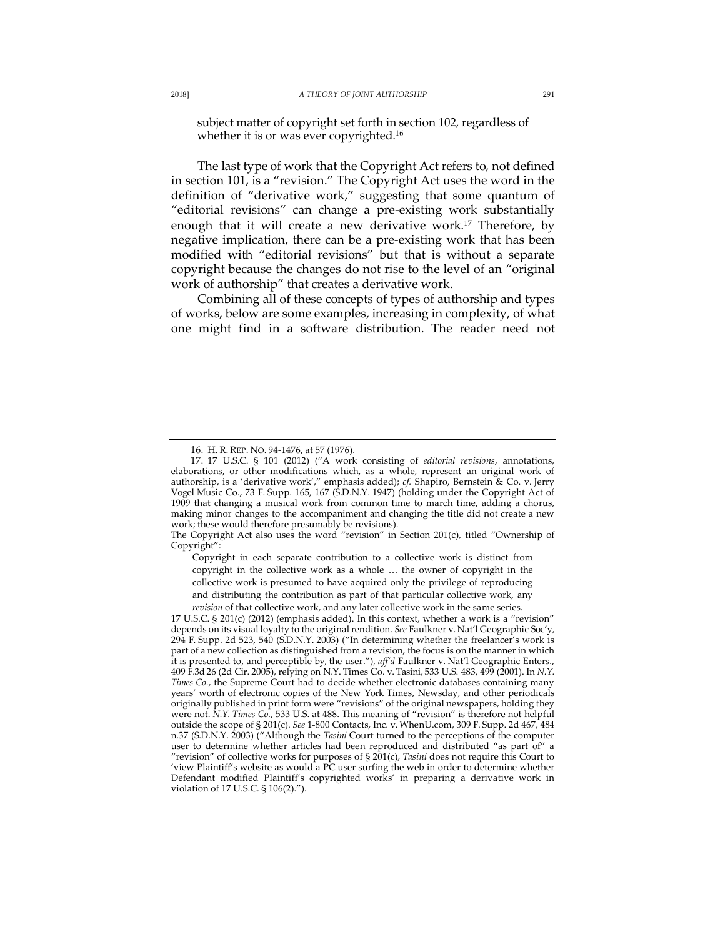subject matter of copyright set forth in section 102, regardless of whether it is or was ever copyrighted.<sup>16</sup>

The last type of work that the Copyright Act refers to, not defined in section 101, is a "revision." The Copyright Act uses the word in the definition of "derivative work," suggesting that some quantum of "editorial revisions" can change a pre-existing work substantially enough that it will create a new derivative work.<sup>17</sup> Therefore, by negative implication, there can be a pre-existing work that has been modified with "editorial revisions" but that is without a separate copyright because the changes do not rise to the level of an "original work of authorship" that creates a derivative work.

Combining all of these concepts of types of authorship and types of works, below are some examples, increasing in complexity, of what one might find in a software distribution. The reader need not

<sup>16.</sup> H. R. REP. NO. 94-1476, at 57 (1976).

<sup>17.</sup> 17 U.S.C. § 101 (2012) ("A work consisting of *editorial revisions*, annotations, elaborations, or other modifications which, as a whole, represent an original work of authorship, is a 'derivative work'," emphasis added); *cf.* Shapiro, Bernstein & Co. v. Jerry Vogel Music Co., 73 F. Supp. 165, 167 (S.D.N.Y. 1947) (holding under the Copyright Act of 1909 that changing a musical work from common time to march time, adding a chorus, making minor changes to the accompaniment and changing the title did not create a new work; these would therefore presumably be revisions).

The Copyright Act also uses the word "revision" in Section 201(c), titled "Ownership of Copyright":

Copyright in each separate contribution to a collective work is distinct from copyright in the collective work as a whole … the owner of copyright in the collective work is presumed to have acquired only the privilege of reproducing and distributing the contribution as part of that particular collective work, any *revision* of that collective work, and any later collective work in the same series.

<sup>17</sup> U.S.C. § 201(c) (2012) (emphasis added). In this context, whether a work is a "revision" depends on its visual loyalty to the original rendition. *See* Faulkner v. Nat'l Geographic Soc'y, 294 F. Supp. 2d 523, 540 (S.D.N.Y. 2003) ("In determining whether the freelancer's work is part of a new collection as distinguished from a revision, the focus is on the manner in which it is presented to, and perceptible by, the user."), *aff'd* Faulkner v. Nat'l Geographic Enters., 409 F.3d 26 (2d Cir. 2005), relying on N.Y. Times Co. v. Tasini, 533 U.S. 483, 499 (2001). In *N.Y. Times Co.*, the Supreme Court had to decide whether electronic databases containing many years' worth of electronic copies of the New York Times, Newsday, and other periodicals originally published in print form were "revisions" of the original newspapers, holding they were not. *N.Y. Times Co.*, 533 U.S. at 488. This meaning of "revision" is therefore not helpful outside the scope of § 201(c). *See* 1-800 Contacts, Inc. v. WhenU.com, 309 F. Supp. 2d 467, 484 n.37 (S.D.N.Y. 2003) ("Although the *Tasini* Court turned to the perceptions of the computer user to determine whether articles had been reproduced and distributed "as part of" a "revision" of collective works for purposes of § 201(c), *Tasini* does not require this Court to 'view Plaintiff's website as would a PC user surfing the web in order to determine whether Defendant modified Plaintiff's copyrighted works' in preparing a derivative work in violation of 17 U.S.C. § 106(2).").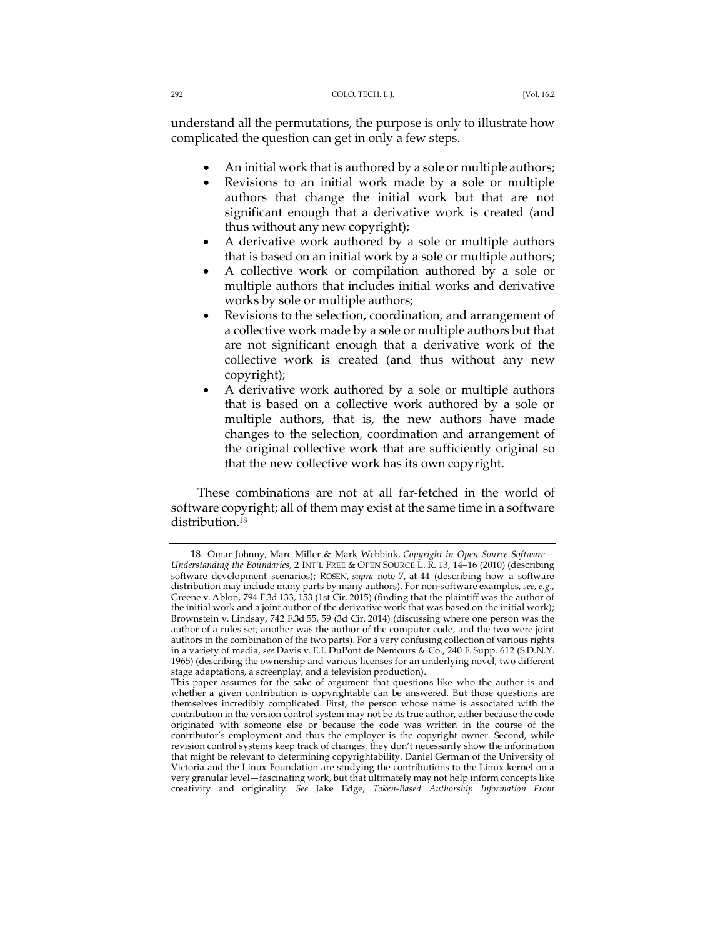understand all the permutations, the purpose is only to illustrate how complicated the question can get in only a few steps.

- An initial work that is authored by a sole or multiple authors;
- Revisions to an initial work made by a sole or multiple authors that change the initial work but that are not significant enough that a derivative work is created (and thus without any new copyright);
- A derivative work authored by a sole or multiple authors that is based on an initial work by a sole or multiple authors;
- A collective work or compilation authored by a sole or multiple authors that includes initial works and derivative works by sole or multiple authors;
- Revisions to the selection, coordination, and arrangement of a collective work made by a sole or multiple authors but that are not significant enough that a derivative work of the collective work is created (and thus without any new copyright);
- A derivative work authored by a sole or multiple authors that is based on a collective work authored by a sole or multiple authors, that is, the new authors have made changes to the selection, coordination and arrangement of the original collective work that are sufficiently original so that the new collective work has its own copyright.

These combinations are not at all far-fetched in the world of software copyright; all of them may exist at the same time in a software distribution.<sup>18</sup>

<sup>18.</sup> Omar Johnny, Marc Miller & Mark Webbink, *Copyright in Open Source Software— Understanding the Boundaries*, 2 INT'L FREE & OPEN SOURCE L. R. 13, 14–16 (2010) (describing software development scenarios); ROSEN, *supra* note 7, at 44 (describing how a software distribution may include many parts by many authors). For non-software examples, *see, e.g.*, Greene v. Ablon, 794 F.3d 133, 153 (1st Cir. 2015) (finding that the plaintiff was the author of the initial work and a joint author of the derivative work that was based on the initial work); Brownstein v. Lindsay, 742 F.3d 55, 59 (3d Cir. 2014) (discussing where one person was the author of a rules set, another was the author of the computer code, and the two were joint authors in the combination of the two parts). For a very confusing collection of various rights in a variety of media, *see* Davis v. E.I. DuPont de Nemours & Co., 240 F. Supp. 612 (S.D.N.Y. 1965) (describing the ownership and various licenses for an underlying novel, two different stage adaptations, a screenplay, and a television production).

This paper assumes for the sake of argument that questions like who the author is and whether a given contribution is copyrightable can be answered. But those questions are themselves incredibly complicated. First, the person whose name is associated with the contribution in the version control system may not be its true author, either because the code originated with someone else or because the code was written in the course of the contributor's employment and thus the employer is the copyright owner. Second, while revision control systems keep track of changes, they don't necessarily show the information that might be relevant to determining copyrightability. Daniel German of the University of Victoria and the Linux Foundation are studying the contributions to the Linux kernel on a very granular level—fascinating work, but that ultimately may not help inform concepts like creativity and originality. *See* Jake Edge, *Token-Based Authorship Information From*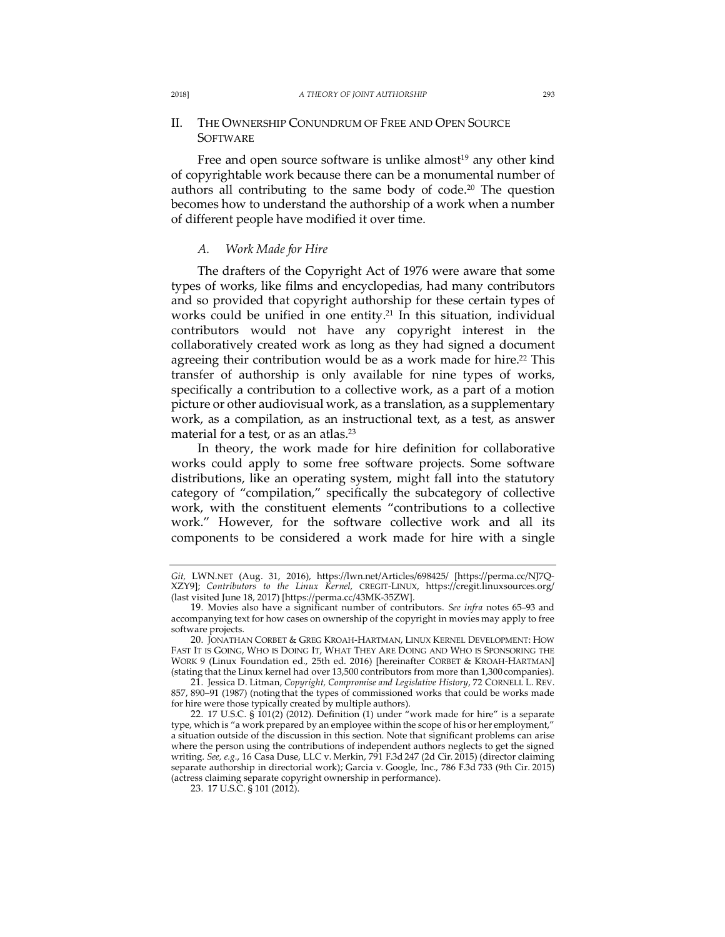#### 2018] *A THEORY OF JOINT AUTHORSHIP* 293

# II. THE OWNERSHIP CONUNDRUM OF FREE AND OPEN SOURCE **SOFTWARE**

Free and open source software is unlike almost<sup>19</sup> any other kind of copyrightable work because there can be a monumental number of authors all contributing to the same body of code.<sup>20</sup> The question becomes how to understand the authorship of a work when a number of different people have modified it over time.

### *A. Work Made for Hire*

The drafters of the Copyright Act of 1976 were aware that some types of works, like films and encyclopedias, had many contributors and so provided that copyright authorship for these certain types of works could be unified in one entity.<sup>21</sup> In this situation, individual contributors would not have any copyright interest in the collaboratively created work as long as they had signed a document agreeing their contribution would be as a work made for hire.<sup>22</sup> This transfer of authorship is only available for nine types of works, specifically a contribution to a collective work, as a part of a motion picture or other audiovisual work, as a translation, as a supplementary work, as a compilation, as an instructional text, as a test, as answer material for a test, or as an atlas.<sup>23</sup>

In theory, the work made for hire definition for collaborative works could apply to some free software projects. Some software distributions, like an operating system, might fall into the statutory category of "compilation," specifically the subcategory of collective work, with the constituent elements "contributions to a collective work." However, for the software collective work and all its components to be considered a work made for hire with a single

*Git,* LWN.NET (Aug. 31, 2016), https://lwn.net/Articles/698425/ [https://perma.cc/NJ7Q-XZY9]; *Contributors to the Linux Kernel*, CREGIT-LINUX, https://cregit.linuxsources.org/ (last visited June 18, 2017) [https://perma.cc/43MK-35ZW].

<sup>19.</sup> Movies also have a significant number of contributors. *See infra* notes 65–93 and accompanying text for how cases on ownership of the copyright in movies may apply to free software projects.

<sup>20.</sup> JONATHAN CORBET & GREG KROAH-HARTMAN, LINUX KERNEL DEVELOPMENT: HOW FAST IT IS GOING, WHO IS DOING IT, WHAT THEY ARE DOING AND WHO IS SPONSORING THE WORK 9 (Linux Foundation ed., 25th ed. 2016) [hereinafter CORBET & KROAH-HARTMAN] (stating that the Linux kernel had over 13,500 contributors from more than 1,300 companies).

<sup>21.</sup> Jessica D. Litman, *Copyright, Compromise and Legislative History*, 72 CORNELL L. REV. 857, 890–91 (1987) (notingthat the types of commissioned works that could be works made for hire were those typically created by multiple authors).

<sup>22.</sup> 17 U.S.C. § 101(2) (2012). Definition (1) under "work made for hire" is a separate type, which is "a work prepared by an employee within the scope of his or her employment," a situation outside of the discussion in this section. Note that significant problems can arise where the person using the contributions of independent authors neglects to get the signed writing. *See, e.g.*, 16 Casa Duse, LLC v. Merkin, 791 F.3d 247 (2d Cir. 2015) (director claiming separate authorship in directorial work); Garcia v. Google, Inc., 786 F.3d 733 (9th Cir. 2015) (actress claiming separate copyright ownership in performance).

<sup>23.</sup> 17 U.S.C. § 101 (2012).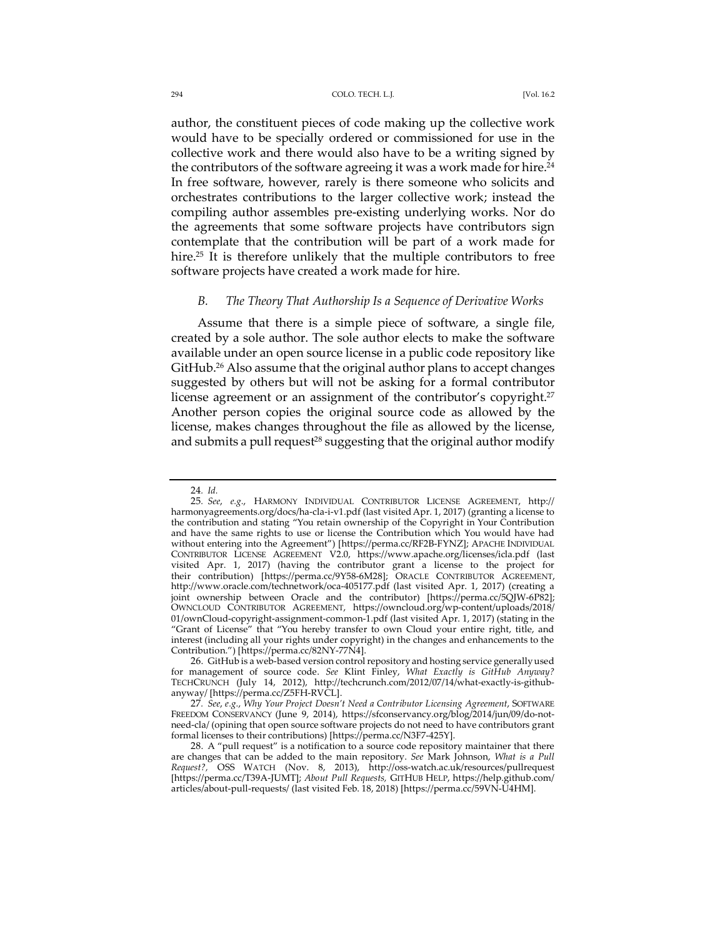author, the constituent pieces of code making up the collective work would have to be specially ordered or commissioned for use in the collective work and there would also have to be a writing signed by the contributors of the software agreeing it was a work made for hire.<sup>24</sup> In free software, however, rarely is there someone who solicits and orchestrates contributions to the larger collective work; instead the compiling author assembles pre-existing underlying works. Nor do the agreements that some software projects have contributors sign contemplate that the contribution will be part of a work made for hire.<sup>25</sup> It is therefore unlikely that the multiple contributors to free software projects have created a work made for hire.

### *B. The Theory That Authorship Is a Sequence of Derivative Works*

Assume that there is a simple piece of software, a single file, created by a sole author. The sole author elects to make the software available under an open source license in a public code repository like GitHub.26 Also assume that the original author plans to accept changes suggested by others but will not be asking for a formal contributor license agreement or an assignment of the contributor's copyright.<sup>27</sup> Another person copies the original source code as allowed by the license, makes changes throughout the file as allowed by the license, and submits a pull request<sup>28</sup> suggesting that the original author modify

<sup>24</sup>*. Id.*

<sup>25</sup>*. See*, *e.g.*, HARMONY INDIVIDUAL CONTRIBUTOR LICENSE AGREEMENT, http:// harmonyagreements.org/docs/ha-cla-i-v1.pdf (last visitedApr. 1, 2017) (granting a license to the contribution and stating "You retain ownership of the Copyright in Your Contribution and have the same rights to use or license the Contribution which You would have had without entering into the Agreement") [https://perma.cc/RF2B-FYNZ]; APACHE INDIVIDUAL CONTRIBUTOR LICENSE AGREEMENT V2.0, https://www.apache.org/licenses/icla.pdf (last visited Apr. 1, 2017) (having the contributor grant a license to the project for their contribution) [https://perma.cc/9Y58-6M28]; ORACLE CONTRIBUTOR AGREEMENT, http://www.oracle.com/technetwork/oca-405177.pdf (last visited Apr. 1, 2017) (creating a joint ownership between Oracle and the contributor) [https://perma.cc/5QJW-6P82]; OWNCLOUD CONTRIBUTOR AGREEMENT, https://owncloud.org/wp-content/uploads/2018/ 01/ownCloud-copyright-assignment-common-1.pdf (last visited Apr. 1, 2017) (stating in the "Grant of License" that "You hereby transfer to own Cloud your entire right, title, and interest (including all your rights under copyright) in the changes and enhancements to the Contribution.") [https://perma.cc/82NY-77N4].

<sup>26.</sup> GitHub is a web-based version control repository and hosting service generally used for management of source code. *See* Klint Finley, *What Exactly is GitHub Anyway?* TECHCRUNCH (July 14, 2012), http://techcrunch.com/2012/07/14/what-exactly-is-githubanyway/ [https://perma.cc/Z5FH-RVCL].

<sup>27</sup>*. See*, *e.g.*, *Why Your Project Doesn't Need a Contributor Licensing Agreement*, SOFTWARE FREEDOM CONSERVANCY (June 9, 2014), https://sfconservancy.org/blog/2014/jun/09/do-notneed-cla/ (opining that open source software projects do not need to have contributors grant formal licenses to their contributions) [https://perma.cc/N3F7-425Y].

<sup>28.</sup> A "pull request" is a notification to a source code repository maintainer that there are changes that can be added to the main repository. *See* Mark Johnson, *What is a Pull Request?,* OSS WATCH (Nov. 8, 2013), http://oss-watch.ac.uk/resources/pullrequest [https://perma.cc/T39A-JUMT]; *About Pull Requests,* GITHUB HELP, https://help.github.com/ articles/about-pull-requests/ (last visited Feb. 18, 2018) [https://perma.cc/59VN-U4HM].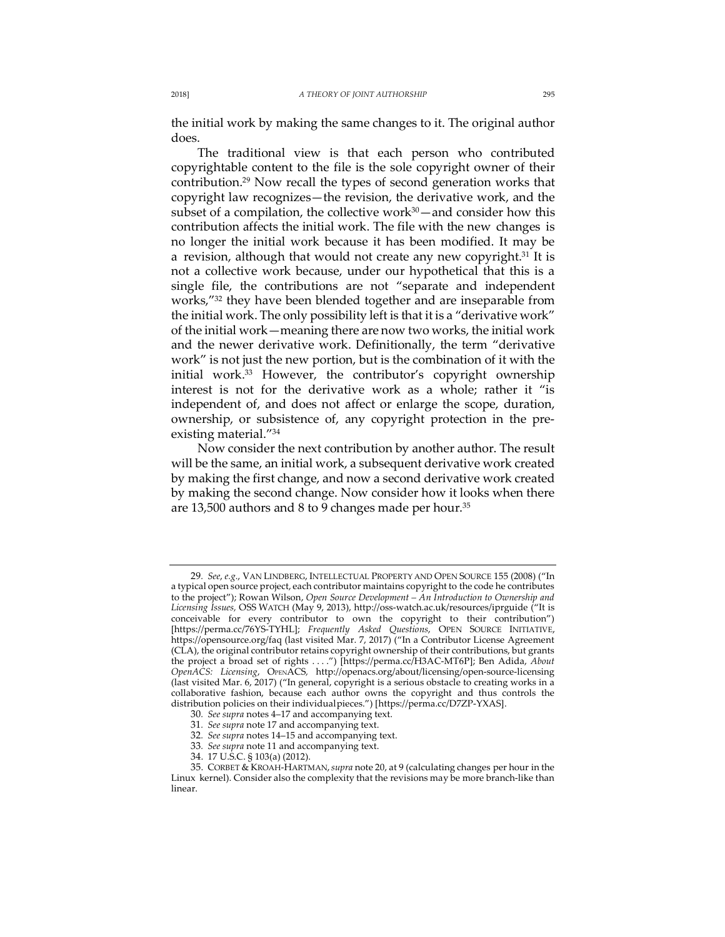the initial work by making the same changes to it. The original author does.

The traditional view is that each person who contributed copyrightable content to the file is the sole copyright owner of their contribution.29 Now recall the types of second generation works that copyright law recognizes—the revision, the derivative work, and the subset of a compilation, the collective work $30$  — and consider how this contribution affects the initial work. The file with the new changes is no longer the initial work because it has been modified. It may be a revision, although that would not create any new copyright.<sup>31</sup> It is not a collective work because, under our hypothetical that this is a single file, the contributions are not "separate and independent works,"32 they have been blended together and are inseparable from the initial work. The only possibility left is that it is a "derivative work" of the initial work—meaning there are now two works, the initial work and the newer derivative work. Definitionally, the term "derivative work" is not just the new portion, but is the combination of it with the initial work.<sup>33</sup> However, the contributor's copyright ownership interest is not for the derivative work as a whole; rather it "is independent of, and does not affect or enlarge the scope, duration, ownership, or subsistence of, any copyright protection in the preexisting material."34

Now consider the next contribution by another author. The result will be the same, an initial work, a subsequent derivative work created by making the first change, and now a second derivative work created by making the second change. Now consider how it looks when there are 13,500 authors and 8 to 9 changes made per hour.<sup>35</sup>

<sup>29</sup>*. See*, *e.g.*, VAN LINDBERG, INTELLECTUAL PROPERTY AND OPEN SOURCE 155 (2008) ("In a typical open source project, each contributor maintains copyright to the code he contributes to the project"); Rowan Wilson, *Open Source Development – An Introduction to Ownership and Licensing Issues,* OSS WATCH (May 9, 2013), http://oss-watch.ac.uk/resources/iprguide ("It is conceivable for every contributor to own the copyright to their contribution") [https://perma.cc/76YS-TYHL]; *Frequently Asked Questions*, OPEN SOURCE INITIATIVE, https://opensource.org/faq (last visited Mar. 7, 2017) ("In a Contributor License Agreement (CLA), the original contributor retains copyright ownership of their contributions, but grants the project a broad set of rights . . . .") [https://perma.cc/H3AC-MT6P]; Ben Adida, *About OpenACS: Licensing*, OPENACS*,* http://openacs.org/about/licensing/open-source-licensing (last visited Mar. 6, 2017) ("In general, copyright is a serious obstacle to creating works in a collaborative fashion, because each author owns the copyright and thus controls the distribution policies on their individualpieces.") [https://perma.cc/D7ZP-YXAS].

<sup>30</sup>*. See supra* notes 4–17 and accompanying text.

<sup>31</sup>*. See supra* note 17 and accompanying text.

<sup>32</sup>*. See supra* notes 14–15 and accompanying text.

<sup>33</sup>*. See supra* note 11 and accompanying text.

<sup>34.</sup> 17 U.S.C. § 103(a) (2012).

<sup>35.</sup> CORBET & KROAH-HARTMAN,*supra* note 20, at 9 (calculating changes per hour in the Linux kernel). Consider also the complexity that the revisions may be more branch-like than linear.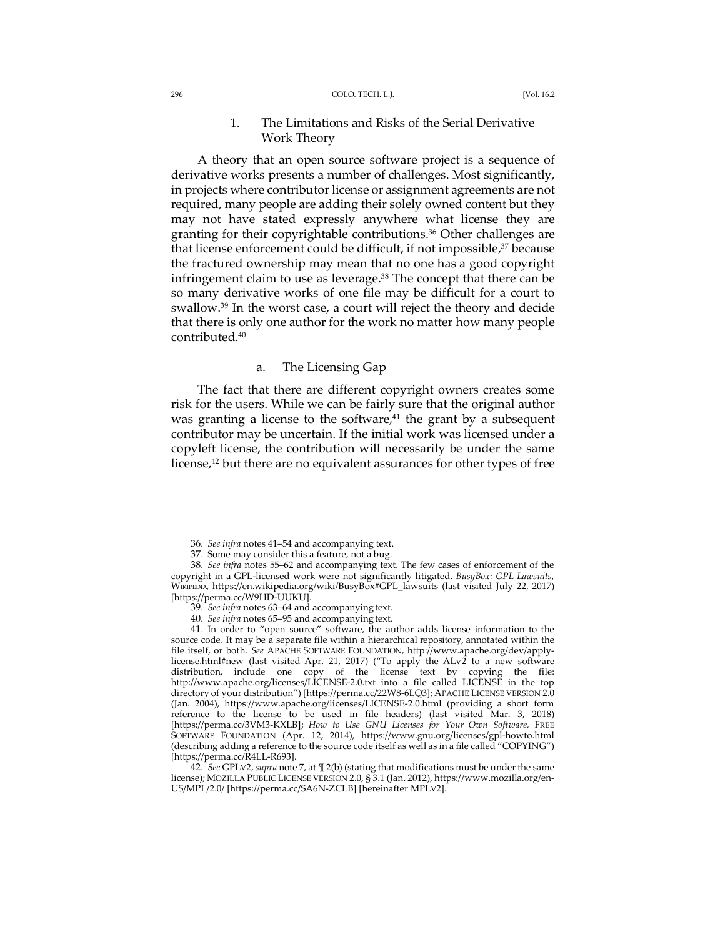## 1. The Limitations and Risks of the Serial Derivative Work Theory

A theory that an open source software project is a sequence of derivative works presents a number of challenges. Most significantly, in projects where contributor license or assignment agreements are not required, many people are adding their solely owned content but they may not have stated expressly anywhere what license they are granting for their copyrightable contributions.36 Other challenges are that license enforcement could be difficult, if not impossible,<sup>37</sup> because the fractured ownership may mean that no one has a good copyright infringement claim to use as leverage.<sup>38</sup> The concept that there can be so many derivative works of one file may be difficult for a court to swallow.39 In the worst case, a court will reject the theory and decide that there is only one author for the work no matter how many people contributed.40

### a. The Licensing Gap

The fact that there are different copyright owners creates some risk for the users. While we can be fairly sure that the original author was granting a license to the software, $41$  the grant by a subsequent contributor may be uncertain. If the initial work was licensed under a copyleft license, the contribution will necessarily be under the same license, $42$  but there are no equivalent assurances for other types of free

<sup>36</sup>*. See infra* notes 41–54 and accompanying text.

<sup>37.</sup> Some may consider this a feature, not a bug.

<sup>38</sup>*. See infra* notes 55–62 and accompanying text. The few cases of enforcement of the copyright in a GPL-licensed work were not significantly litigated. *BusyBox: GPL Lawsuits*, WIKIPEDIA, https://en.wikipedia.org/wiki/BusyBox#GPL\_lawsuits (last visited July 22, 2017) [https://perma.cc/W9HD-UUKU].

<sup>39</sup>*. See infra* notes 63–64 and accompanying text.

<sup>40</sup>*. See infra* notes 65–95 and accompanying text.

<sup>41.</sup> In order to "open source" software, the author adds license information to the source code. It may be a separate file within a hierarchical repository, annotated within the file itself, or both. *See* APACHE SOFTWARE FOUNDATION, http://www.apache.org/dev/applylicense.html#new (last visited Apr. 21, 2017) ("To apply the ALv2 to a new software distribution, include one copy of the license text by copying the file: http://www.apache.org/licenses/LICENSE-2.0.txt into a file called LICENSE in the top directory of your distribution") [https://perma.cc/22W8-6LQ3]; APACHE LICENSE VERSION 2.0 (Jan. 2004), https://www.apache.org/licenses/LICENSE-2.0.html (providing a short form reference to the license to be used in file headers) (last visited Mar. 3, 2018) [https://perma.cc/3VM3-KXLB]; *How to Use GNU Licenses for Your Own Software,* FREE SOFTWARE FOUNDATION (Apr. 12, 2014), https://www.gnu.org/licenses/gpl-howto.html (describing adding a reference to the source code itself as well as in a file called "COPYING") [https://perma.cc/R4LL-R693].

<sup>42</sup>*. See* GPLV2, *supra* note 7, at ¶ 2(b) (stating that modifications must be under the same license); MOZILLA PUBLIC LICENSE VERSION 2.0, § 3.1 (Jan. 2012), https://www.mozilla.org/en-US/MPL/2.0/ [https://perma.cc/SA6N-ZCLB] [hereinafter MPLV2].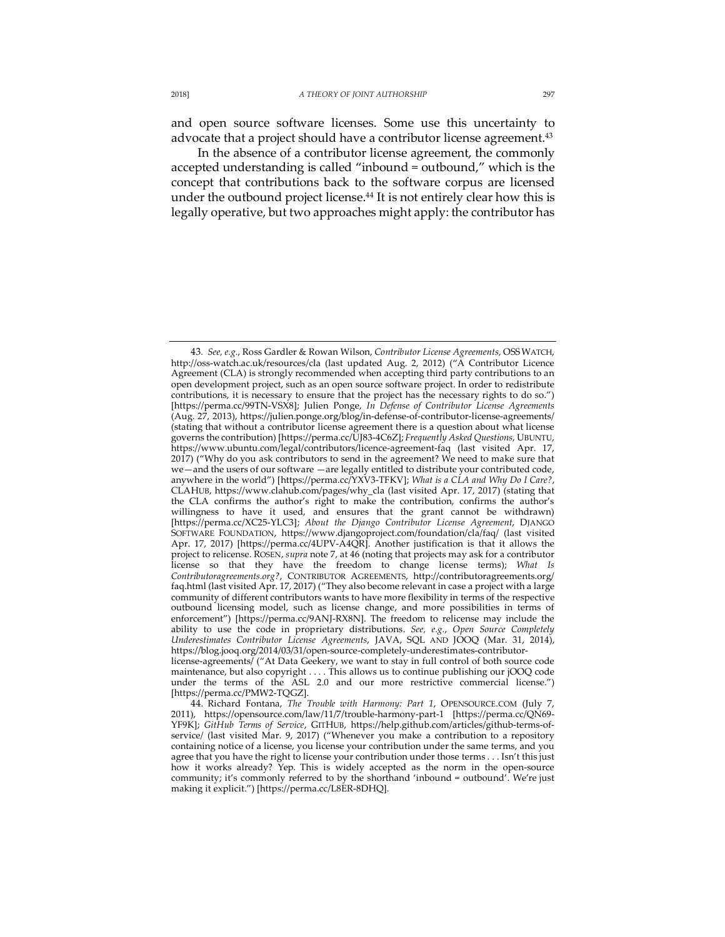and open source software licenses. Some use this uncertainty to advocate that a project should have a contributor license agreement.<sup>43</sup>

In the absence of a contributor license agreement, the commonly accepted understanding is called "inbound = outbound," which is the concept that contributions back to the software corpus are licensed under the outbound project license.<sup>44</sup> It is not entirely clear how this is legally operative, but two approaches might apply: the contributor has

<sup>43</sup>*. See, e.g.*, Ross Gardler & Rowan Wilson, *Contributor License Agreements,* OSSWATCH, http://oss-watch.ac.uk/resources/cla (last updated Aug. 2, 2012) ("A Contributor Licence Agreement (CLA) is strongly recommended when accepting third party contributions to an open development project, such as an open source software project. In order to redistribute contributions, it is necessary to ensure that the project has the necessary rights to do so.") [https://perma.cc/99TN-VSX8]; Julien Ponge, *In Defense of Contributor License Agreements* (Aug. 27, 2013), https://julien.ponge.org/blog/in-defense-of-contributor-license-agreements/ (stating that without a contributor license agreement there is a question about what license governs the contribution) [https://perma.cc/UJ83-4C6Z]; *Frequently Asked Questions*, UBUNTU, https://www.ubuntu.com/legal/contributors/licence-agreement-faq (last visited Apr. 17, 2017) ("Why do you ask contributors to send in the agreement? We need to make sure that we—and the users of our software —are legally entitled to distribute your contributed code, anywhere in the world") [https://perma.cc/YXV3-TFKV]; *What is a CLA and Why Do I Care?*, CLAHUB, https://www.clahub.com/pages/why\_cla (last visited Apr. 17, 2017) (stating that the CLA confirms the author's right to make the contribution, confirms the author's willingness to have it used, and ensures that the grant cannot be withdrawn) [https://perma.cc/XC25-YLC3]; *About the Django Contributor License Agreement*, DJANGO SOFTWARE FOUNDATION, https://www.djangoproject.com/foundation/cla/faq/ (last visited Apr. 17, 2017) [https://perma.cc/4UPV-A4QR]. Another justification is that it allows the project to relicense. ROSEN, *supra* note 7, at 46 (noting that projects may ask for a contributor license so that they have the freedom to change license terms); *What Is Contributoragreements.org?*, CONTRIBUTOR AGREEMENTS, http://contributoragreements.org/ faq.html (last visited Apr. 17, 2017) ("They also become relevant in case a project with a large community of different contributors wants to have more flexibility in terms of the respective outbound licensing model, such as license change, and more possibilities in terms of enforcement") [https://perma.cc/9ANJ-RX8N]. The freedom to relicense may include the ability to use the code in proprietary distributions. *See, e.g.*, *Open Source Completely Underestimates Contributor License Agreements*, JAVA, SQL AND JOOQ (Mar. 31, 2014), https://blog.jooq.org/2014/03/31/open-source-completely-underestimates-contributor-

license-agreements/ ("At Data Geekery, we want to stay in full control of both source code maintenance, but also copyright . . . . This allows us to continue publishing our jOOQ code under the terms of the ASL 2.0 and our more restrictive commercial license.") [https://perma.cc/PMW2-TQGZ].

<sup>44.</sup> Richard Fontana, *The Trouble with Harmony: Part 1*, OPENSOURCE.COM (July 7, 2011), https://opensource.com/law/11/7/trouble-harmony-part-1 [https://perma.cc/QN69- YF9K]; *GitHub Terms of Service*, GITHUB, https://help.github.com/articles/github-terms-ofservice/ (last visited Mar. 9, 2017) ("Whenever you make a contribution to a repository containing notice of a license, you license your contribution under the same terms, and you agree that you have the right to license your contribution under those terms . . . Isn't this just how it works already? Yep. This is widely accepted as the norm in the open-source community; it's commonly referred to by the shorthand 'inbound = outbound'. We're just making it explicit.") [https://perma.cc/L8ER-8DHQ].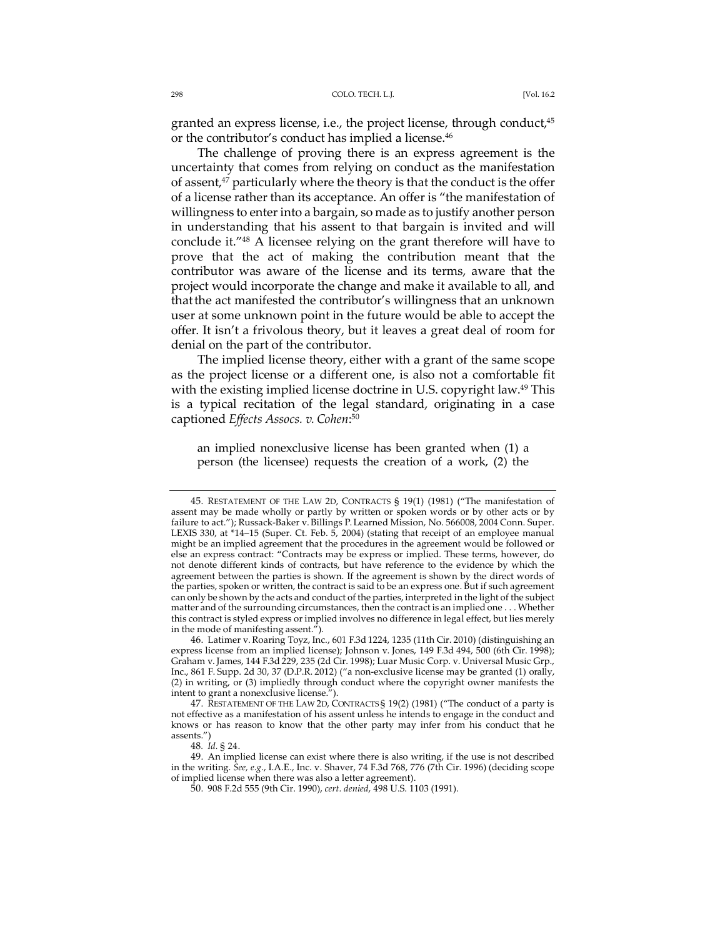granted an express license, i.e., the project license, through conduct,<sup>45</sup> or the contributor's conduct has implied a license.<sup>46</sup>

The challenge of proving there is an express agreement is the uncertainty that comes from relying on conduct as the manifestation of assent,<sup>47</sup> particularly where the theory is that the conduct is the offer of a license rather than its acceptance. An offer is "the manifestation of willingness to enter into a bargain, so made as to justify another person in understanding that his assent to that bargain is invited and will conclude it."48 A licensee relying on the grant therefore will have to prove that the act of making the contribution meant that the contributor was aware of the license and its terms, aware that the project would incorporate the change and make it available to all, and thatthe act manifested the contributor's willingness that an unknown user at some unknown point in the future would be able to accept the offer. It isn't a frivolous theory, but it leaves a great deal of room for denial on the part of the contributor.

The implied license theory, either with a grant of the same scope as the project license or a different one, is also not a comfortable fit with the existing implied license doctrine in U.S. copyright law.<sup>49</sup> This is a typical recitation of the legal standard, originating in a case captioned *Effects Assocs. v. Cohen*: 50

an implied nonexclusive license has been granted when (1) a person (the licensee) requests the creation of a work, (2) the

<sup>45.</sup> RESTATEMENT OF THE LAW 2D, CONTRACTS § 19(1) (1981) ("The manifestation of assent may be made wholly or partly by written or spoken words or by other acts or by failure to act."); Russack-Baker v. Billings P. Learned Mission, No. 566008, 2004 Conn. Super. LEXIS 330, at \*14–15 (Super. Ct. Feb. 5, 2004) (stating that receipt of an employee manual might be an implied agreement that the procedures in the agreement would be followed or else an express contract: "Contracts may be express or implied. These terms, however, do not denote different kinds of contracts, but have reference to the evidence by which the agreement between the parties is shown. If the agreement is shown by the direct words of the parties, spoken or written, the contract is said to be an express one. But if such agreement can only be shown by the acts and conduct of the parties, interpreted in the light of the subject matter and of the surrounding circumstances, then the contract is an implied one . . . Whether this contract is styled express or implied involves no difference in legal effect, but lies merely in the mode of manifesting assent.").

<sup>46.</sup> Latimer v. Roaring Toyz, Inc., 601 F.3d 1224, 1235 (11th Cir. 2010) (distinguishing an express license from an implied license); Johnson v. Jones, 149 F.3d 494, 500 (6th Cir. 1998); Graham v. James, 144 F.3d 229, 235 (2d Cir. 1998); Luar Music Corp. v. Universal Music Grp., Inc., 861 F. Supp. 2d 30, 37 (D.P.R. 2012) ("a non-exclusive license may be granted (1) orally, (2) in writing, or (3) impliedly through conduct where the copyright owner manifests the intent to grant a nonexclusive license.").

<sup>47.</sup> RESTATEMENT OF THE LAW 2D, CONTRACTS § 19(2) (1981) ("The conduct of a party is not effective as a manifestation of his assent unless he intends to engage in the conduct and knows or has reason to know that the other party may infer from his conduct that he assents.")

<sup>48</sup>*. Id.* § 24.

<sup>49.</sup> An implied license can exist where there is also writing, if the use is not described in the writing. *See, e.g.*, I.A.E., Inc. v. Shaver, 74 F.3d 768, 776 (7th Cir. 1996) (deciding scope of implied license when there was also a letter agreement).

<sup>50.</sup> 908 F.2d 555 (9th Cir. 1990), *cert. denied*, 498 U.S. 1103 (1991).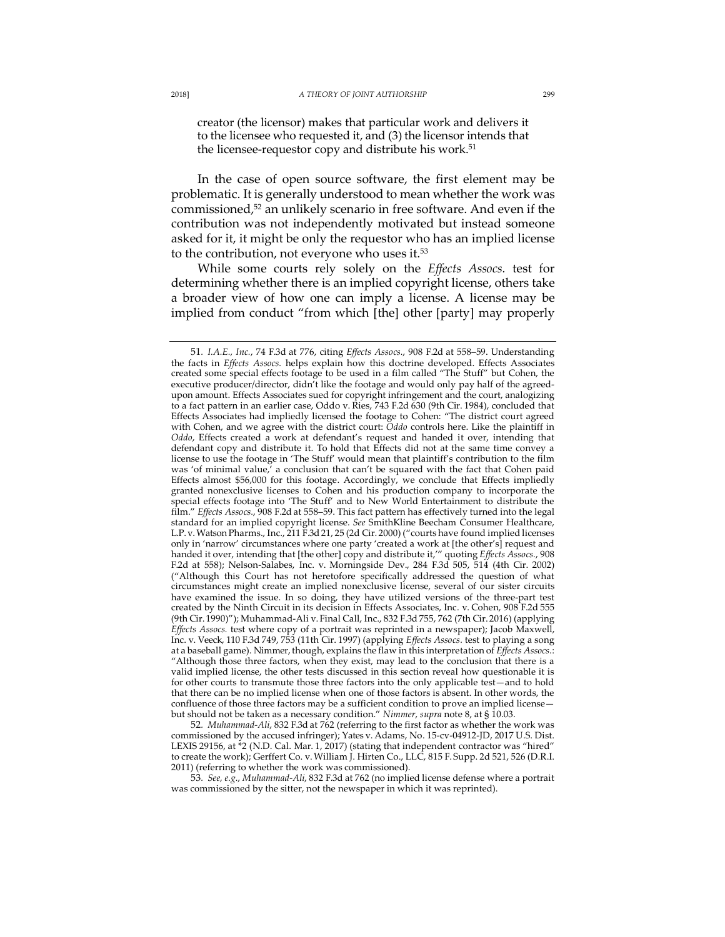creator (the licensor) makes that particular work and delivers it to the licensee who requested it, and (3) the licensor intends that the licensee-requestor copy and distribute his work.<sup>51</sup>

In the case of open source software, the first element may be problematic. It is generally understood to mean whether the work was commissioned,<sup>52</sup> an unlikely scenario in free software. And even if the contribution was not independently motivated but instead someone asked for it, it might be only the requestor who has an implied license to the contribution, not everyone who uses it.<sup>53</sup>

While some courts rely solely on the *Effects Assocs.* test for determining whether there is an implied copyright license, others take a broader view of how one can imply a license. A license may be implied from conduct "from which [the] other [party] may properly

52*. Muhammad-Ali*, 832 F.3d at 762 (referring to the first factor as whether the work was commissioned by the accused infringer); Yates v. Adams, No. 15-cv-04912-JD, 2017 U.S. Dist. LEXIS 29156, at \*2 (N.D. Cal. Mar. 1, 2017) (stating that independent contractor was "hired" to create the work); Gerffert Co. v. William J. Hirten Co., LLC, 815 F. Supp. 2d 521, 526 (D.R.I. 2011) (referring to whether the work was commissioned).

53*. See, e.g.*, *Muhammad-Ali*, 832 F.3d at 762 (no implied license defense where a portrait was commissioned by the sitter, not the newspaper in which it was reprinted).

<sup>51</sup>*. I.A.E., Inc.*, 74 F.3d at 776, citing *Effects Assocs.*, 908 F.2d at 558–59. Understanding the facts in *Effects Assocs.* helps explain how this doctrine developed. Effects Associates created some special effects footage to be used in a film called "The Stuff" but Cohen, the executive producer/director, didn't like the footage and would only pay half of the agreedupon amount. Effects Associates sued for copyright infringement and the court, analogizing to a fact pattern in an earlier case, Oddo v. Ries, 743 F.2d 630 (9th Cir. 1984), concluded that Effects Associates had impliedly licensed the footage to Cohen: "The district court agreed with Cohen, and we agree with the district court: *Oddo* controls here. Like the plaintiff in *Oddo*, Effects created a work at defendant's request and handed it over, intending that defendant copy and distribute it. To hold that Effects did not at the same time convey a license to use the footage in 'The Stuff' would mean that plaintiff's contribution to the film was 'of minimal value,' a conclusion that can't be squared with the fact that Cohen paid Effects almost \$56,000 for this footage. Accordingly, we conclude that Effects impliedly granted nonexclusive licenses to Cohen and his production company to incorporate the special effects footage into 'The Stuff' and to New World Entertainment to distribute the film." *Effects Assocs.*, 908 F.2d at 558–59. This fact pattern has effectively turned into the legal standard for an implied copyright license. *See* SmithKline Beecham Consumer Healthcare, L.P. v. Watson Pharms., Inc., 211 F.3d 21, 25 (2d Cir. 2000) ("courts have found implied licenses only in 'narrow' circumstances where one party 'created a work at [the other's] request and handed it over, intending that [the other] copy and distribute it,'" quoting *Effects Assocs.*, 908 F.2d at 558); Nelson-Salabes, Inc. v. Morningside Dev., 284 F.3d 505, 514 (4th Cir. 2002) ("Although this Court has not heretofore specifically addressed the question of what circumstances might create an implied nonexclusive license, several of our sister circuits have examined the issue. In so doing, they have utilized versions of the three-part test created by the Ninth Circuit in its decision in Effects Associates, Inc. v. Cohen, 908 F.2d 555 (9th Cir. 1990)"); Muhammad-Ali v. Final Call, Inc., 832 F.3d 755, 762 (7th Cir. 2016) (applying *Effects Assocs.* test where copy of a portrait was reprinted in a newspaper); Jacob Maxwell, Inc. v. Veeck, 110 F.3d 749, 753 (11th Cir. 1997) (applying *Effects Assocs.* test to playing a song at a baseball game). Nimmer, though, explains the flaw in this interpretation of *Effects Assocs.*: "Although those three factors, when they exist, may lead to the conclusion that there is a valid implied license, the other tests discussed in this section reveal how questionable it is for other courts to transmute those three factors into the only applicable test—and to hold that there can be no implied license when one of those factors is absent. In other words, the confluence of those three factors may be a sufficient condition to prove an implied licensebut should not be taken as a necessary condition." *Nimmer*, *supra* note 8, at § 10.03.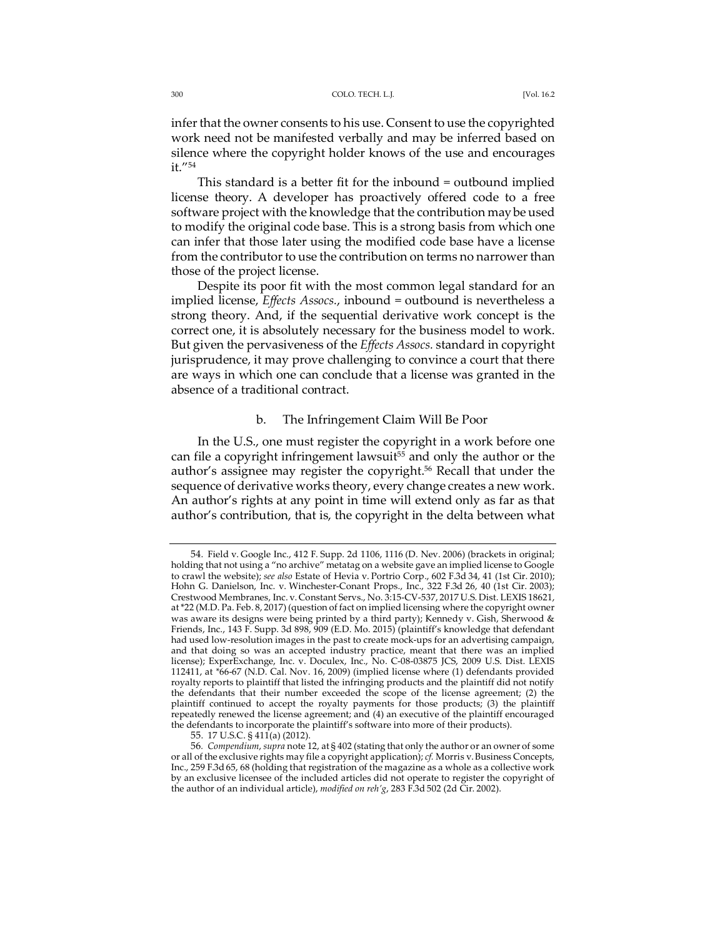infer that the owner consents to his use. Consent to use the copyrighted work need not be manifested verbally and may be inferred based on silence where the copyright holder knows of the use and encourages it."54

This standard is a better fit for the inbound = outbound implied license theory. A developer has proactively offered code to a free software project with the knowledge that the contribution maybe used to modify the original code base. This is a strong basis from which one can infer that those later using the modified code base have a license from the contributor to use the contribution on terms no narrower than those of the project license.

Despite its poor fit with the most common legal standard for an implied license, *Effects Assocs.*, inbound = outbound is nevertheless a strong theory. And, if the sequential derivative work concept is the correct one, it is absolutely necessary for the business model to work. But given the pervasiveness of the *Effects Assocs.* standard in copyright jurisprudence, it may prove challenging to convince a court that there are ways in which one can conclude that a license was granted in the absence of a traditional contract.

### b. The Infringement Claim Will Be Poor

In the U.S., one must register the copyright in a work before one can file a copyright infringement lawsuit<sup>55</sup> and only the author or the author's assignee may register the copyright.<sup>56</sup> Recall that under the sequence of derivative works theory, every change creates a new work. An author's rights at any point in time will extend only as far as that author's contribution, that is, the copyright in the delta between what

<sup>54.</sup> Field v. Google Inc., 412 F. Supp. 2d 1106, 1116 (D. Nev. 2006) (brackets in original; holding that not using a "no archive" metatag on a website gave an implied license to Google to crawl the website); *see also* Estate of Hevia v. Portrio Corp., 602 F.3d 34, 41 (1st Cir. 2010); Hohn G. Danielson, Inc. v. Winchester-Conant Props., Inc., 322 F.3d 26, 40 (1st Cir. 2003); Crestwood Membranes, Inc. v. Constant Servs., No. 3:15-CV-537, 2017 U.S. Dist. LEXIS 18621, at \*22 (M.D. Pa. Feb. 8, 2017) (question of fact on implied licensing where the copyright owner was aware its designs were being printed by a third party); Kennedy v. Gish, Sherwood & Friends, Inc., 143 F. Supp. 3d 898, 909 (E.D. Mo. 2015) (plaintiff's knowledge that defendant had used low-resolution images in the past to create mock-ups for an advertising campaign, and that doing so was an accepted industry practice, meant that there was an implied license); ExperExchange, Inc. v. Doculex, Inc., No. C-08-03875 JCS, 2009 U.S. Dist. LEXIS 112411, at *\**66-67 (N.D. Cal. Nov. 16, 2009) (implied license where (1) defendants provided royalty reports to plaintiff that listed the infringing products and the plaintiff did not notify the defendants that their number exceeded the scope of the license agreement; (2) the plaintiff continued to accept the royalty payments for those products; (3) the plaintiff repeatedly renewed the license agreement; and (4) an executive of the plaintiff encouraged the defendants to incorporate the plaintiff's software into more of their products).

<sup>55.</sup> 17 U.S.C. § 411(a) (2012).

<sup>56</sup>*. Compendium*, *supra* note 12, at § 402 (stating that only the author or an owner of some or all of the exclusive rights may file a copyright application); *cf.* Morris v. Business Concepts, Inc., 259 F.3d 65, 68 (holding that registration of the magazine as a whole as a collective work by an exclusive licensee of the included articles did not operate to register the copyright of the author of an individual article), *modified on reh'g*, 283 F.3d 502 (2d Cir. 2002).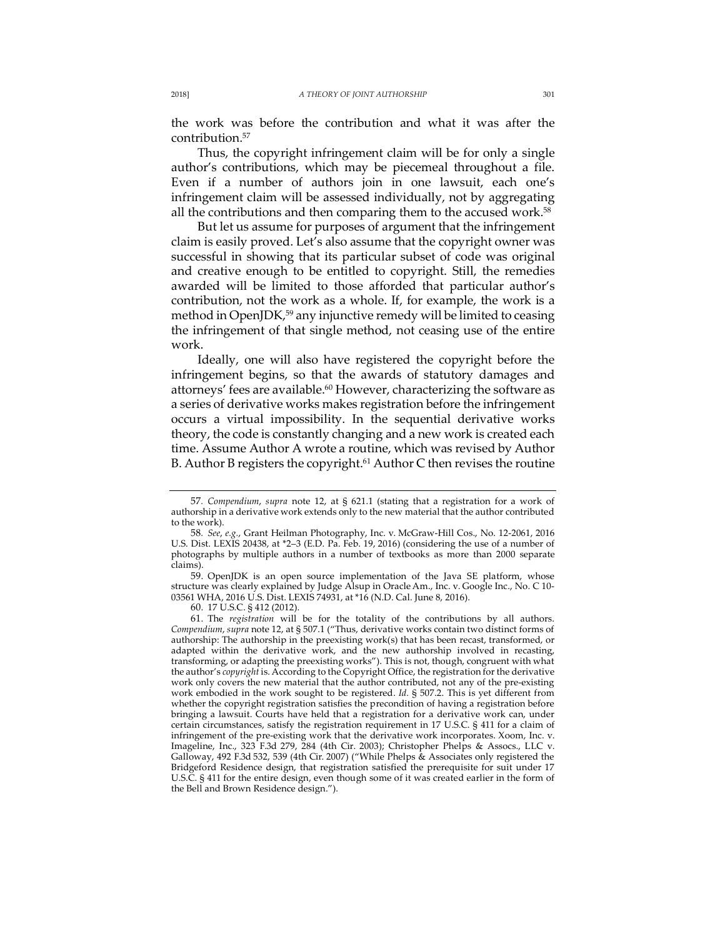the work was before the contribution and what it was after the contribution.57

Thus, the copyright infringement claim will be for only a single author's contributions, which may be piecemeal throughout a file. Even if a number of authors join in one lawsuit, each one's infringement claim will be assessed individually, not by aggregating all the contributions and then comparing them to the accused work.<sup>58</sup>

But let us assume for purposes of argument that the infringement claim is easily proved. Let's also assume that the copyright owner was successful in showing that its particular subset of code was original and creative enough to be entitled to copyright. Still, the remedies awarded will be limited to those afforded that particular author's contribution, not the work as a whole. If, for example, the work is a method in OpenJDK,<sup>59</sup> any injunctive remedy will be limited to ceasing the infringement of that single method, not ceasing use of the entire work.

Ideally, one will also have registered the copyright before the infringement begins, so that the awards of statutory damages and attorneys' fees are available.<sup>60</sup> However, characterizing the software as a series of derivative works makes registration before the infringement occurs a virtual impossibility. In the sequential derivative works theory, the code is constantly changing and a new work is created each time. Assume Author A wrote a routine, which was revised by Author B. Author B registers the copyright.<sup>61</sup> Author C then revises the routine

59. OpenJDK is an open source implementation of the Java SE platform, whose structure was clearly explained by Judge Alsup in Oracle Am., Inc. v. Google Inc., No. C 10- 03561 WHA, 2016 U.S. Dist. LEXIS 74931, at \*16 (N.D. Cal. June 8, 2016).

60. 17 U.S.C. § 412 (2012).

61. The *registration* will be for the totality of the contributions by all authors. *Compendium*, *supra* note 12, at § 507.1 ("Thus, derivative works contain two distinct forms of authorship: The authorship in the preexisting work(s) that has been recast, transformed, or adapted within the derivative work, and the new authorship involved in recasting, transforming, or adapting the preexisting works"). This is not, though, congruent with what the author's *copyright* is. According to the Copyright Office, the registration for the derivative work only covers the new material that the author contributed, not any of the pre-existing work embodied in the work sought to be registered. *Id.* § 507.2. This is yet different from whether the copyright registration satisfies the precondition of having a registration before bringing a lawsuit. Courts have held that a registration for a derivative work can, under certain circumstances, satisfy the registration requirement in 17 U.S.C. § 411 for a claim of infringement of the pre-existing work that the derivative work incorporates. Xoom, Inc. v. Imageline, Inc., 323 F.3d 279, 284 (4th Cir. 2003); Christopher Phelps & Assocs., LLC v. Galloway, 492 F.3d 532, 539 (4th Cir. 2007) ("While Phelps & Associates only registered the Bridgeford Residence design, that registration satisfied the prerequisite for suit under 17 U.S.C. § 411 for the entire design, even though some of it was created earlier in the form of the Bell and Brown Residence design.").

<sup>57</sup>*. Compendium*, *supra* note 12, at § 621.1 (stating that a registration for a work of authorship in a derivative work extends only to the new material that the author contributed to the work).

<sup>58</sup>*. See*, *e.g.*, Grant Heilman Photography, Inc. v. McGraw-Hill Cos., No. 12-2061, 2016 U.S. Dist. LEXIS 20438, at \*2–3 (E.D. Pa. Feb. 19, 2016) (considering the use of a number of photographs by multiple authors in a number of textbooks as more than 2000 separate claims).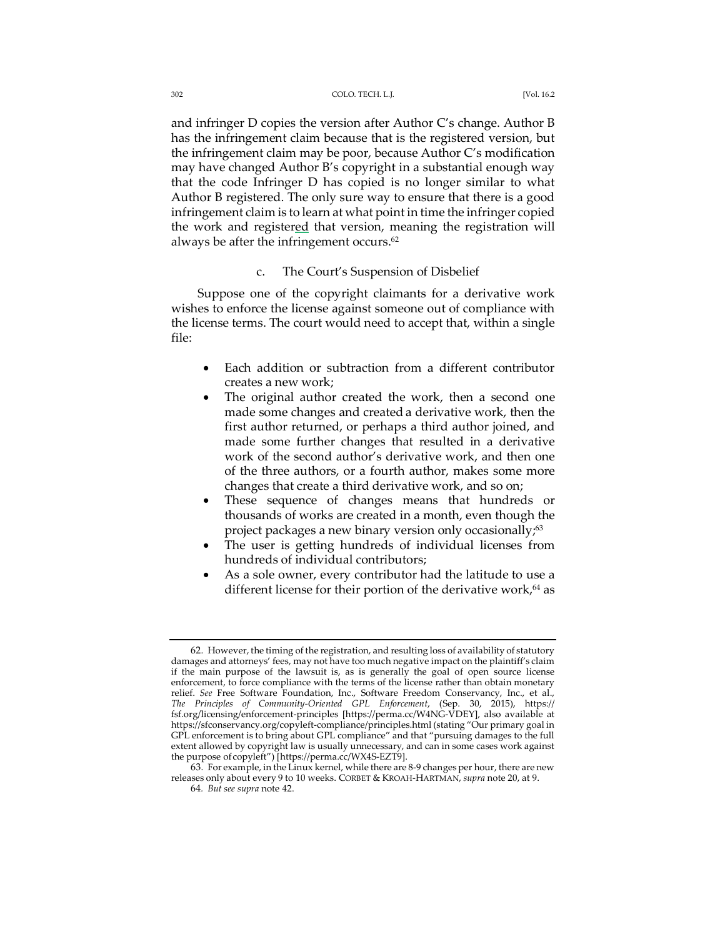and infringer D copies the version after Author C's change. Author B has the infringement claim because that is the registered version, but the infringement claim may be poor, because Author C's modification may have changed Author B's copyright in a substantial enough way that the code Infringer D has copied is no longer similar to what Author B registered. The only sure way to ensure that there is a good infringement claim is to learn at what point in time the infringer copied the work and registered that version, meaning the registration will always be after the infringement occurs.<sup>62</sup>

### c. The Court's Suspension of Disbelief

Suppose one of the copyright claimants for a derivative work wishes to enforce the license against someone out of compliance with the license terms. The court would need to accept that, within a single file:

- Each addition or subtraction from a different contributor creates a new work;
- The original author created the work, then a second one made some changes and created a derivative work, then the first author returned, or perhaps a third author joined, and made some further changes that resulted in a derivative work of the second author's derivative work, and then one of the three authors, or a fourth author, makes some more changes that create a third derivative work, and so on;
- These sequence of changes means that hundreds or thousands of works are created in a month, even though the project packages a new binary version only occasionally;<sup>63</sup>
- The user is getting hundreds of individual licenses from hundreds of individual contributors;
- As a sole owner, every contributor had the latitude to use a different license for their portion of the derivative work, $64$  as

<sup>62.</sup> However, the timing of the registration, and resulting loss of availability of statutory damages and attorneys' fees, may not have too much negative impact on the plaintiff's claim if the main purpose of the lawsuit is, as is generally the goal of open source license enforcement, to force compliance with the terms of the license rather than obtain monetary relief. *See* Free Software Foundation, Inc., Software Freedom Conservancy, Inc., et al., *The Principles of Community-Oriented GPL Enforcement*, (Sep. 30, 2015), https:// fsf.org/licensing/enforcement-principles [https://perma.cc/W4NG-VDEY], also available at https://sfconservancy.org/copyleft-compliance/principles.html (stating "Our primary goal in GPL enforcement is to bring about GPL compliance" and that "pursuing damages to the full extent allowed by copyright law is usually unnecessary, and can in some cases work against the purpose of copyleft") [https://perma.cc/WX4S-EZT9].

<sup>63.</sup> For example, in the Linux kernel, while there are 8-9 changes per hour, there are new releases only about every 9 to 10 weeks. CORBET & KROAH-HARTMAN, *supra* note 20, at 9.

<sup>64</sup>*. But see supra* note 42.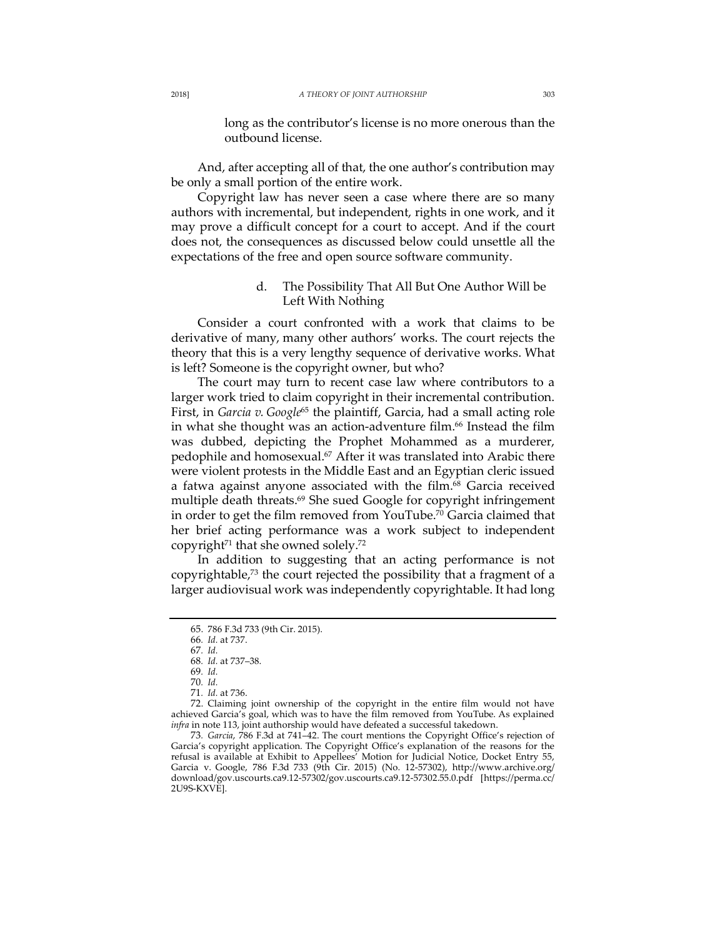long as the contributor's license is no more onerous than the outbound license.

And, after accepting all of that, the one author's contribution may be only a small portion of the entire work.

Copyright law has never seen a case where there are so many authors with incremental, but independent, rights in one work, and it may prove a difficult concept for a court to accept. And if the court does not, the consequences as discussed below could unsettle all the expectations of the free and open source software community.

# d. The Possibility That All But One Author Will be Left With Nothing

Consider a court confronted with a work that claims to be derivative of many, many other authors' works. The court rejects the theory that this is a very lengthy sequence of derivative works. What is left? Someone is the copyright owner, but who?

The court may turn to recent case law where contributors to a larger work tried to claim copyright in their incremental contribution. First, in *Garcia v. Google*<sup>65</sup> the plaintiff, Garcia, had a small acting role in what she thought was an action-adventure film.<sup>66</sup> Instead the film was dubbed, depicting the Prophet Mohammed as a murderer, pedophile and homosexual.<sup>67</sup> After it was translated into Arabic there were violent protests in the Middle East and an Egyptian cleric issued a fatwa against anyone associated with the film.<sup>68</sup> Garcia received multiple death threats.<sup>69</sup> She sued Google for copyright infringement in order to get the film removed from YouTube.70 Garcia claimed that her brief acting performance was a work subject to independent copyright<sup>71</sup> that she owned solely.<sup>72</sup>

In addition to suggesting that an acting performance is not copyrightable, $73$  the court rejected the possibility that a fragment of a larger audiovisual work was independently copyrightable. It had long

72. Claiming joint ownership of the copyright in the entire film would not have achieved Garcia's goal, which was to have the film removed from YouTube. As explained *infra* in note 113, joint authorship would have defeated a successful takedown.

73*. Garcia*, 786 F.3d at 741–42. The court mentions the Copyright Office's rejection of Garcia's copyright application. The Copyright Office's explanation of the reasons for the refusal is available at Exhibit to Appellees' Motion for Judicial Notice, Docket Entry 55, Garcia v. Google, 786 F.3d 733 (9th Cir. 2015) (No. 12-57302), http://www.archive.org/ download/gov.uscourts.ca9.12-57302/gov.uscourts.ca9.12-57302.55.0.pdf [https://perma.cc/ 2U9S-KXVE].

<sup>65.</sup> 786 F.3d 733 (9th Cir. 2015).

<sup>66</sup>*. Id.* at 737.

<sup>67</sup>*. Id.*

<sup>68</sup>*. Id.* at 737–38. 69*. Id.*

<sup>70</sup>*. Id.* 71*. Id.* at 736.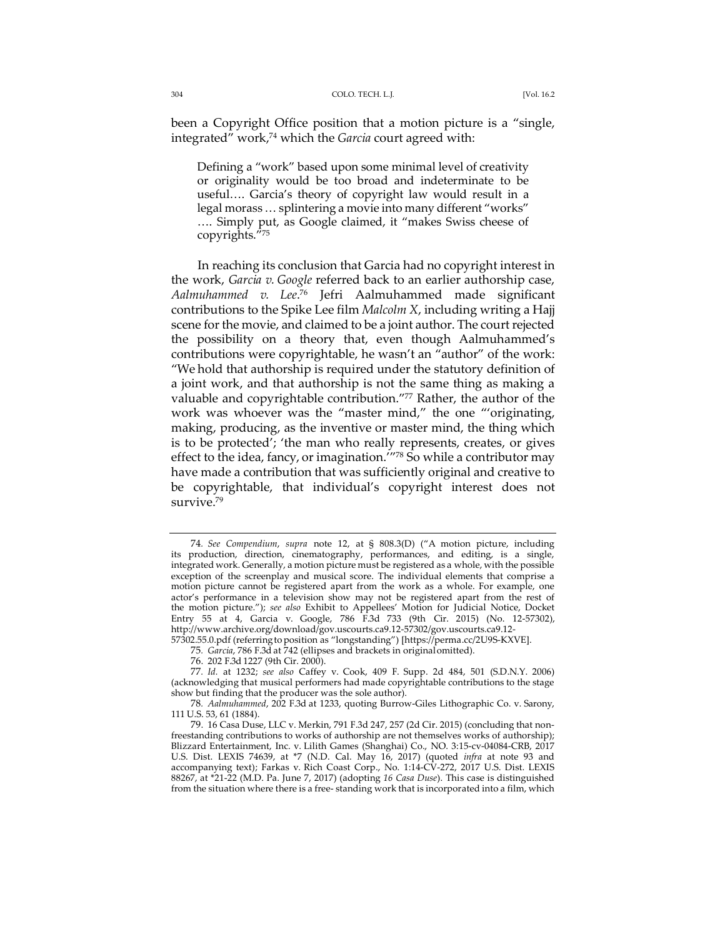been a Copyright Office position that a motion picture is a "single, integrated" work,74 which the *Garcia* court agreed with:

Defining a "work" based upon some minimal level of creativity or originality would be too broad and indeterminate to be useful…. Garcia's theory of copyright law would result in a legal morass … splintering a movie into many different "works" …. Simply put, as Google claimed, it "makes Swiss cheese of copyrights."75

In reaching its conclusion that Garcia had no copyright interest in the work, *Garcia v. Google* referred back to an earlier authorship case, *Aalmuhammed v. Lee*. <sup>76</sup> Jefri Aalmuhammed made significant contributions to the Spike Lee film *Malcolm X*, including writing a Hajj scene for the movie, and claimed to be a joint author. The court rejected the possibility on a theory that, even though Aalmuhammed's contributions were copyrightable, he wasn't an "author" of the work: "We hold that authorship is required under the statutory definition of a joint work, and that authorship is not the same thing as making a valuable and copyrightable contribution."77 Rather, the author of the work was whoever was the "master mind," the one "'originating, making, producing, as the inventive or master mind, the thing which is to be protected'; 'the man who really represents, creates, or gives effect to the idea, fancy, or imagination.<sup>'''78</sup> So while a contributor may have made a contribution that was sufficiently original and creative to be copyrightable, that individual's copyright interest does not survive.<sup>79</sup>

<sup>74</sup>*. See Compendium*, *supra* note 12, at § 808.3(D) ("A motion picture, including its production, direction, cinematography, performances, and editing, is a single, integrated work. Generally, a motion picture must be registered as a whole, with the possible exception of the screenplay and musical score. The individual elements that comprise a motion picture cannot be registered apart from the work as a whole. For example, one actor's performance in a television show may not be registered apart from the rest of the motion picture."); *see also* Exhibit to Appellees' Motion for Judicial Notice, Docket Entry 55 at 4, Garcia v. Google, 786 F.3d 733 (9th Cir. 2015) (No. 12-57302), http://www.archive.org/download/gov.uscourts.ca9.12-57302/gov.uscourts.ca9.12-

<sup>57302.55.0.</sup>pdf (referringto position as "longstanding") [https://perma.cc/2U9S-KXVE]. 75*. Garcia*, 786 F.3d at 742 (ellipses and brackets in originalomitted).

<sup>76.</sup> 202 F.3d 1227 (9th Cir. 2000).

<sup>77</sup>*. Id.* at 1232; *see also* Caffey v. Cook, 409 F. Supp. 2d 484, 501 (S.D.N.Y. 2006) (acknowledging that musical performers had made copyrightable contributions to the stage show but finding that the producer was the sole author).

<sup>78</sup>*. Aalmuhammed*, 202 F.3d at 1233, quoting Burrow-Giles Lithographic Co. v. Sarony, 111 U.S. 53, 61 (1884).

<sup>79.</sup> 16 Casa Duse, LLC v. Merkin, 791 F.3d 247, 257 (2d Cir. 2015) (concluding that nonfreestanding contributions to works of authorship are not themselves works of authorship); Blizzard Entertainment, Inc. v. Lilith Games (Shanghai) Co., NO. 3:15-cv-04084-CRB, 2017 U.S. Dist. LEXIS 74639, at \*7 (N.D. Cal. May 16, 2017) (quoted *infra* at note 93 and accompanying text); Farkas v. Rich Coast Corp., No. 1:14-CV-272, 2017 U.S. Dist. LEXIS 88267, at \*21-22 (M.D. Pa. June 7, 2017) (adopting *16 Casa Duse*). This case is distinguished from the situation where there is a free- standing work that is incorporated into a film, which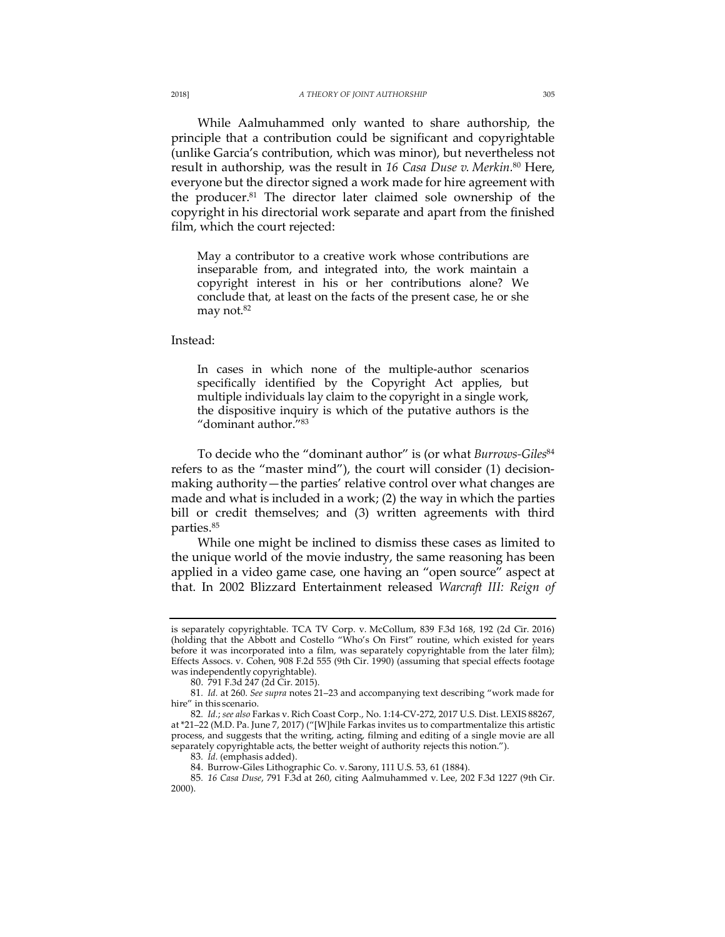While Aalmuhammed only wanted to share authorship, the principle that a contribution could be significant and copyrightable (unlike Garcia's contribution, which was minor), but nevertheless not result in authorship, was the result in *16 Casa Duse v. Merkin.*<sup>80</sup> Here, everyone but the director signed a work made for hire agreement with the producer.81 The director later claimed sole ownership of the copyright in his directorial work separate and apart from the finished film, which the court rejected:

May a contributor to a creative work whose contributions are inseparable from, and integrated into, the work maintain a copyright interest in his or her contributions alone? We conclude that, at least on the facts of the present case, he or she may not.<sup>82</sup>

Instead:

In cases in which none of the multiple-author scenarios specifically identified by the Copyright Act applies, but multiple individuals lay claim to the copyright in a single work, the dispositive inquiry is which of the putative authors is the "dominant author."83

To decide who the "dominant author" is (or what *Burrows-Giles*<sup>84</sup> refers to as the "master mind"), the court will consider (1) decisionmaking authority—the parties' relative control over what changes are made and what is included in a work; (2) the way in which the parties bill or credit themselves; and (3) written agreements with third parties.85

While one might be inclined to dismiss these cases as limited to the unique world of the movie industry, the same reasoning has been applied in a video game case, one having an "open source" aspect at that. In 2002 Blizzard Entertainment released *Warcraft III: Reign of* 

is separately copyrightable. TCA TV Corp. v. McCollum, 839 F.3d 168, 192 (2d Cir. 2016) (holding that the Abbott and Costello "Who's On First" routine, which existed for years before it was incorporated into a film, was separately copyrightable from the later film); Effects Assocs. v. Cohen, 908 F.2d 555 (9th Cir. 1990) (assuming that special effects footage was independently copyrightable).

<sup>80.</sup> 791 F.3d 247 (2d Cir. 2015).

<sup>81</sup>*. Id.* at 260. *See supra* notes 21–23 and accompanying text describing "work made for hire" in this scenario.

<sup>82</sup>*. Id.*; *see also* Farkas v. Rich Coast Corp., No. 1:14-CV-272, 2017 U.S. Dist. LEXIS 88267, at \*21–22 (M.D. Pa. June 7, 2017) ("[W]hile Farkas invites us to compartmentalize this artistic process, and suggests that the writing, acting, filming and editing of a single movie are all separately copyrightable acts, the better weight of authority rejects this notion.").

<sup>83</sup>*. Id.* (emphasis added).

<sup>84.</sup> Burrow-Giles Lithographic Co. v. Sarony, 111 U.S. 53, 61 (1884).

<sup>85</sup>*. 16 Casa Duse*, 791 F.3d at 260, citing Aalmuhammed v. Lee, 202 F.3d 1227 (9th Cir. 2000).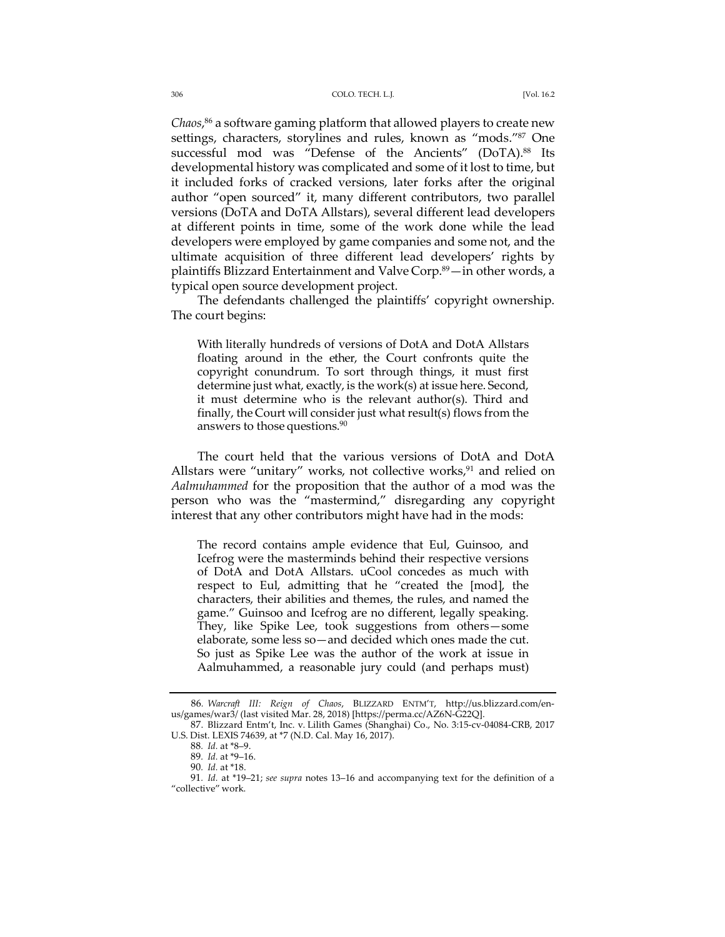*Chaos*, <sup>86</sup> a software gaming platform that allowed players to create new settings, characters, storylines and rules, known as "mods."87 One successful mod was "Defense of the Ancients" (DoTA).<sup>88</sup> Its developmental history was complicated and some of it lost to time, but it included forks of cracked versions, later forks after the original author "open sourced" it, many different contributors, two parallel versions (DoTA and DoTA Allstars), several different lead developers at different points in time, some of the work done while the lead developers were employed by game companies and some not, and the ultimate acquisition of three different lead developers' rights by plaintiffs Blizzard Entertainment and Valve Corp.89—in other words, a typical open source development project.

The defendants challenged the plaintiffs' copyright ownership. The court begins:

With literally hundreds of versions of DotA and DotA Allstars floating around in the ether, the Court confronts quite the copyright conundrum. To sort through things, it must first determine just what, exactly, is the work(s) at issue here. Second, it must determine who is the relevant author(s). Third and finally, the Court will consider just what result(s) flows from the answers to those questions.<sup>90</sup>

The court held that the various versions of DotA and DotA Allstars were "unitary" works, not collective works, $91$  and relied on *Aalmuhammed* for the proposition that the author of a mod was the person who was the "mastermind," disregarding any copyright interest that any other contributors might have had in the mods:

The record contains ample evidence that Eul, Guinsoo, and Icefrog were the masterminds behind their respective versions of DotA and DotA Allstars. uCool concedes as much with respect to Eul, admitting that he "created the [mod], the characters, their abilities and themes, the rules, and named the game." Guinsoo and Icefrog are no different, legally speaking. They, like Spike Lee, took suggestions from others—some elaborate, some less so—and decided which ones made the cut. So just as Spike Lee was the author of the work at issue in Aalmuhammed, a reasonable jury could (and perhaps must)

<sup>86</sup>*. Warcraft III: Reign of Chaos*, BLIZZARD ENTM'T, http://us.blizzard.com/enus/games/war3/ (last visited Mar. 28, 2018) [https://perma.cc/AZ6N-G22Q].

<sup>87.</sup> Blizzard Entm't, Inc. v. Lilith Games (Shanghai) Co., No. 3:15-cv-04084-CRB, 2017 U.S. Dist. LEXIS 74639, at \*7 (N.D. Cal. May 16, 2017).

<sup>88</sup>*. Id.* at \*8–9.

<sup>89</sup>*. Id.* at \*9–16.

<sup>90</sup>*. Id.* at \*18.

<sup>91</sup>*. Id.* at \*19–21; *see supra* notes 13–16 and accompanying text for the definition of a "collective" work.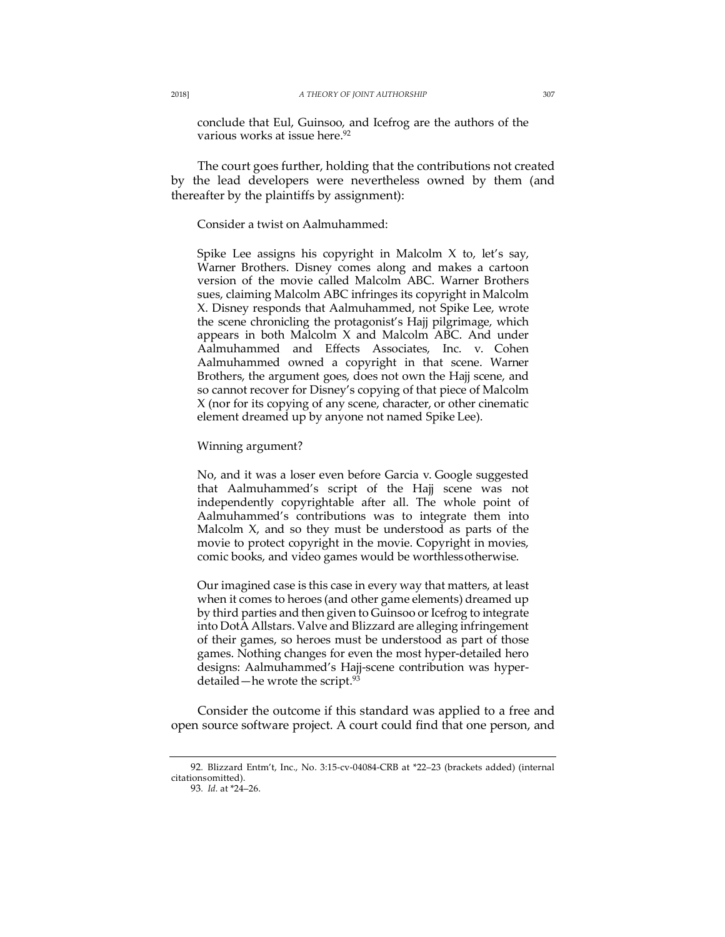conclude that Eul, Guinsoo, and Icefrog are the authors of the various works at issue here.<sup>92</sup>

The court goes further, holding that the contributions not created by the lead developers were nevertheless owned by them (and thereafter by the plaintiffs by assignment):

Consider a twist on Aalmuhammed:

Spike Lee assigns his copyright in Malcolm X to, let's say, Warner Brothers. Disney comes along and makes a cartoon version of the movie called Malcolm ABC. Warner Brothers sues, claiming Malcolm ABC infringes its copyright in Malcolm X. Disney responds that Aalmuhammed, not Spike Lee, wrote the scene chronicling the protagonist's Hajj pilgrimage, which appears in both Malcolm X and Malcolm ABC. And under Aalmuhammed and Effects Associates, Inc. v. Cohen Aalmuhammed owned a copyright in that scene. Warner Brothers, the argument goes, does not own the Hajj scene, and so cannot recover for Disney's copying of that piece of Malcolm X (nor for its copying of any scene, character, or other cinematic element dreamed up by anyone not named Spike Lee).

Winning argument?

No, and it was a loser even before Garcia v. Google suggested that Aalmuhammed's script of the Hajj scene was not independently copyrightable after all. The whole point of Aalmuhammed's contributions was to integrate them into Malcolm X, and so they must be understood as parts of the movie to protect copyright in the movie. Copyright in movies, comic books, and video games would be worthlessotherwise.

Our imagined case is this case in every way that matters, at least when it comes to heroes (and other game elements) dreamed up by third parties and then given to Guinsoo or Icefrog to integrate into DotA Allstars. Valve and Blizzard are alleging infringement of their games, so heroes must be understood as part of those games. Nothing changes for even the most hyper-detailed hero designs: Aalmuhammed's Hajj-scene contribution was hyperdetailed—he wrote the script.<sup>93</sup>

Consider the outcome if this standard was applied to a free and open source software project. A court could find that one person, and

<sup>92</sup>*.* Blizzard Entm't, Inc., No. 3:15-cv-04084-CRB at \*22–23 (brackets added) (internal citationsomitted).

<sup>93</sup>*. Id.* at \*24–26.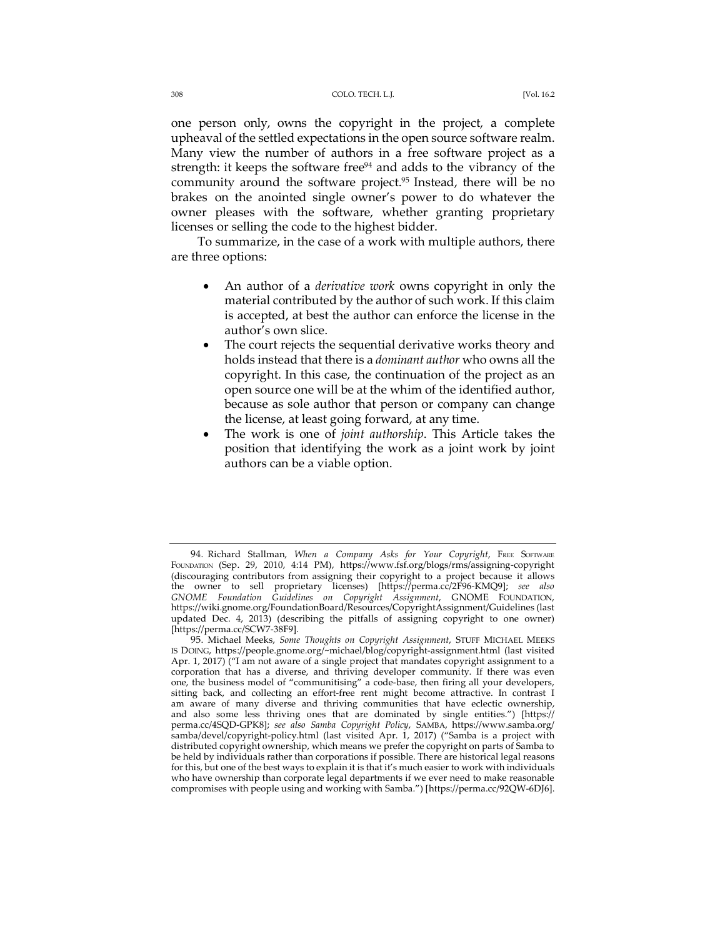one person only, owns the copyright in the project, a complete upheaval of the settled expectations in the open source software realm. Many view the number of authors in a free software project as a strength: it keeps the software free<sup>94</sup> and adds to the vibrancy of the community around the software project.<sup>95</sup> Instead, there will be no brakes on the anointed single owner's power to do whatever the owner pleases with the software, whether granting proprietary licenses or selling the code to the highest bidder.

To summarize, in the case of a work with multiple authors, there are three options:

- An author of a *derivative work* owns copyright in only the material contributed by the author of such work. If this claim is accepted, at best the author can enforce the license in the author's own slice.
- The court rejects the sequential derivative works theory and holds instead that there is a *dominant author* who owns all the copyright. In this case, the continuation of the project as an open source one will be at the whim of the identified author, because as sole author that person or company can change the license, at least going forward, at any time.
- The work is one of *joint authorship*. This Article takes the position that identifying the work as a joint work by joint authors can be a viable option.

<sup>94.</sup> Richard Stallman, *When a Company Asks for Your Copyright*, FREE SOFTWARE FOUNDATION (Sep. 29, 2010, 4:14 PM), https://www.fsf.org/blogs/rms/assigning-copyright (discouraging contributors from assigning their copyright to a project because it allows the owner to sell proprietary licenses) [https://perma.cc/2F96-KMQ9]; *see also GNOME Foundation Guidelines on Copyright Assignment*, GNOME FOUNDATION, https://wiki.gnome.org/FoundationBoard/Resources/CopyrightAssignment/Guidelines (last updated Dec. 4, 2013) (describing the pitfalls of assigning copyright to one owner) [https://perma.cc/SCW7-38F9].

<sup>95.</sup> Michael Meeks, *Some Thoughts on Copyright Assignment*, STUFF MICHAEL MEEKS IS DOING, https://people.gnome.org/~michael/blog/copyright-assignment.html (last visited Apr. 1, 2017) ("I am not aware of a single project that mandates copyright assignment to a corporation that has a diverse, and thriving developer community. If there was even one, the business model of "communitising" a code-base, then firing all your developers, sitting back, and collecting an effort-free rent might become attractive. In contrast I am aware of many diverse and thriving communities that have eclectic ownership, and also some less thriving ones that are dominated by single entities.") [https:// perma.cc/4SQD-GPK8]; *see also Samba Copyright Policy*, SAMBA, https://www.samba.org/ samba/devel/copyright-policy.html (last visited Apr. 1, 2017) ("Samba is a project with distributed copyright ownership, which means we prefer the copyright on parts of Samba to be held by individuals rather than corporations if possible. There are historical legal reasons for this, but one of the best ways to explain it is that it's much easier to work with individuals who have ownership than corporate legal departments if we ever need to make reasonable compromises with people using and working with Samba.") [https://perma.cc/92QW-6DJ6].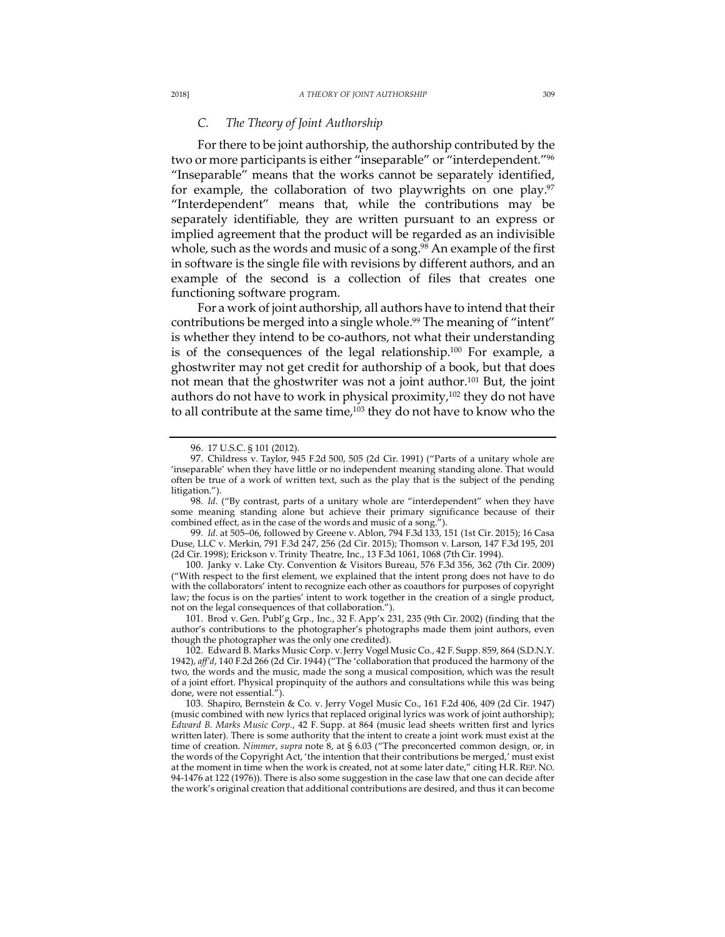# *C. The Theory of Joint Authorship*

For there to be joint authorship, the authorship contributed by the two or more participants is either "inseparable" or "interdependent."96 "Inseparable" means that the works cannot be separately identified, for example, the collaboration of two playwrights on one play. $97$ "Interdependent" means that, while the contributions may be separately identifiable, they are written pursuant to an express or implied agreement that the product will be regarded as an indivisible whole, such as the words and music of a song.<sup>98</sup> An example of the first in software is the single file with revisions by different authors, and an example of the second is a collection of files that creates one functioning software program.

For a work of joint authorship, all authors have to intend that their contributions be merged into a single whole.<sup>99</sup> The meaning of "intent" is whether they intend to be co-authors, not what their understanding is of the consequences of the legal relationship.<sup>100</sup> For example, a ghostwriter may not get credit for authorship of a book, but that does not mean that the ghostwriter was not a joint author.101 But, the joint authors do not have to work in physical proximity,<sup>102</sup> they do not have to all contribute at the same time, $103$  they do not have to know who the

101. Brod v. Gen. Publ'g Grp., Inc., 32 F. App'x 231, 235 (9th Cir. 2002) (finding that the author's contributions to the photographer's photographs made them joint authors, even though the photographer was the only one credited).

<sup>96.</sup> 17 U.S.C. § 101 (2012).

<sup>97.</sup> Childress v. Taylor, 945 F.2d 500, 505 (2d Cir. 1991) ("Parts of a unitary whole are 'inseparable' when they have little or no independent meaning standing alone. That would often be true of a work of written text, such as the play that is the subject of the pending litigation.").

<sup>98.</sup> Id. ("By contrast, parts of a unitary whole are "interdependent" when they have some meaning standing alone but achieve their primary significance because of their combined effect, as in the case of the words and music of a song.").

<sup>99</sup>*. Id.* at 505–06, followed by Greene v. Ablon, 794 F.3d 133, 151 (1st Cir. 2015); 16 Casa Duse, LLC v. Merkin, 791 F.3d 247, 256 (2d Cir. 2015); Thomson v. Larson, 147 F.3d 195, 201 (2d Cir. 1998); Erickson v. Trinity Theatre, Inc., 13 F.3d 1061, 1068 (7th Cir. 1994).

<sup>100.</sup> Janky v. Lake Cty. Convention & Visitors Bureau, 576 F.3d 356, 362 (7th Cir. 2009) ("With respect to the first element, we explained that the intent prong does not have to do with the collaborators' intent to recognize each other as coauthors for purposes of copyright law; the focus is on the parties' intent to work together in the creation of a single product, not on the legal consequences of that collaboration.").

<sup>102.</sup> Edward B. Marks Music Corp. v. Jerry Vogel Music Co., 42 F. Supp. 859, 864 (S.D.N.Y. 1942), *aff'd*, 140 F.2d 266 (2d Cir. 1944) ("The 'collaboration that produced the harmony of the two, the words and the music, made the song a musical composition, which was the result of a joint effort. Physical propinquity of the authors and consultations while this was being done, were not essential.").

<sup>103.</sup> Shapiro, Bernstein & Co. v. Jerry Vogel Music Co., 161 F.2d 406, 409 (2d Cir. 1947) (music combined with new lyrics that replaced original lyrics was work of joint authorship); *Edward B. Marks Music Corp.*, 42 F. Supp. at 864 (music lead sheets written first and lyrics written later). There is some authority that the intent to create a joint work must exist at the time of creation. *Nimmer*, *supra* note 8, at § 6.03 ("The preconcerted common design, or, in the words of the Copyright Act, 'the intention that their contributions be merged,' must exist at the moment in time when the work is created, not at some later date," citing H.R. REP. NO. 94-1476 at 122 (1976)). There is also some suggestion in the case law that one can decide after the work's original creation that additional contributions are desired, and thus it can become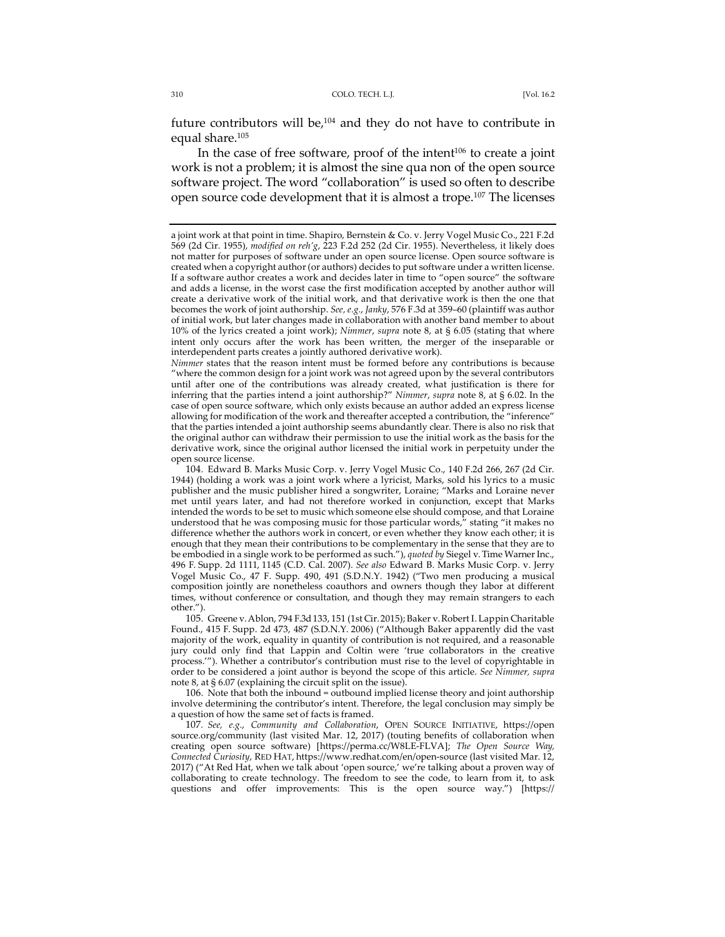future contributors will be, $104$  and they do not have to contribute in equal share.105

In the case of free software, proof of the intent $106$  to create a joint work is not a problem; it is almost the sine qua non of the open source software project. The word "collaboration" is used so often to describe open source code development that it is almost a trope.107 The licenses

105. Greene v. Ablon, 794 F.3d 133, 151 (1st Cir. 2015); Baker v. Robert I. Lappin Charitable Found., 415 F. Supp. 2d 473, 487 (S.D.N.Y. 2006) ("Although Baker apparently did the vast majority of the work, equality in quantity of contribution is not required, and a reasonable jury could only find that Lappin and Coltin were 'true collaborators in the creative process.'"). Whether a contributor's contribution must rise to the level of copyrightable in order to be considered a joint author is beyond the scope of this article. *See Nimmer, supra*  note 8, at § 6.07 (explaining the circuit split on the issue).

106. Note that both the inbound = outbound implied license theory and joint authorship involve determining the contributor's intent. Therefore, the legal conclusion may simply be a question of how the same set of facts is framed.

107*. See, e.g.*, *Community and Collaboration*, OPEN SOURCE INITIATIVE, https://open source.org/community (last visited Mar. 12, 2017) (touting benefits of collaboration when creating open source software) [https://perma.cc/W8LE-FLVA]; *The Open Source Way, Connected Curiosity*, RED HAT, https://www.redhat.com/en/open-source (last visited Mar. 12, 2017) ("At Red Hat, when we talk about 'open source,' we're talking about a proven way of collaborating to create technology. The freedom to see the code, to learn from it, to ask questions and offer improvements: This is the open source way.") [https://

a joint work at that point in time. Shapiro, Bernstein & Co. v. Jerry Vogel Music Co., 221 F.2d 569 (2d Cir. 1955), *modified on reh'g*, 223 F.2d 252 (2d Cir. 1955). Nevertheless, it likely does not matter for purposes of software under an open source license. Open source software is created when a copyright author (or authors) decides to put software under a written license. If a software author creates a work and decides later in time to "open source" the software and adds a license, in the worst case the first modification accepted by another author will create a derivative work of the initial work, and that derivative work is then the one that becomes the work of joint authorship. *See, e.g.*, *Janky*, 576 F.3d at 359–60 (plaintiff was author of initial work, but later changes made in collaboration with another band member to about 10% of the lyrics created a joint work); *Nimmer*, *supra* note 8, at § 6.05 (stating that where intent only occurs after the work has been written, the merger of the inseparable or interdependent parts creates a jointly authored derivative work).

*Nimmer* states that the reason intent must be formed before any contributions is because "where the common design for a joint work was not agreed upon by the several contributors until after one of the contributions was already created, what justification is there for inferring that the parties intend a joint authorship?" *Nimmer*, *supra* note 8, at § 6.02. In the case of open source software, which only exists because an author added an express license allowing for modification of the work and thereafter accepted a contribution, the "inference" that the parties intended a joint authorship seems abundantly clear. There is also no risk that the original author can withdraw their permission to use the initial work as the basis for the derivative work, since the original author licensed the initial work in perpetuity under the open source license.

<sup>104.</sup> Edward B. Marks Music Corp. v. Jerry Vogel Music Co., 140 F.2d 266, 267 (2d Cir. 1944) (holding a work was a joint work where a lyricist, Marks, sold his lyrics to a music publisher and the music publisher hired a songwriter, Loraine; "Marks and Loraine never met until years later, and had not therefore worked in conjunction, except that Marks intended the words to be set to music which someone else should compose, and that Loraine understood that he was composing music for those particular words," stating "it makes no difference whether the authors work in concert, or even whether they know each other; it is enough that they mean their contributions to be complementary in the sense that they are to be embodied in a single work to be performed as such."), *quoted by* Siegel v. Time Warner Inc., 496 F. Supp. 2d 1111, 1145 (C.D. Cal. 2007). *See also* Edward B. Marks Music Corp. v. Jerry Vogel Music Co., 47 F. Supp. 490, 491 (S.D.N.Y. 1942) ("Two men producing a musical composition jointly are nonetheless coauthors and owners though they labor at different times, without conference or consultation, and though they may remain strangers to each other.").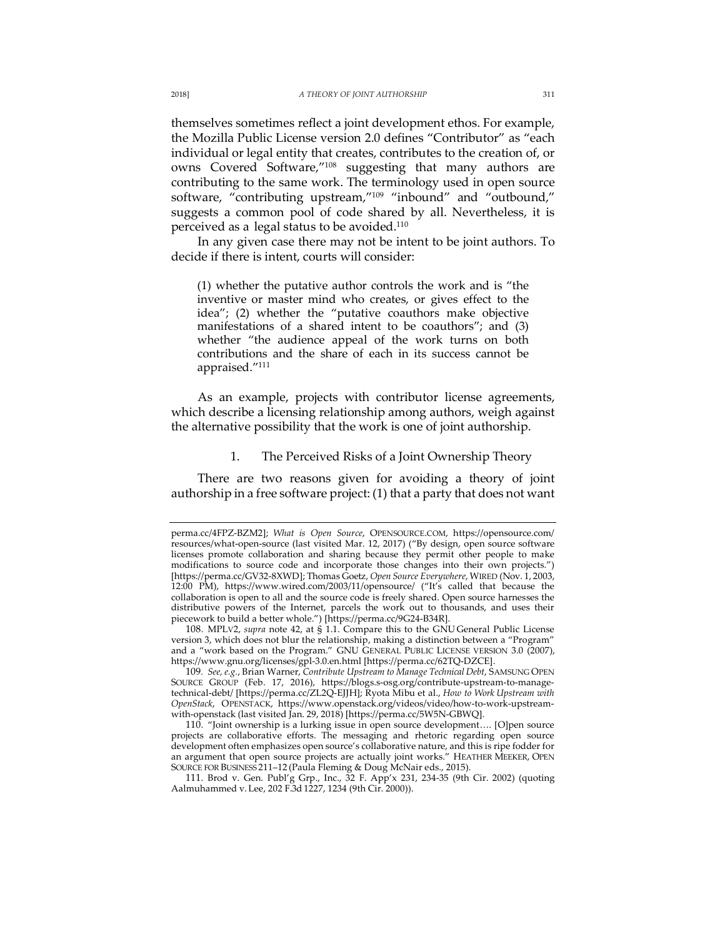themselves sometimes reflect a joint development ethos. For example, the Mozilla Public License version 2.0 defines "Contributor" as "each individual or legal entity that creates, contributes to the creation of, or owns Covered Software,"108 suggesting that many authors are contributing to the same work. The terminology used in open source software, "contributing upstream,"<sup>109</sup> "inbound" and "outbound," suggests a common pool of code shared by all. Nevertheless, it is perceived as a legal status to be avoided.<sup>110</sup>

In any given case there may not be intent to be joint authors. To decide if there is intent, courts will consider:

(1) whether the putative author controls the work and is "the inventive or master mind who creates, or gives effect to the idea"; (2) whether the "putative coauthors make objective manifestations of a shared intent to be coauthors"; and (3) whether "the audience appeal of the work turns on both contributions and the share of each in its success cannot be appraised."111

As an example, projects with contributor license agreements, which describe a licensing relationship among authors, weigh against the alternative possibility that the work is one of joint authorship.

1. The Perceived Risks of a Joint Ownership Theory

There are two reasons given for avoiding a theory of joint authorship in a free software project: (1) that a party that does not want

108. MPLV2, *supra* note 42, at § 1.1. Compare this to the GNU General Public License version 3, which does not blur the relationship, making a distinction between a "Program" and a "work based on the Program." GNU GENERAL PUBLIC LICENSE VERSION 3.0 (2007), https://www.gnu.org/licenses/gpl-3.0.en.html [https://perma.cc/62TQ-DZCE].

perma.cc/4FPZ-BZM2]; *What is Open Source*, OPENSOURCE.COM, https://opensource.com/ resources/what-open-source (last visited Mar. 12, 2017) ("By design, open source software licenses promote collaboration and sharing because they permit other people to make modifications to source code and incorporate those changes into their own projects.") [https://perma.cc/GV32-8XWD]; Thomas Goetz, *Open Source Everywhere*, WIRED (Nov. 1, 2003, 12:00 PM), https://www.wired.com/2003/11/opensource/ ("It's called that because the collaboration is open to all and the source code is freely shared. Open source harnesses the distributive powers of the Internet, parcels the work out to thousands, and uses their piecework to build a better whole.") [https://perma.cc/9G24-B34R].

<sup>109</sup>*. See, e.g.*, Brian Warner, *Contribute Upstream to Manage Technical Debt*, SAMSUNG OPEN SOURCE GROUP (Feb. 17, 2016), https://blogs.s-osg.org/contribute-upstream-to-managetechnical-debt/ [https://perma.cc/ZL2Q-EJJH]; Ryota Mibu et al., *How to Work Upstream with OpenStack*, OPENSTACK, https://www.openstack.org/videos/video/how-to-work-upstreamwith-openstack (last visited Jan. 29, 2018) [https://perma.cc/5W5N-GBWQ].

<sup>110.</sup> "Joint ownership is a lurking issue in open source development…. [O]pen source projects are collaborative efforts. The messaging and rhetoric regarding open source development often emphasizes open source's collaborative nature, and this is ripe fodder for an argument that open source projects are actually joint works." HEATHER MEEKER, OPEN SOURCE FOR BUSINESS 211–12 (Paula Fleming & Doug McNair eds., 2015).

<sup>111.</sup> Brod v. Gen. Publ'g Grp., Inc., 32 F. App'x 231, 234-35 (9th Cir. 2002) (quoting Aalmuhammed v. Lee, 202 F.3d 1227, 1234 (9th Cir. 2000)).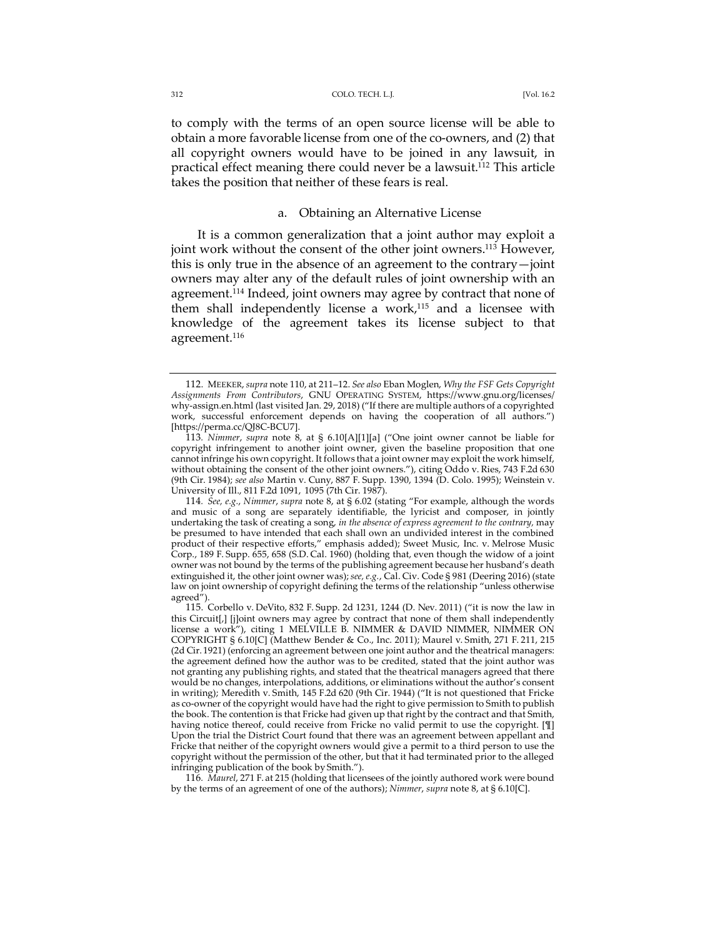to comply with the terms of an open source license will be able to obtain a more favorable license from one of the co-owners, and (2) that all copyright owners would have to be joined in any lawsuit, in practical effect meaning there could never be a lawsuit.<sup>112</sup> This article takes the position that neither of these fears is real.

### a. Obtaining an Alternative License

It is a common generalization that a joint author may exploit a joint work without the consent of the other joint owners.113 However, this is only true in the absence of an agreement to the contrary—joint owners may alter any of the default rules of joint ownership with an agreement.<sup>114</sup> Indeed, joint owners may agree by contract that none of them shall independently license a work, <sup>115</sup> and a licensee with knowledge of the agreement takes its license subject to that agreement.<sup>116</sup>

<sup>112.</sup> MEEKER, *supra* note 110, at 211–12. *See also* Eban Moglen, *Why the FSF Gets Copyright Assignments From Contributors*, GNU OPERATING SYSTEM, https://www.gnu.org/licenses/ why-assign.en.html (last visited Jan. 29, 2018) ("If there are multiple authors of a copyrighted work, successful enforcement depends on having the cooperation of all authors.") [https://perma.cc/QJ8C-BCU7].

<sup>113</sup>*. Nimmer*, *supra* note 8, at § 6.10[A][1][a] ("One joint owner cannot be liable for copyright infringement to another joint owner, given the baseline proposition that one cannot infringe his own copyright. It follows that a joint owner may exploit the work himself, without obtaining the consent of the other joint owners."), citing Oddo v. Ries, 743 F.2d 630 (9th Cir. 1984); *see also* Martin v. Cuny, 887 F. Supp. 1390, 1394 (D. Colo. 1995); Weinstein v. University of Ill., 811 F.2d 1091, 1095 (7th Cir. 1987).

<sup>114</sup>*. See, e.g.*, *Nimmer*, *supra* note 8, at § 6.02 (stating "For example, although the words and music of a song are separately identifiable, the lyricist and composer, in jointly undertaking the task of creating a song, *in the absence of express agreement to the contrary,* may be presumed to have intended that each shall own an undivided interest in the combined product of their respective efforts," emphasis added); Sweet Music, Inc. v. Melrose Music Corp., 189 F. Supp. 655, 658 (S.D. Cal. 1960) (holding that, even though the widow of a joint owner was not bound by the terms of the publishing agreement because her husband's death extinguished it, the other joint owner was); *see, e.g.*, Cal. Civ. Code § 981 (Deering 2016) (state law on joint ownership of copyright defining the terms of the relationship "unless otherwise agreed").

<sup>115.</sup> Corbello v. DeVito, 832 F. Supp. 2d 1231, 1244 (D. Nev. 2011) ("it is now the law in this Circuit[,] [j]oint owners may agree by contract that none of them shall independently license a work"), citing 1 MELVILLE B. NIMMER & DAVID NIMMER, NIMMER ON COPYRIGHT § 6.10[C] (Matthew Bender & Co., Inc. 2011); Maurel v. Smith, 271 F. 211, 215 (2d Cir. 1921) (enforcing an agreement between one joint author and the theatrical managers: the agreement defined how the author was to be credited, stated that the joint author was not granting any publishing rights, and stated that the theatrical managers agreed that there would be no changes, interpolations, additions, or eliminations without the author's consent in writing); Meredith v. Smith, 145 F.2d 620 (9th Cir. 1944) ("It is not questioned that Fricke as co-owner of the copyright would have had the right to give permission to Smith to publish the book. The contention is that Fricke had given up that right by the contract and that Smith, having notice thereof, could receive from Fricke no valid permit to use the copyright. [¶] Upon the trial the District Court found that there was an agreement between appellant and Fricke that neither of the copyright owners would give a permit to a third person to use the copyright without the permission of the other, but that it had terminated prior to the alleged infringing publication of the book by Smith.").

<sup>116</sup>*. Maurel*, 271 F. at 215 (holding that licensees of the jointly authored work were bound by the terms of an agreement of one of the authors); *Nimmer*, *supra* note 8, at § 6.10[C].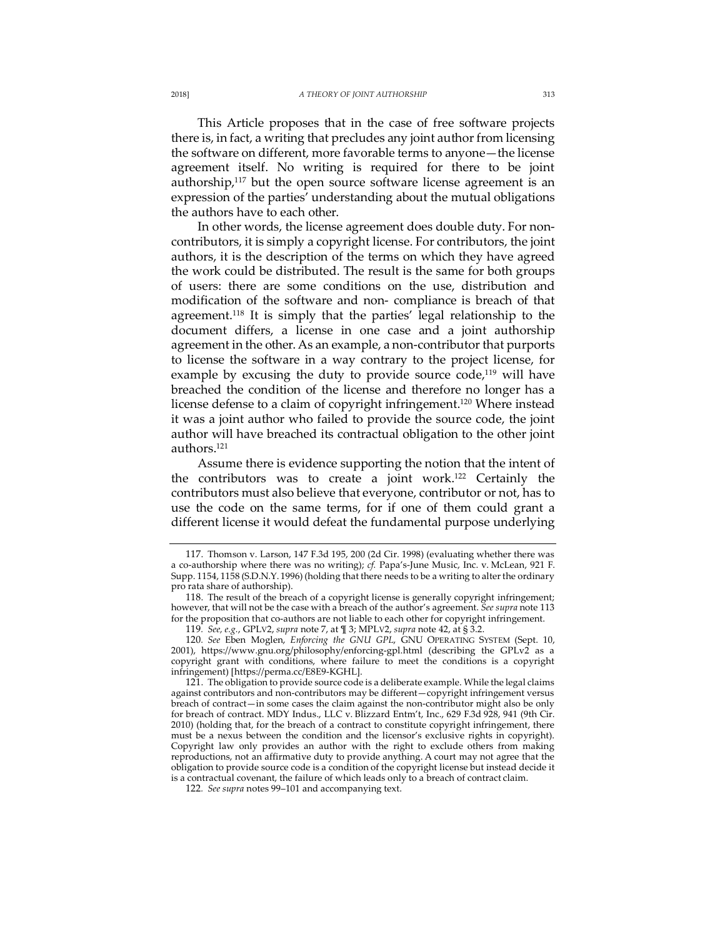This Article proposes that in the case of free software projects there is, in fact, a writing that precludes any joint author from licensing the software on different, more favorable terms to anyone—the license agreement itself. No writing is required for there to be joint authorship, $117$  but the open source software license agreement is an expression of the parties' understanding about the mutual obligations the authors have to each other.

In other words, the license agreement does double duty. For noncontributors, it is simply a copyright license. For contributors, the joint authors, it is the description of the terms on which they have agreed the work could be distributed. The result is the same for both groups of users: there are some conditions on the use, distribution and modification of the software and non- compliance is breach of that agreement.118 It is simply that the parties' legal relationship to the document differs, a license in one case and a joint authorship agreement in the other. As an example, a non-contributor that purports to license the software in a way contrary to the project license, for example by excusing the duty to provide source  $code^{119}$  will have breached the condition of the license and therefore no longer has a license defense to a claim of copyright infringement.<sup>120</sup> Where instead it was a joint author who failed to provide the source code, the joint author will have breached its contractual obligation to the other joint authors.121

Assume there is evidence supporting the notion that the intent of the contributors was to create a joint work.122 Certainly the contributors must also believe that everyone, contributor or not, has to use the code on the same terms, for if one of them could grant a different license it would defeat the fundamental purpose underlying

<sup>117.</sup> Thomson v. Larson, 147 F.3d 195, 200 (2d Cir. 1998) (evaluating whether there was a co-authorship where there was no writing); *cf.* Papa's-June Music, Inc. v. McLean, 921 F. Supp. 1154, 1158 (S.D.N.Y. 1996) (holding that there needs to be a writing to alter the ordinary pro rata share of authorship).

<sup>118.</sup> The result of the breach of a copyright license is generally copyright infringement; however, that will not be the case with a breach of the author's agreement. *See supra* note 113 for the proposition that co-authors are not liable to each other for copyright infringement.

<sup>119</sup>*. See, e.g.*, GPLV2, *supra* note 7, at ¶ 3; MPLV2, *supra* note 42, at § 3.2.

<sup>120</sup>*. See* Eben Moglen, *Enforcing the GNU GPL*, GNU OPERATING SYSTEM (Sept. 10, 2001), https://www.gnu.org/philosophy/enforcing-gpl.html (describing the GPLv2 as a copyright grant with conditions, where failure to meet the conditions is a copyright infringement) [https://perma.cc/E8E9-KGHL].

<sup>121.</sup> The obligation to provide source code is a deliberate example. While the legal claims against contributors and non-contributors may be different—copyright infringement versus breach of contract—in some cases the claim against the non-contributor might also be only for breach of contract. MDY Indus., LLC v. Blizzard Entm't, Inc., 629 F.3d 928, 941 (9th Cir. 2010) (holding that, for the breach of a contract to constitute copyright infringement, there must be a nexus between the condition and the licensor's exclusive rights in copyright). Copyright law only provides an author with the right to exclude others from making reproductions, not an affirmative duty to provide anything. A court may not agree that the obligation to provide source code is a condition of the copyright license but instead decide it is a contractual covenant, the failure of which leads only to a breach of contract claim.

<sup>122</sup>*. See supra* notes 99–101 and accompanying text.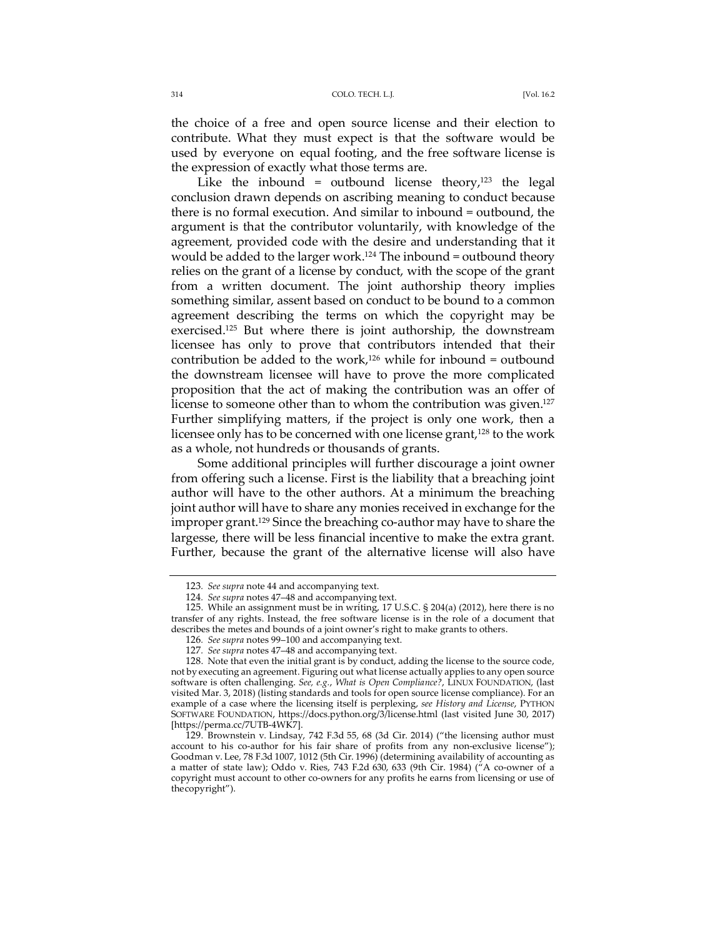the choice of a free and open source license and their election to contribute. What they must expect is that the software would be used by everyone on equal footing, and the free software license is the expression of exactly what those terms are.

Like the inbound = outbound license theory, $123$  the legal conclusion drawn depends on ascribing meaning to conduct because there is no formal execution. And similar to inbound = outbound, the argument is that the contributor voluntarily, with knowledge of the agreement, provided code with the desire and understanding that it would be added to the larger work.<sup>124</sup> The inbound = outbound theory relies on the grant of a license by conduct, with the scope of the grant from a written document. The joint authorship theory implies something similar, assent based on conduct to be bound to a common agreement describing the terms on which the copyright may be exercised.<sup>125</sup> But where there is joint authorship, the downstream licensee has only to prove that contributors intended that their contribution be added to the work, <sup>126</sup> while for inbound = outbound the downstream licensee will have to prove the more complicated proposition that the act of making the contribution was an offer of license to someone other than to whom the contribution was given.<sup>127</sup> Further simplifying matters, if the project is only one work, then a licensee only has to be concerned with one license grant,<sup>128</sup> to the work as a whole, not hundreds or thousands of grants.

Some additional principles will further discourage a joint owner from offering such a license. First is the liability that a breaching joint author will have to the other authors. At a minimum the breaching joint author will have to share any monies received in exchange for the improper grant.129 Since the breaching co-author may have to share the largesse, there will be less financial incentive to make the extra grant. Further, because the grant of the alternative license will also have

<sup>123</sup>*. See supra* note 44 and accompanying text.

<sup>124</sup>*. See supra* notes 47–48 and accompanying text.

<sup>125.</sup> While an assignment must be in writing, 17 U.S.C. § 204(a) (2012), here there is no transfer of any rights. Instead, the free software license is in the role of a document that describes the metes and bounds of a joint owner's right to make grants to others.

<sup>126</sup>*. See supra* notes 99–100 and accompanying text.

<sup>127</sup>*. See supra* notes 47–48 and accompanying text.

<sup>128.</sup> Note that even the initial grant is by conduct, adding the license to the source code, not by executing an agreement. Figuring out what license actually applies to any open source software is often challenging. *See, e.g.*, *What is Open Compliance?*, LINUX FOUNDATION, (last visited Mar. 3, 2018) (listing standards and tools for open source license compliance). For an example of a case where the licensing itself is perplexing, *see History and License*, PYTHON SOFTWARE FOUNDATION, https://docs.python.org/3/license.html (last visited June 30, 2017) [https://perma.cc/7UTB-4WK7].

<sup>129.</sup> Brownstein v. Lindsay, 742 F.3d 55, 68 (3d Cir. 2014) ("the licensing author must account to his co-author for his fair share of profits from any non-exclusive license"); Goodman v. Lee, 78 F.3d 1007, 1012 (5th Cir. 1996) (determining availability of accounting as a matter of state law); Oddo v. Ries, 743 F.2d 630, 633 (9th Cir. 1984) ("A co-owner of a copyright must account to other co-owners for any profits he earns from licensing or use of thecopyright").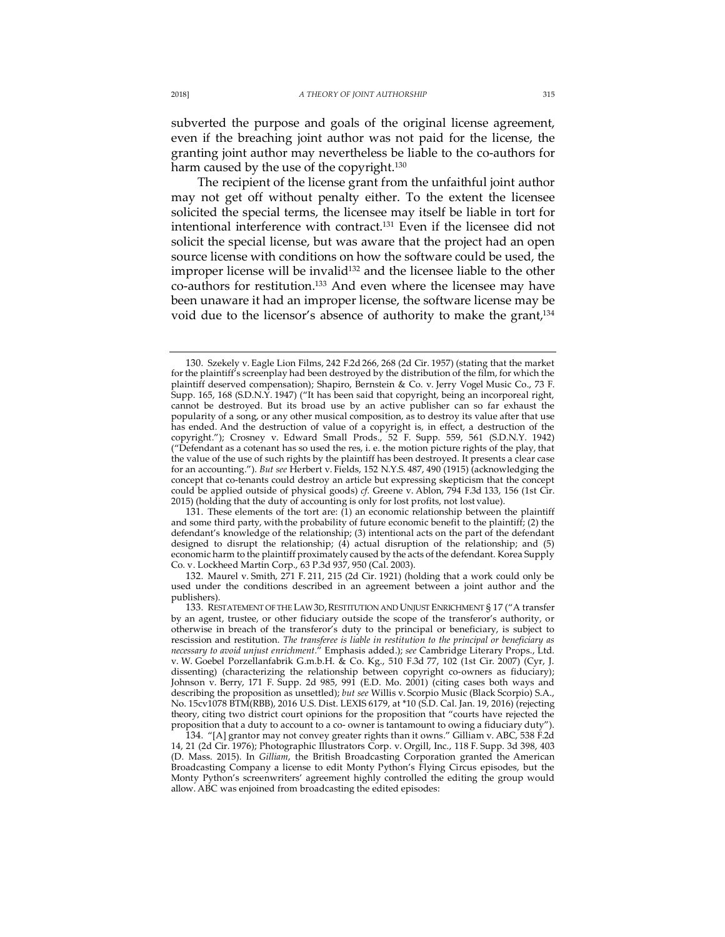subverted the purpose and goals of the original license agreement, even if the breaching joint author was not paid for the license, the granting joint author may nevertheless be liable to the co-authors for harm caused by the use of the copyright.<sup>130</sup>

The recipient of the license grant from the unfaithful joint author may not get off without penalty either. To the extent the licensee solicited the special terms, the licensee may itself be liable in tort for intentional interference with contract.<sup>131</sup> Even if the licensee did not solicit the special license, but was aware that the project had an open source license with conditions on how the software could be used, the improper license will be invalid<sup>132</sup> and the licensee liable to the other co-authors for restitution.<sup>133</sup> And even where the licensee may have been unaware it had an improper license, the software license may be void due to the licensor's absence of authority to make the grant,<sup>134</sup>

131. These elements of the tort are: (1) an economic relationship between the plaintiff and some third party, with the probability of future economic benefit to the plaintiff; (2) the defendant's knowledge of the relationship; (3) intentional acts on the part of the defendant designed to disrupt the relationship;  $(4)$  actual disruption of the relationship; and (5) economic harm to the plaintiff proximately caused by the acts of the defendant. Korea Supply Co. v. Lockheed Martin Corp., 63 P.3d 937, 950 (Cal. 2003).

132. Maurel v. Smith, 271 F. 211, 215 (2d Cir. 1921) (holding that a work could only be used under the conditions described in an agreement between a joint author and the publishers).

<sup>130.</sup> Szekely v. Eagle Lion Films, 242 F.2d 266, 268 (2d Cir. 1957) (stating that the market for the plaintiff's screenplay had been destroyed by the distribution of the film, for which the plaintiff deserved compensation); Shapiro, Bernstein & Co. v. Jerry Vogel Music Co., 73 F. Supp. 165, 168 (S.D.N.Y. 1947) ("It has been said that copyright, being an incorporeal right, cannot be destroyed. But its broad use by an active publisher can so far exhaust the popularity of a song, or any other musical composition, as to destroy its value after that use has ended. And the destruction of value of a copyright is, in effect, a destruction of the copyright."); Crosney v. Edward Small Prods., 52 F. Supp. 559, 561 (S.D.N.Y. 1942) ("Defendant as a cotenant has so used the res, i. e. the motion picture rights of the play, that the value of the use of such rights by the plaintiff has been destroyed. It presents a clear case for an accounting."). *But see* Herbert v. Fields, 152 N.Y.S. 487, 490 (1915) (acknowledging the concept that co-tenants could destroy an article but expressing skepticism that the concept could be applied outside of physical goods) *cf.* Greene v. Ablon, 794 F.3d 133, 156 (1st Cir. 2015) (holding that the duty of accounting is only for lost profits, not lost value).

<sup>133.</sup> RESTATEMENT OF THE LAW 3D, RESTITUTION AND UNJUST ENRICHMENT § 17 ("A transfer by an agent, trustee, or other fiduciary outside the scope of the transferor's authority, or otherwise in breach of the transferor's duty to the principal or beneficiary, is subject to rescission and restitution. *The transferee is liable in restitution to the principal or beneficiary as necessary to avoid unjust enrichment.*" Emphasis added.); *see* Cambridge Literary Props., Ltd. v. W. Goebel Porzellanfabrik G.m.b.H. & Co. Kg., 510 F.3d 77, 102 (1st Cir. 2007) (Cyr, J. dissenting) (characterizing the relationship between copyright co-owners as fiduciary); Johnson v. Berry, 171 F. Supp. 2d 985, 991 (E.D. Mo. 2001) (citing cases both ways and describing the proposition as unsettled); *but see* Willis v. Scorpio Music (Black Scorpio) S.A., No. 15cv1078 BTM(RBB), 2016 U.S. Dist. LEXIS 6179, at \*10 (S.D. Cal. Jan. 19, 2016) (rejecting theory, citing two district court opinions for the proposition that "courts have rejected the proposition that a duty to account to a co- owner is tantamount to owing a fiduciary duty

<sup>134.</sup> "[A] grantor may not convey greater rights than it owns." Gilliam v. ABC, 538 F.2d 14, 21 (2d Cir. 1976); Photographic Illustrators Corp. v. Orgill, Inc., 118 F. Supp. 3d 398, 403 (D. Mass. 2015). In *Gilliam*, the British Broadcasting Corporation granted the American Broadcasting Company a license to edit Monty Python's Flying Circus episodes, but the Monty Python's screenwriters' agreement highly controlled the editing the group would allow. ABC was enjoined from broadcasting the edited episodes: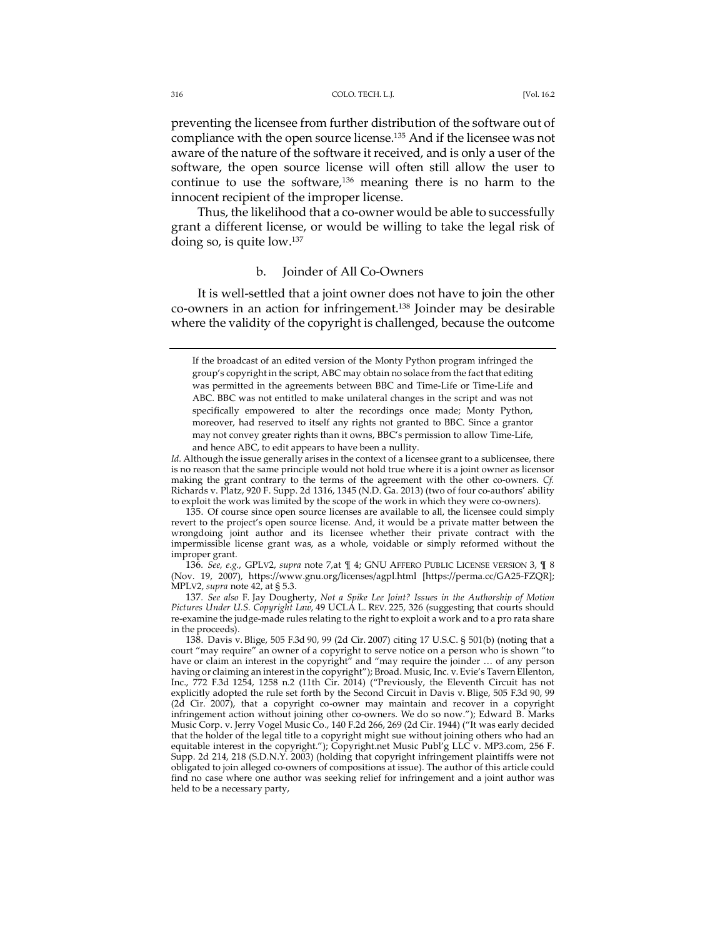preventing the licensee from further distribution of the software out of compliance with the open source license.135 And if the licensee was not aware of the nature of the software it received, and is only a user of the software, the open source license will often still allow the user to continue to use the software, $136$  meaning there is no harm to the innocent recipient of the improper license.

Thus, the likelihood that a co-owner would be able to successfully grant a different license, or would be willing to take the legal risk of doing so, is quite low.137

### b. Joinder of All Co-Owners

It is well-settled that a joint owner does not have to join the other co-owners in an action for infringement.138 Joinder may be desirable where the validity of the copyright is challenged, because the outcome

135. Of course since open source licenses are available to all, the licensee could simply revert to the project's open source license. And, it would be a private matter between the wrongdoing joint author and its licensee whether their private contract with the impermissible license grant was, as a whole, voidable or simply reformed without the improper grant.

136*. See, e.g.*, GPLV2, *supra* note 7,at ¶ 4; GNU AFFERO PUBLIC LICENSE VERSION 3, ¶ 8 (Nov. 19, 2007), https://www.gnu.org/licenses/agpl.html [https://perma.cc/GA25-FZQR]; MPLV2, *supra* note 42, at § 5.3.

137*. See also* F. Jay Dougherty, *Not a Spike Lee Joint? Issues in the Authorship of Motion Pictures Under U.S. Copyright Law*, 49 UCLA L. REV. 225, 326 (suggesting that courts should re-examine the judge-made rules relating to the right to exploit a work and to a pro rata share in the proceeds).

If the broadcast of an edited version of the Monty Python program infringed the group's copyright in the script, ABC may obtain no solace from the fact that editing was permitted in the agreements between BBC and Time-Life or Time-Life and ABC. BBC was not entitled to make unilateral changes in the script and was not specifically empowered to alter the recordings once made; Monty Python, moreover, had reserved to itself any rights not granted to BBC. Since a grantor may not convey greater rights than it owns, BBC's permission to allow Time-Life, and hence ABC, to edit appears to have been a nullity.

Id. Although the issue generally arises in the context of a licensee grant to a sublicensee, there is no reason that the same principle would not hold true where it is a joint owner as licensor making the grant contrary to the terms of the agreement with the other co-owners. *Cf.*  Richards v. Platz, 920 F. Supp. 2d 1316, 1345 (N.D. Ga. 2013) (two of four co-authors' ability to exploit the work was limited by the scope of the work in which they were co-owners).

<sup>138.</sup> Davis v. Blige, 505 F.3d 90, 99 (2d Cir. 2007) citing 17 U.S.C. § 501(b) (noting that a court "may require" an owner of a copyright to serve notice on a person who is shown "to have or claim an interest in the copyright" and "may require the joinder  $\ldots$  of any person having or claiming an interest in the copyright"); Broad. Music, Inc. v. Evie's Tavern Ellenton, Inc., 772 F.3d 1254, 1258 n.2 (11th Cir. 2014) ("Previously, the Eleventh Circuit has not explicitly adopted the rule set forth by the Second Circuit in Davis v. Blige, 505 F.3d 90, 99 (2d Cir. 2007), that a copyright co-owner may maintain and recover in a copyright infringement action without joining other co-owners. We do so now."); Edward B. Marks Music Corp. v. Jerry Vogel Music Co., 140 F.2d 266, 269 (2d Cir. 1944) ("It was early decided that the holder of the legal title to a copyright might sue without joining others who had an equitable interest in the copyright."); Copyright.net Music Publ'g LLC v. MP3.com, 256 F. Supp. 2d 214, 218 (S.D.N.Y. 2003) (holding that copyright infringement plaintiffs were not obligated to join alleged co-owners of compositions at issue). The author of this article could find no case where one author was seeking relief for infringement and a joint author was held to be a necessary party,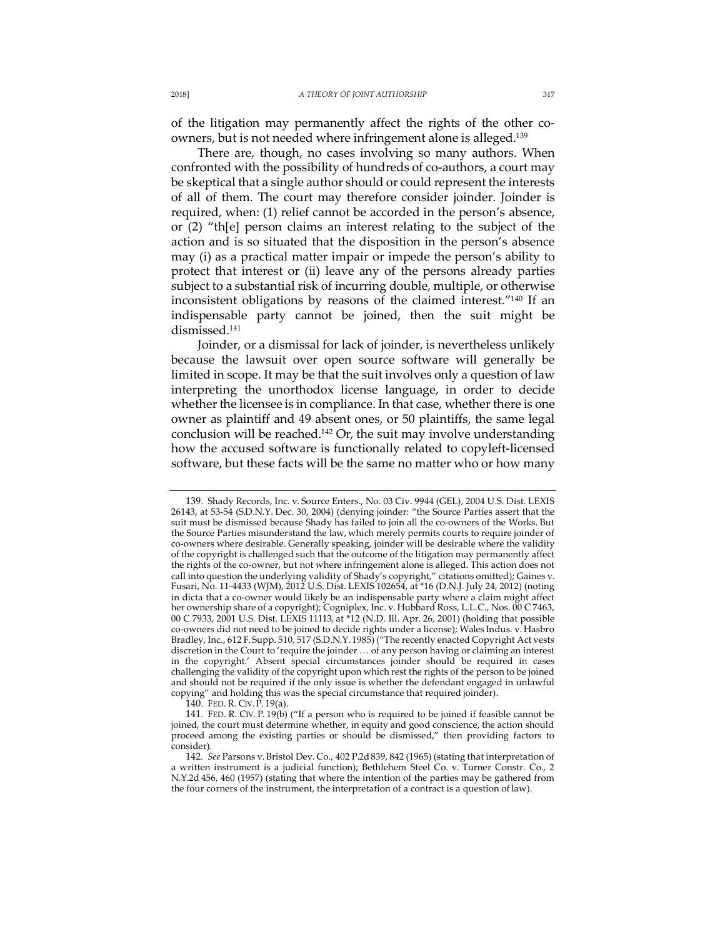of the litigation may permanently affect the rights of the other coowners, but is not needed where infringement alone is alleged.139

There are, though, no cases involving so many authors. When confronted with the possibility of hundreds of co-authors, a court may be skeptical that a single author should or could represent the interests of all of them. The court may therefore consider joinder. Joinder is required, when: (1) relief cannot be accorded in the person's absence, or (2) "th[e] person claims an interest relating to the subject of the action and is so situated that the disposition in the person's absence may (i) as a practical matter impair or impede the person's ability to protect that interest or (ii) leave any of the persons already parties subject to a substantial risk of incurring double, multiple, or otherwise inconsistent obligations by reasons of the claimed interest."140 If an indispensable party cannot be joined, then the suit might be dismissed.141

Joinder, or a dismissal for lack of joinder, is nevertheless unlikely because the lawsuit over open source software will generally be limited in scope. It may be that the suit involves only a question of law interpreting the unorthodox license language, in order to decide whether the licensee is in compliance. In that case, whether there is one owner as plaintiff and 49 absent ones, or 50 plaintiffs, the same legal conclusion will be reached.142 Or, the suit may involve understanding how the accused software is functionally related to copyleft-licensed software, but these facts will be the same no matter who or how many

140. FED. R. CIV. P. 19(a).

<sup>139.</sup> Shady Records, Inc. v. Source Enters., No. 03 Civ. 9944 (GEL), 2004 U.S. Dist. LEXIS 26143, at 53-54 (S.D.N.Y. Dec. 30, 2004) (denying joinder: "the Source Parties assert that the suit must be dismissed because Shady has failed to join all the co-owners of the Works. But the Source Parties misunderstand the law, which merely permits courts to require joinder of co-owners where desirable. Generally speaking, joinder will be desirable where the validity of the copyright is challenged such that the outcome of the litigation may permanently affect the rights of the co-owner, but not where infringement alone is alleged. This action does not call into question the underlying validity of Shady's copyright," citations omitted); Gaines v. Fusari, No. 11-4433 (WJM), 2012 U.S. Dist. LEXIS 102654, at \*16 (D.N.J. July 24, 2012) (noting in dicta that a co-owner would likely be an indispensable party where a claim might affect her ownership share of a copyright); Cogniplex, Inc. v. Hubbard Ross, L.L.C., Nos. 00 C 7463, 00 C 7933, 2001 U.S. Dist. LEXIS 11113, at \*12 (N.D. Ill. Apr. 26, 2001) (holding that possible co-owners did not need to be joined to decide rights under a license); Wales Indus. v. Hasbro Bradley, Inc., 612 F. Supp. 510, 517 (S.D.N.Y. 1985) ("The recently enacted Copyright Act vests discretion in the Court to 'require the joinder … of any person having or claiming an interest in the copyright.' Absent special circumstances joinder should be required in cases challenging the validity of the copyright upon which rest the rights of the person to be joined and should not be required if the only issue is whether the defendant engaged in unlawful copying" and holding this was the special circumstance that required joinder).

<sup>141.</sup> FED. R. CIV. P. 19(b) ("If a person who is required to be joined if feasible cannot be joined, the court must determine whether, in equity and good conscience, the action should proceed among the existing parties or should be dismissed," then providing factors to consider).

<sup>142</sup>*. See* Parsons v. Bristol Dev. Co., 402 P.2d 839, 842 (1965) (stating that interpretation of a written instrument is a judicial function); Bethlehem Steel Co. v. Turner Constr. Co., 2 N.Y.2d 456, 460 (1957) (stating that where the intention of the parties may be gathered from the four corners of the instrument, the interpretation of a contract is a question oflaw).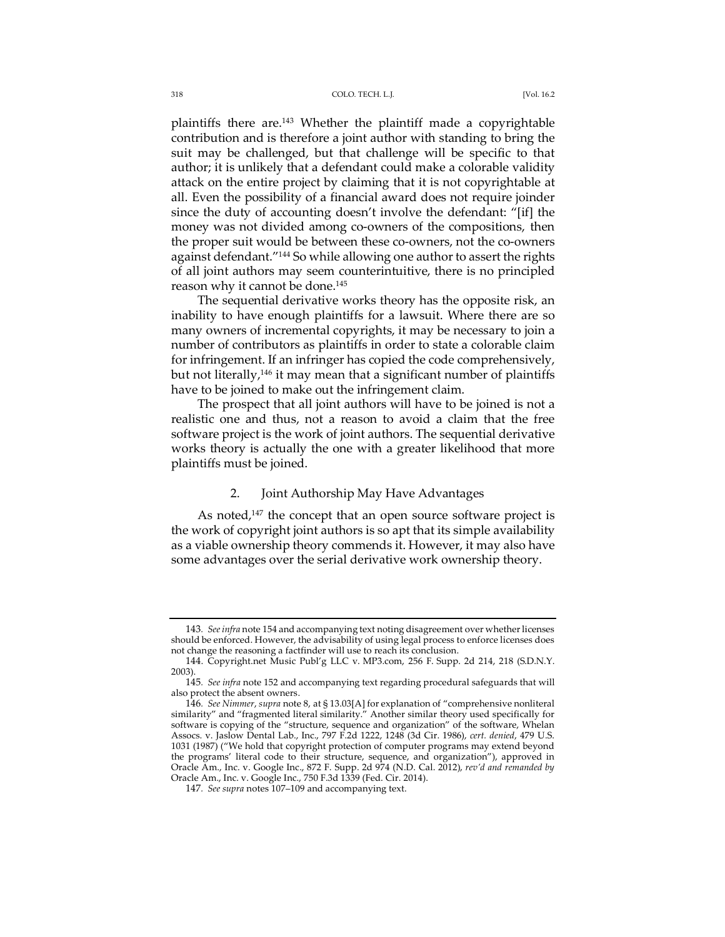plaintiffs there are.143 Whether the plaintiff made a copyrightable contribution and is therefore a joint author with standing to bring the suit may be challenged, but that challenge will be specific to that author; it is unlikely that a defendant could make a colorable validity attack on the entire project by claiming that it is not copyrightable at all. Even the possibility of a financial award does not require joinder since the duty of accounting doesn't involve the defendant: "[if] the money was not divided among co-owners of the compositions, then the proper suit would be between these co-owners, not the co-owners against defendant."<sup>144</sup> So while allowing one author to assert the rights of all joint authors may seem counterintuitive, there is no principled reason why it cannot be done.<sup>145</sup>

The sequential derivative works theory has the opposite risk, an inability to have enough plaintiffs for a lawsuit. Where there are so many owners of incremental copyrights, it may be necessary to join a number of contributors as plaintiffs in order to state a colorable claim for infringement. If an infringer has copied the code comprehensively, but not literally,146 it may mean that a significant number of plaintiffs have to be joined to make out the infringement claim.

The prospect that all joint authors will have to be joined is not a realistic one and thus, not a reason to avoid a claim that the free software project is the work of joint authors. The sequential derivative works theory is actually the one with a greater likelihood that more plaintiffs must be joined.

# 2. Joint Authorship May Have Advantages

As noted,<sup>147</sup> the concept that an open source software project is the work of copyright joint authors is so apt that its simple availability as a viable ownership theory commends it. However, it may also have some advantages over the serial derivative work ownership theory.

<sup>143</sup>*. Seeinfra* note 154 and accompanying text noting disagreement over whetherlicenses should be enforced. However, the advisability of using legal process to enforce licenses does not change the reasoning a factfinder will use to reach its conclusion.

<sup>144.</sup> Copyright.net Music Publ'g LLC v. MP3.com, 256 F. Supp. 2d 214, 218 (S.D.N.Y. 2003).

<sup>145</sup>*. See infra* note 152 and accompanying text regarding procedural safeguards that will also protect the absent owners.

<sup>146</sup>*. See Nimmer*, *supra* note 8, at § 13.03[A] for explanation of "comprehensive nonliteral similarity" and "fragmented literal similarity." Another similar theory used specifically for software is copying of the "structure, sequence and organization" of the software, Whelan Assocs. v. Jaslow Dental Lab., Inc., 797 F.2d 1222, 1248 (3d Cir. 1986), *cert. denied*, 479 U.S. 1031 (1987) ("We hold that copyright protection of computer programs may extend beyond the programs' literal code to their structure, sequence, and organization"), approved in Oracle Am., Inc. v. Google Inc., 872 F. Supp. 2d 974 (N.D. Cal. 2012), *rev'd and remanded by*  Oracle Am., Inc. v. Google Inc., 750 F.3d 1339 (Fed. Cir. 2014).

<sup>147</sup>*. See supra* notes 107–109 and accompanying text.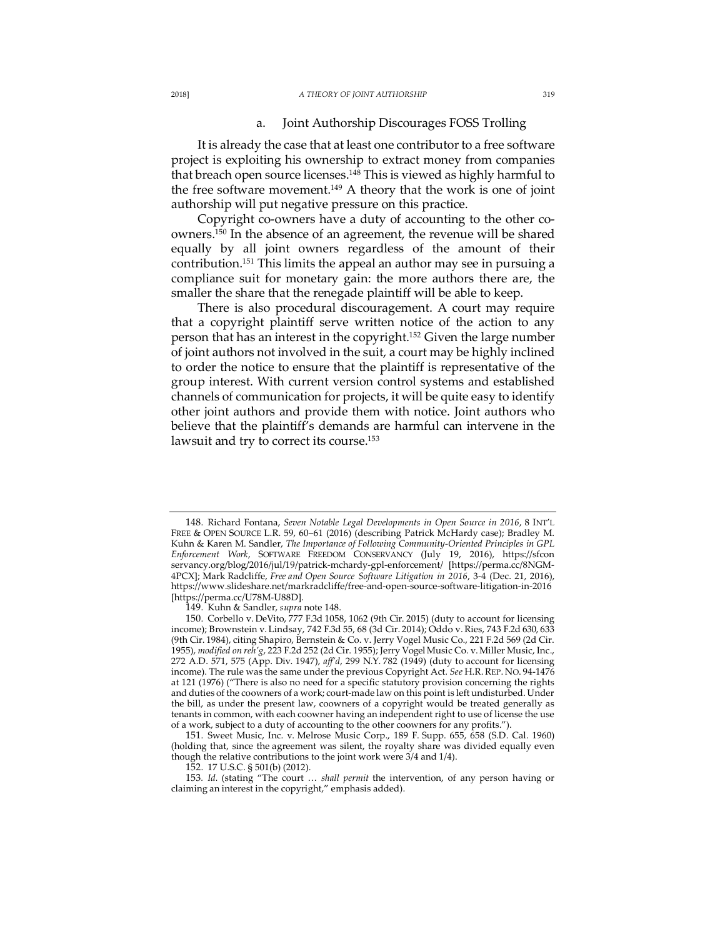#### 2018] *A THEORY OF JOINT AUTHORSHIP* 319

## a. Joint Authorship Discourages FOSS Trolling

It is already the case that at least one contributor to a free software project is exploiting his ownership to extract money from companies that breach open source licenses.<sup>148</sup> This is viewed as highly harmful to the free software movement.<sup>149</sup> A theory that the work is one of joint authorship will put negative pressure on this practice.

Copyright co-owners have a duty of accounting to the other coowners.<sup>150</sup> In the absence of an agreement, the revenue will be shared equally by all joint owners regardless of the amount of their contribution.151 This limits the appeal an author may see in pursuing a compliance suit for monetary gain: the more authors there are, the smaller the share that the renegade plaintiff will be able to keep.

There is also procedural discouragement. A court may require that a copyright plaintiff serve written notice of the action to any person that has an interest in the copyright.<sup>152</sup> Given the large number of joint authors not involved in the suit, a court may be highly inclined to order the notice to ensure that the plaintiff is representative of the group interest. With current version control systems and established channels of communication for projects, it will be quite easy to identify other joint authors and provide them with notice. Joint authors who believe that the plaintiff's demands are harmful can intervene in the lawsuit and try to correct its course.<sup>153</sup>

149. Kuhn & Sandler, *supra* note 148.

152. 17 U.S.C. § 501(b) (2012).

<sup>148.</sup> Richard Fontana, *Seven Notable Legal Developments in Open Source in 2016*, 8 INT'L FREE & OPEN SOURCE L.R. 59, 60–61 (2016) (describing Patrick McHardy case); Bradley M. Kuhn & Karen M. Sandler, *The Importance of Following Community-Oriented Principles in GPL Enforcement Work*, SOFTWARE FREEDOM CONSERVANCY (July 19, 2016), https://sfcon servancy.org/blog/2016/jul/19/patrick-mchardy-gpl-enforcement/ [https://perma.cc/8NGM-4PCX]; Mark Radcliffe, *Free and Open Source Software Litigation in 2016*, 3-4 (Dec. 21, 2016), https://www.slideshare.net/markradcliffe/free-and-open-source-software-litigation-in-2016 [https://perma.cc/U78M-U88D].

<sup>150.</sup> Corbello v. DeVito, 777 F.3d 1058, 1062 (9th Cir. 2015) (duty to account for licensing income); Brownstein v. Lindsay, 742 F.3d 55, 68 (3d Cir. 2014); Oddo v. Ries, 743 F.2d 630, 633 (9th Cir. 1984), citing Shapiro, Bernstein & Co. v. Jerry Vogel Music Co., 221 F.2d 569 (2d Cir. 1955), *modified on reh'g*, 223 F.2d 252 (2d Cir. 1955); Jerry Vogel Music Co. v. Miller Music, Inc., 272 A.D. 571, 575 (App. Div. 1947), *aff'd*, 299 N.Y. 782 (1949) (duty to account for licensing income). The rule was the same under the previous Copyright Act. *See* H.R. REP. NO. 94-1476 at 121 (1976) ("There is also no need for a specific statutory provision concerning the rights and duties of the coowners of a work; court-made law on this point is left undisturbed. Under the bill, as under the present law, coowners of a copyright would be treated generally as tenants in common, with each coowner having an independent right to use of license the use of a work, subject to a duty of accounting to the other coowners for any profits.").

<sup>151.</sup> Sweet Music, Inc. v. Melrose Music Corp., 189 F. Supp. 655, 658 (S.D. Cal. 1960) (holding that, since the agreement was silent, the royalty share was divided equally even though the relative contributions to the joint work were 3/4 and 1/4).

<sup>153</sup>*. Id.* (stating "The court … *shall permit* the intervention, of any person having or claiming an interest in the copyright," emphasis added).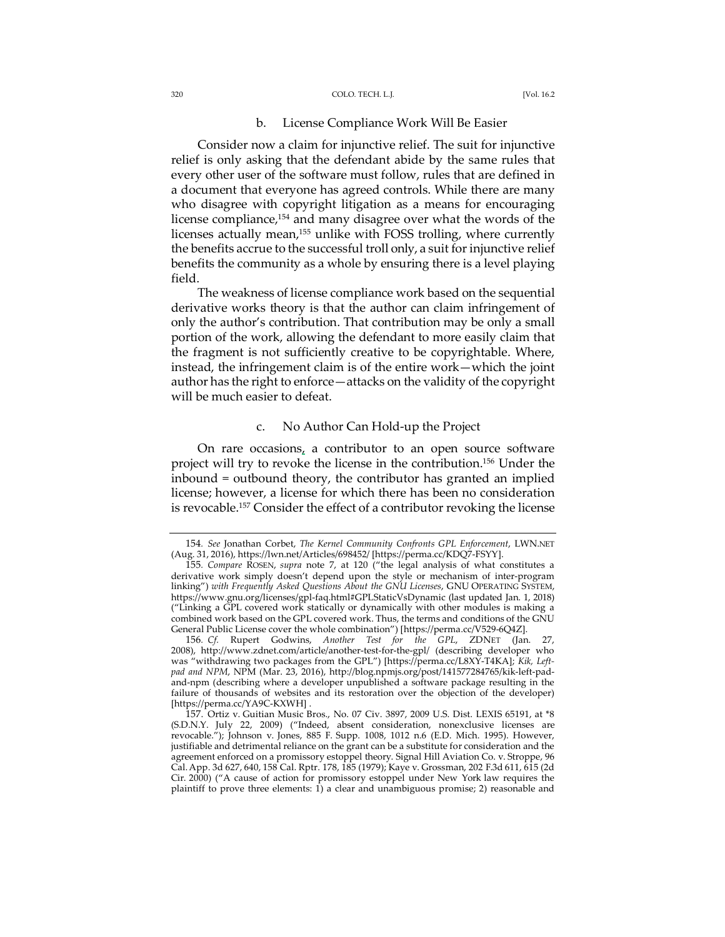# b. License Compliance Work Will Be Easier

Consider now a claim for injunctive relief. The suit for injunctive relief is only asking that the defendant abide by the same rules that every other user of the software must follow, rules that are defined in a document that everyone has agreed controls. While there are many who disagree with copyright litigation as a means for encouraging license compliance,154 and many disagree over what the words of the licenses actually mean,<sup>155</sup> unlike with FOSS trolling, where currently the benefits accrue to the successful troll only, a suit for injunctive relief benefits the community as a whole by ensuring there is a level playing field.

The weakness of license compliance work based on the sequential derivative works theory is that the author can claim infringement of only the author's contribution. That contribution may be only a small portion of the work, allowing the defendant to more easily claim that the fragment is not sufficiently creative to be copyrightable. Where, instead, the infringement claim is of the entire work—which the joint author has the right to enforce—attacks on the validity of the copyright will be much easier to defeat.

### c. No Author Can Hold-up the Project

On rare occasions, a contributor to an open source software project will try to revoke the license in the contribution.156 Under the inbound = outbound theory, the contributor has granted an implied license; however, a license for which there has been no consideration is revocable.<sup>157</sup> Consider the effect of a contributor revoking the license

<sup>154</sup>*. See* Jonathan Corbet, *The Kernel Community Confronts GPL Enforcement*, LWN.NET (Aug. 31, 2016), https://lwn.net/Articles/698452/ [https://perma.cc/KDQ7-FSYY].

<sup>155</sup>*. Compare* ROSEN, *supra* note 7, at 120 ("the legal analysis of what constitutes a derivative work simply doesn't depend upon the style or mechanism of inter-program linking") *with Frequently Asked Questions About the GNU Licenses*, GNU OPERATING SYSTEM, https://www.gnu.org/licenses/gpl-faq.html#GPLStaticVsDynamic (last updated Jan. 1, 2018) ("Linking a GPL covered work statically or dynamically with other modules is making a combined work based on the GPL covered work. Thus, the terms and conditions of the GNU General Public License cover the whole combination") [https://perma.cc/V529-6Q4Z].

<sup>156</sup>*. Cf.* Rupert Godwins, *Another Test for the GPL*, ZDNET (Jan. 27, 2008), http://www.zdnet.com/article/another-test-for-the-gpl/ (describing developer who was "withdrawing two packages from the GPL") [https://perma.cc/L8XY-T4KA]; *Kik, Leftpad and NPM*, NPM (Mar. 23, 2016), http://blog.npmjs.org/post/141577284765/kik-left-padand-npm (describing where a developer unpublished a software package resulting in the failure of thousands of websites and its restoration over the objection of the developer) [https://perma.cc/YA9C-KXWH] .

<sup>157.</sup> Ortiz v. Guitian Music Bros., No. 07 Civ. 3897, 2009 U.S. Dist. LEXIS 65191, at \*8 (S.D.N.Y. July 22, 2009) ("Indeed, absent consideration, nonexclusive licenses are revocable."); Johnson v. Jones, 885 F. Supp. 1008, 1012 n.6 (E.D. Mich. 1995). However, justifiable and detrimental reliance on the grant can be a substitute for consideration and the agreement enforced on a promissory estoppel theory. Signal Hill Aviation Co. v. Stroppe, 96 Cal.App. 3d 627, 640, 158 Cal. Rptr. 178, 185 (1979); Kaye v. Grossman, 202 F.3d 611, 615 (2d Cir. 2000) ("A cause of action for promissory estoppel under New York law requires the plaintiff to prove three elements: 1) a clear and unambiguous promise; 2) reasonable and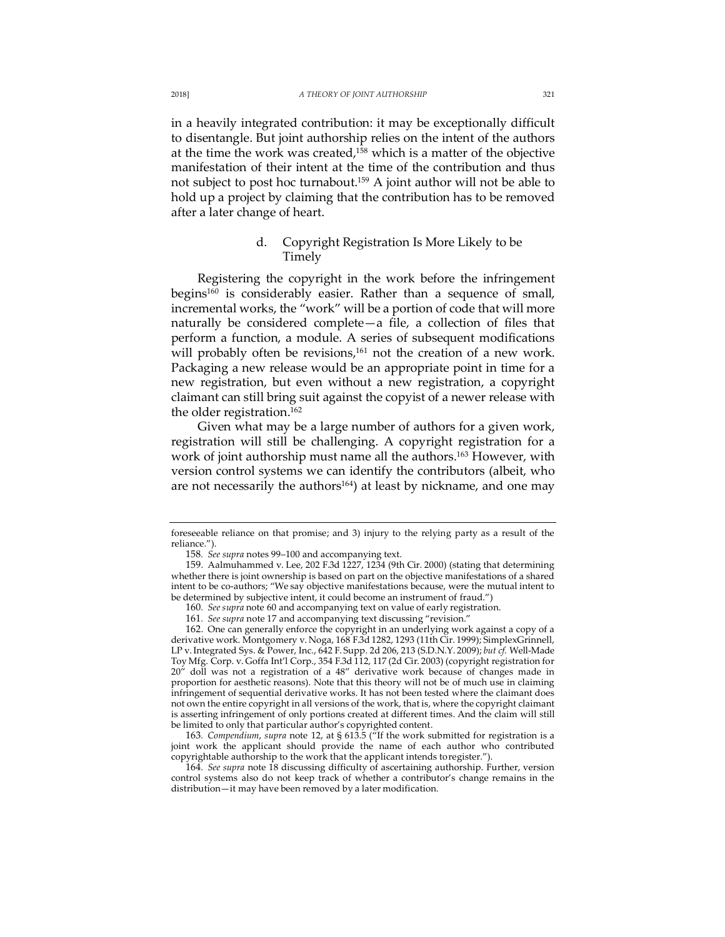in a heavily integrated contribution: it may be exceptionally difficult to disentangle. But joint authorship relies on the intent of the authors at the time the work was created, $158$  which is a matter of the objective manifestation of their intent at the time of the contribution and thus not subject to post hoc turnabout.159 A joint author will not be able to hold up a project by claiming that the contribution has to be removed after a later change of heart.

# d. Copyright Registration Is More Likely to be Timely

Registering the copyright in the work before the infringement begins<sup>160</sup> is considerably easier. Rather than a sequence of small, incremental works, the "work" will be a portion of code that will more naturally be considered complete—a file, a collection of files that perform a function, a module. A series of subsequent modifications will probably often be revisions,<sup>161</sup> not the creation of a new work. Packaging a new release would be an appropriate point in time for a new registration, but even without a new registration, a copyright claimant can still bring suit against the copyist of a newer release with the older registration.162

Given what may be a large number of authors for a given work, registration will still be challenging. A copyright registration for a work of joint authorship must name all the authors.<sup>163</sup> However, with version control systems we can identify the contributors (albeit, who are not necessarily the authors $164$ ) at least by nickname, and one may

163*. Compendium*, *supra* note 12, at § 613.5 ("If the work submitted for registration is a joint work the applicant should provide the name of each author who contributed copyrightable authorship to the work that the applicant intends toregister.").

164*. See supra* note 18 discussing difficulty of ascertaining authorship. Further, version control systems also do not keep track of whether a contributor's change remains in the distribution—it may have been removed by a later modification.

foreseeable reliance on that promise; and 3) injury to the relying party as a result of the reliance.").

<sup>158</sup>*. See supra* notes 99–100 and accompanying text.

<sup>159.</sup> Aalmuhammed v. Lee, 202 F.3d 1227, 1234 (9th Cir. 2000) (stating that determining whether there is joint ownership is based on part on the objective manifestations of a shared intent to be co-authors; "We say objective manifestations because, were the mutual intent to be determined by subjective intent, it could become an instrument of fraud.")

<sup>160</sup>*. See supra* note 60 and accompanying text on value of early registration.

<sup>161</sup>*. See supra* note 17 and accompanying text discussing "revision."

<sup>162.</sup> One can generally enforce the copyright in an underlying work against a copy of a derivative work. Montgomery v. Noga, 168 F.3d 1282, 1293 (11th Cir. 1999); SimplexGrinnell, LP v. Integrated Sys. & Power, Inc., 642 F. Supp. 2d 206, 213 (S.D.N.Y. 2009); *but cf.* Well-Made Toy Mfg. Corp. v. Goffa Int'l Corp., 354 F.3d 112, 117 (2d Cir. 2003) (copyright registration for 20" doll was not a registration of a 48" derivative work because of changes made in proportion for aesthetic reasons). Note that this theory will not be of much use in claiming infringement of sequential derivative works. It has not been tested where the claimant does not own the entire copyright in all versions of the work, that is, where the copyright claimant is asserting infringement of only portions created at different times. And the claim will still be limited to only that particular author's copyrighted content.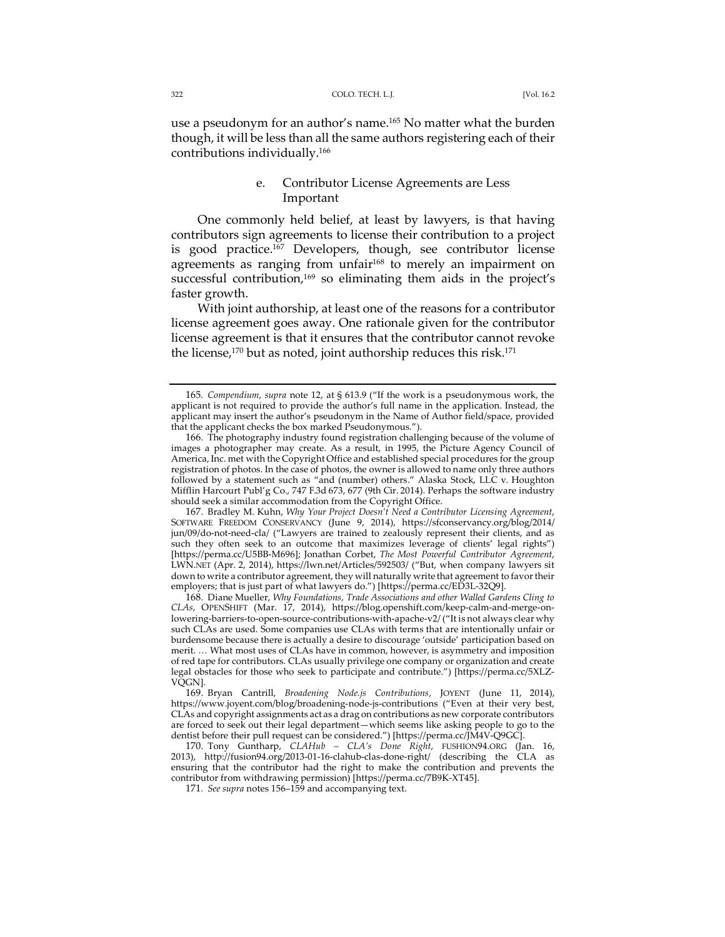use a pseudonym for an author's name.<sup>165</sup> No matter what the burden though, it will be less than all the same authors registering each of their contributions individually.166

# e. Contributor License Agreements are Less Important

One commonly held belief, at least by lawyers, is that having contributors sign agreements to license their contribution to a project is good practice.167 Developers, though, see contributor license agreements as ranging from unfair<sup>168</sup> to merely an impairment on successful contribution, $169$  so eliminating them aids in the project's faster growth.

With joint authorship, at least one of the reasons for a contributor license agreement goes away. One rationale given for the contributor license agreement is that it ensures that the contributor cannot revoke the license,<sup>170</sup> but as noted, joint authorship reduces this risk.<sup>171</sup>

167. Bradley M. Kuhn, *Why Your Project Doesn't Need a Contributor Licensing Agreement*, SOFTWARE FREEDOM CONSERVANCY (June 9, 2014), https://sfconservancy.org/blog/2014/ jun/09/do-not-need-cla/ ("Lawyers are trained to zealously represent their clients, and as such they often seek to an outcome that maximizes leverage of clients' legal rights") [https://perma.cc/U5BB-M696]; Jonathan Corbet, *The Most Powerful Contributor Agreement*, LWN.NET (Apr. 2, 2014), https://lwn.net/Articles/592503/ ("But, when company lawyers sit down to write a contributor agreement, they will naturally write that agreement to favortheir employers; that is just part of what lawyers do.") [https://perma.cc/ED3L-32Q9].

168. Diane Mueller, *Why Foundations, Trade Associations and other Walled Gardens Cling to CLAs*, OPENSHIFT (Mar. 17, 2014), https://blog.openshift.com/keep-calm-and-merge-onlowering-barriers-to-open-source-contributions-with-apache-v2/ ("It is not always clear why such CLAs are used. Some companies use CLAs with terms that are intentionally unfair or burdensome because there is actually a desire to discourage 'outside' participation based on merit. … What most uses of CLAs have in common, however, is asymmetry and imposition of red tape for contributors. CLAs usually privilege one company or organization and create legal obstacles for those who seek to participate and contribute.") [https://perma.cc/5XLZ-VQGN].

169. Bryan Cantrill, *Broadening Node.js Contributions*, JOYENT (June 11, 2014), https://www.joyent.com/blog/broadening-node-js-contributions ("Even at their very best, CLAs and copyright assignments act as a drag on contributions as new corporate contributors are forced to seek out their legal department—which seems like asking people to go to the dentist before their pull request can be considered.") [https://perma.cc/JM4V-Q9GC].

170. Tony Guntharp, *CLAHub – CLA's Done Right*, FUSHION94.ORG (Jan. 16, 2013), http://fusion94.org/2013-01-16-clahub-clas-done-right/ (describing the CLA as ensuring that the contributor had the right to make the contribution and prevents the contributor from withdrawing permission) [https://perma.cc/7B9K-XT45].

171*. See supra* notes 156–159 and accompanying text.

<sup>165</sup>*. Compendium*, *supra* note 12, at § 613.9 ("If the work is a pseudonymous work, the applicant is not required to provide the author's full name in the application. Instead, the applicant may insert the author's pseudonym in the Name of Author field/space, provided that the applicant checks the box marked Pseudonymous.")

<sup>166.</sup> The photography industry found registration challenging because of the volume of images a photographer may create. As a result, in 1995, the Picture Agency Council of America, Inc. met with the Copyright Office and established special procedures for the group registration of photos. In the case of photos, the owner is allowed to name only three authors followed by a statement such as "and (number) others." Alaska Stock, LLC v. Houghton Mifflin Harcourt Publ'g Co., 747 F.3d 673, 677 (9th Cir. 2014). Perhaps the software industry should seek a similar accommodation from the Copyright Office.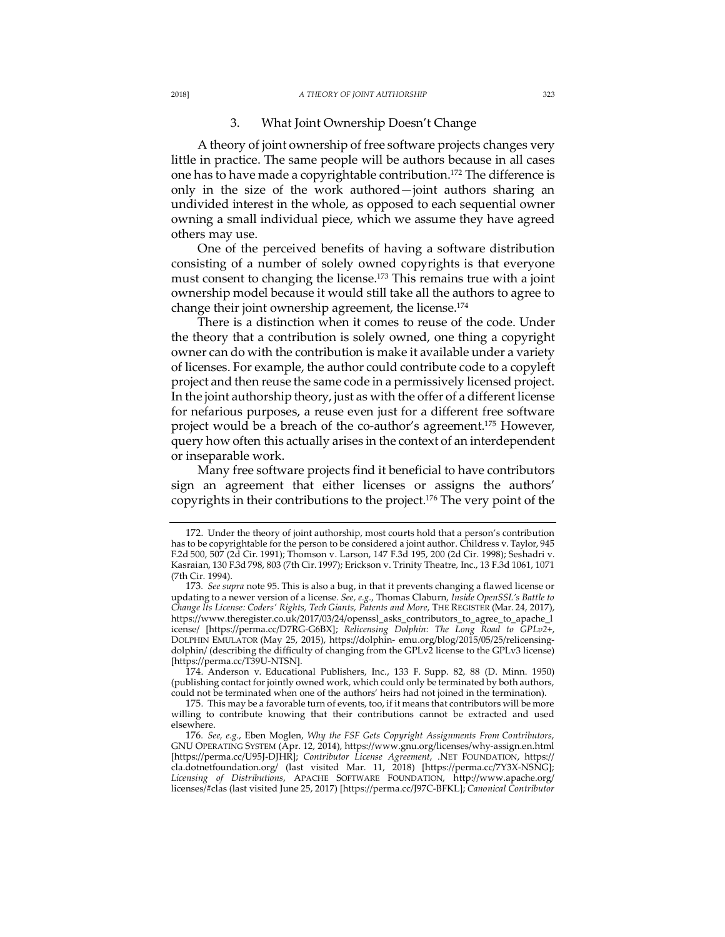#### 2018] *A THEORY OF JOINT AUTHORSHIP* 323

### 3. What Joint Ownership Doesn't Change

A theory of joint ownership of free software projects changes very little in practice. The same people will be authors because in all cases one has to have made a copyrightable contribution.<sup>172</sup> The difference is only in the size of the work authored—joint authors sharing an undivided interest in the whole, as opposed to each sequential owner owning a small individual piece, which we assume they have agreed others may use.

One of the perceived benefits of having a software distribution consisting of a number of solely owned copyrights is that everyone must consent to changing the license.<sup>173</sup> This remains true with a joint ownership model because it would still take all the authors to agree to change their joint ownership agreement, the license.174

There is a distinction when it comes to reuse of the code. Under the theory that a contribution is solely owned, one thing a copyright owner can do with the contribution is make it available under a variety of licenses. For example, the author could contribute code to a copyleft project and then reuse the same code in a permissively licensed project. In the joint authorship theory, just as with the offer of a different license for nefarious purposes, a reuse even just for a different free software project would be a breach of the co-author's agreement.175 However, query how often this actually arises in the context of an interdependent or inseparable work.

Many free software projects find it beneficial to have contributors sign an agreement that either licenses or assigns the authors' copyrights in their contributions to the project.176 The very point of the

<sup>172.</sup> Under the theory of joint authorship, most courts hold that a person's contribution has to be copyrightable for the person to be considered a joint author. Childress v. Taylor, 945 F.2d 500, 507 (2d Cir. 1991); Thomson v. Larson, 147 F.3d 195, 200 (2d Cir. 1998); Seshadri v. Kasraian, 130 F.3d 798, 803 (7th Cir. 1997); Erickson v. Trinity Theatre, Inc., 13 F.3d 1061, 1071 (7th Cir. 1994).

<sup>173</sup>*. See supra* note 95. This is also a bug, in that it prevents changing a flawed license or updating to a newer version of a license. *See, e.g.*, Thomas Claburn, *Inside OpenSSL's Battle to Change Its License: Coders' Rights, Tech Giants, Patents and More*, THE REGISTER (Mar. 24, 2017), https://www.theregister.co.uk/2017/03/24/openssl\_asks\_contributors\_to\_agree\_to\_apache\_l icense/ [https://perma.cc/D7RG-G6BX]; *Relicensing Dolphin: The Long Road to GPLv2+*, DOLPHIN EMULATOR (May 25, 2015), https://dolphin- emu.org/blog/2015/05/25/relicensingdolphin/ (describing the difficulty of changing from the GPLv2 license to the GPLv3 license) [https://perma.cc/T39U-NTSN].

<sup>174.</sup> Anderson v. Educational Publishers, Inc., 133 F. Supp. 82, 88 (D. Minn. 1950) (publishing contact for jointly owned work, which could only be terminated by both authors, could not be terminated when one of the authors' heirs had not joined in the termination).

<sup>175.</sup> This may be a favorable turn of events, too, if it means that contributors will be more willing to contribute knowing that their contributions cannot be extracted and used elsewhere.

<sup>176</sup>*. See, e.g.*, Eben Moglen, *Why the FSF Gets Copyright Assignments From Contributors*, GNU OPERATING SYSTEM (Apr. 12, 2014), https://www.gnu.org/licenses/why-assign.en.html [https://perma.cc/U95J-DJHR]; *Contributor License Agreement*, .NET FOUNDATION, https:// cla.dotnetfoundation.org/ (last visited Mar. 11, 2018) [https://perma.cc/7Y3X-NSNG]; *Licensing of Distributions*, APACHE SOFTWARE FOUNDATION, http://www.apache.org/ licenses/#clas (last visited June 25, 2017) [https://perma.cc/J97C-BFKL]; *Canonical Contributor*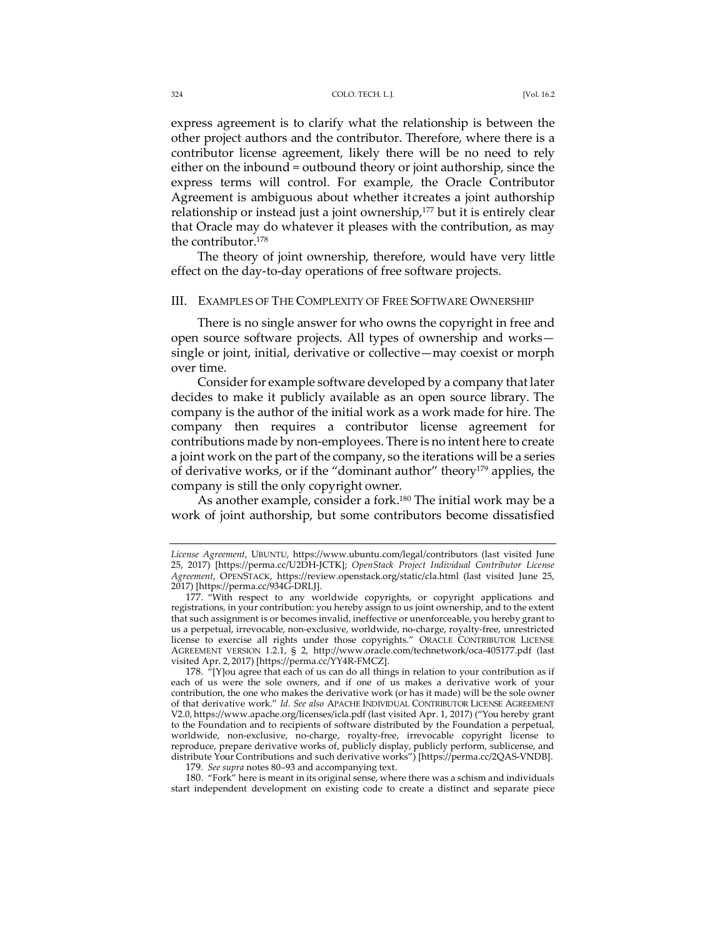express agreement is to clarify what the relationship is between the other project authors and the contributor. Therefore, where there is a contributor license agreement, likely there will be no need to rely either on the inbound = outbound theory or joint authorship, since the express terms will control. For example, the Oracle Contributor Agreement is ambiguous about whether itcreates a joint authorship relationship or instead just a joint ownership,<sup>177</sup> but it is entirely clear that Oracle may do whatever it pleases with the contribution, as may the contributor.178

The theory of joint ownership, therefore, would have very little effect on the day-to-day operations of free software projects.

### III. EXAMPLES OF THE COMPLEXITY OF FREE SOFTWARE OWNERSHIP

There is no single answer for who owns the copyright in free and open source software projects. All types of ownership and works single or joint, initial, derivative or collective—may coexist or morph over time.

Consider for example software developed by a company that later decides to make it publicly available as an open source library. The company is the author of the initial work as a work made for hire. The company then requires a contributor license agreement for contributions made by non-employees. There is no intent here to create a joint work on the part of the company, so the iterations will be a series of derivative works, or if the "dominant author" theory179 applies, the company is still the only copyright owner.

As another example, consider a fork.<sup>180</sup> The initial work may be a work of joint authorship, but some contributors become dissatisfied

180. "Fork" here is meant in its original sense, where there was a schism and individuals start independent development on existing code to create a distinct and separate piece

*License Agreement*, UBUNTU, https://www.ubuntu.com/legal/contributors (last visited June 25, 2017) [https://perma.cc/U2DH-JCTK]; *OpenStack Project Individual Contributor License Agreement*, OPENSTACK, https://review.openstack.org/static/cla.html (last visited June 25, 2017) [https://perma.cc/934G-DRLJ].

<sup>177. &</sup>quot;With respect to any worldwide copyrights, or copyright applications and registrations, in your contribution: you hereby assign to us joint ownership, and to the extent that such assignment is or becomes invalid, ineffective or unenforceable, you hereby grant to us a perpetual, irrevocable, non-exclusive, worldwide, no-charge, royalty-free, unrestricted license to exercise all rights under those copyrights." ORACLE CONTRIBUTOR LICENSE AGREEMENT VERSION 1.2.1, § 2, http://www.oracle.com/technetwork/oca-405177.pdf (last visited Apr. 2, 2017) [https://perma.cc/YY4R-FMCZ].

<sup>178.</sup>  $\pi$ [Y]ou agree that each of us can do all things in relation to your contribution as if each of us were the sole owners, and if one of us makes a derivative work of your contribution, the one who makes the derivative work (or has it made) will be the sole owner of that derivative work." *Id. See also* APACHE INDIVIDUAL CONTRIBUTOR LICENSE AGREEMENT V2.0, https://www.apache.org/licenses/icla.pdf (last visited Apr. 1, 2017) ("You hereby grant to the Foundation and to recipients of software distributed by the Foundation a perpetual, worldwide, non-exclusive, no-charge, royalty-free, irrevocable copyright license to reproduce, prepare derivative works of, publicly display, publicly perform, sublicense, and distribute Your Contributions and such derivative works") [https://perma.cc/2QAS-VNDB].

<sup>179</sup>*. See supra* notes 80–93 and accompanying text.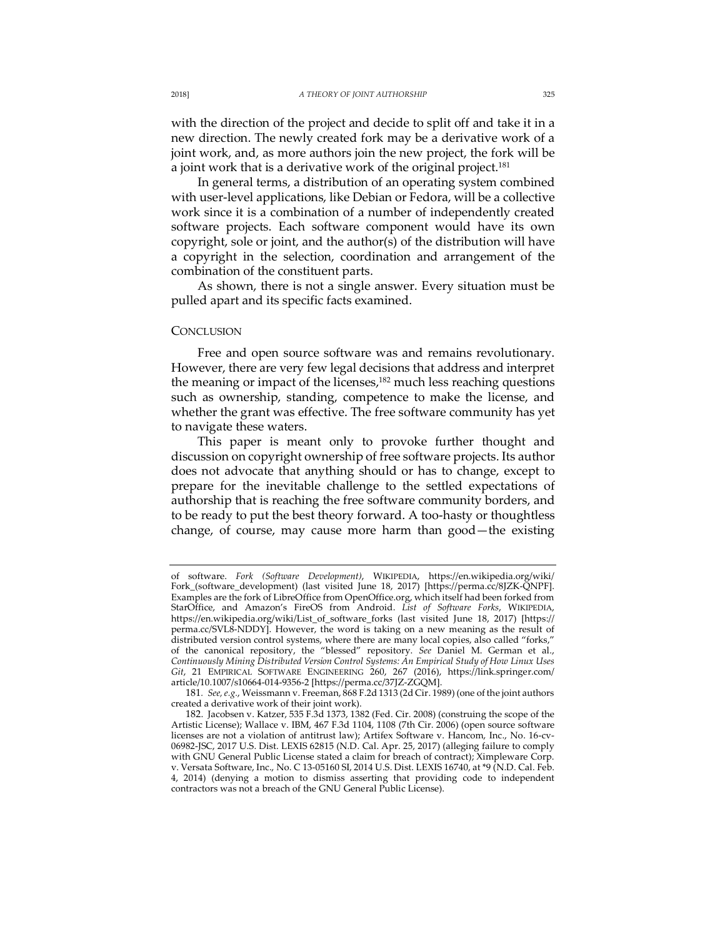with the direction of the project and decide to split off and take it in a new direction. The newly created fork may be a derivative work of a joint work, and, as more authors join the new project, the fork will be a joint work that is a derivative work of the original project.<sup>181</sup>

In general terms, a distribution of an operating system combined with user-level applications, like Debian or Fedora, will be a collective work since it is a combination of a number of independently created software projects. Each software component would have its own copyright, sole or joint, and the author(s) of the distribution will have a copyright in the selection, coordination and arrangement of the combination of the constituent parts.

As shown, there is not a single answer. Every situation must be pulled apart and its specific facts examined.

### **CONCLUSION**

Free and open source software was and remains revolutionary. However, there are very few legal decisions that address and interpret the meaning or impact of the licenses,<sup>182</sup> much less reaching questions such as ownership, standing, competence to make the license, and whether the grant was effective. The free software community has yet to navigate these waters.

This paper is meant only to provoke further thought and discussion on copyright ownership of free software projects. Its author does not advocate that anything should or has to change, except to prepare for the inevitable challenge to the settled expectations of authorship that is reaching the free software community borders, and to be ready to put the best theory forward. A too-hasty or thoughtless change, of course, may cause more harm than good—the existing

181*. See, e.g.*, Weissmann v. Freeman, 868 F.2d 1313 (2d Cir. 1989) (one of the joint authors created a derivative work of their joint work).

of software. *Fork (Software Development)*, WIKIPEDIA, https://en.wikipedia.org/wiki/ Fork\_(software\_development) (last visited June 18, 2017) [https://perma.cc/8JZK-QNPF]. Examples are the fork of LibreOffice from OpenOffice.org, which itself had been forked from StarOffice, and Amazon's FireOS from Android. *List of Software Forks*, WIKIPEDIA, https://en.wikipedia.org/wiki/List\_of\_software\_forks (last visited June 18, 2017) [https:// perma.cc/SVL8-NDDY]. However, the word is taking on a new meaning as the result of distributed version control systems, where there are many local copies, also called "forks," of the canonical repository, the "blessed" repository. *See* Daniel M. German et al., *Continuously Mining Distributed Version Control Systems: An Empirical Study of How Linux Uses Git*, 21 EMPIRICAL SOFTWARE ENGINEERING 260, 267 (2016), https://link.springer.com/ article/10.1007/s10664-014-9356-2 [https://perma.cc/37JZ-ZGQM].

<sup>182.</sup> Jacobsen v. Katzer, 535 F.3d 1373, 1382 (Fed. Cir. 2008) (construing the scope of the Artistic License); Wallace v. IBM, 467 F.3d 1104, 1108 (7th Cir. 2006) (open source software licenses are not a violation of antitrust law); Artifex Software v. Hancom, Inc., No. 16-cv-06982-JSC, 2017 U.S. Dist. LEXIS 62815 (N.D. Cal. Apr. 25, 2017) (alleging failure to comply with GNU General Public License stated a claim for breach of contract); Ximpleware Corp. v. Versata Software, Inc., No. C 13-05160 SI, 2014 U.S. Dist. LEXIS 16740, at \*9 (N.D. Cal. Feb. 4, 2014) (denying a motion to dismiss asserting that providing code to independent contractors was not a breach of the GNU General Public License).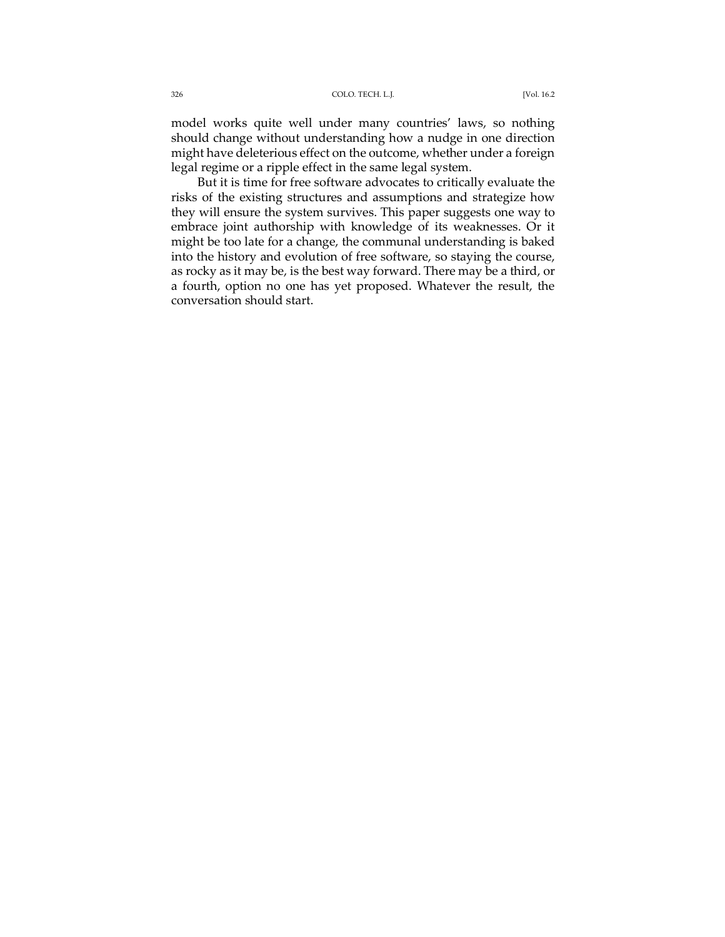model works quite well under many countries' laws, so nothing should change without understanding how a nudge in one direction might have deleterious effect on the outcome, whether under a foreign legal regime or a ripple effect in the same legal system.

But it is time for free software advocates to critically evaluate the risks of the existing structures and assumptions and strategize how they will ensure the system survives. This paper suggests one way to embrace joint authorship with knowledge of its weaknesses. Or it might be too late for a change, the communal understanding is baked into the history and evolution of free software, so staying the course, as rocky as it may be, is the best way forward. There may be a third, or a fourth, option no one has yet proposed. Whatever the result, the conversation should start.